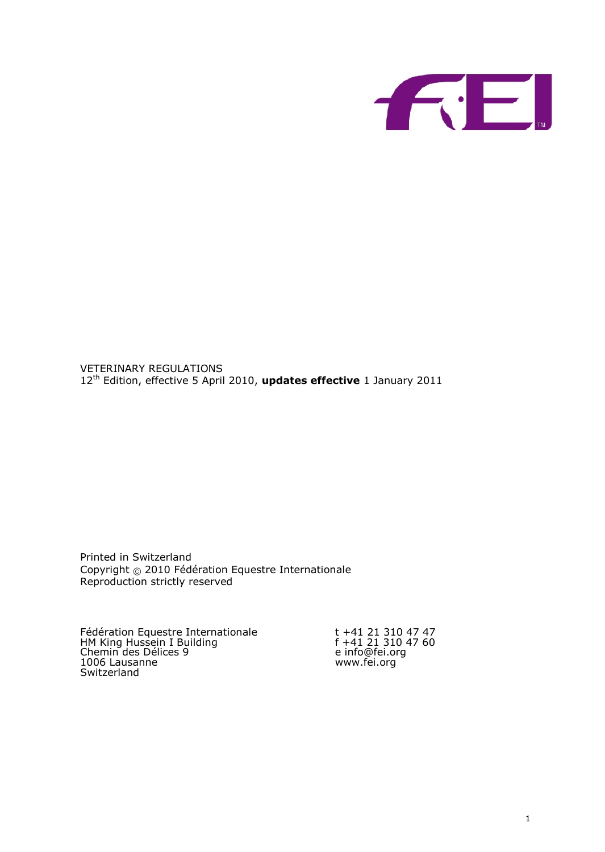VETERINAREYGULATIONS 1<sup>2h</sup> Edition, effective 5 Apurpild 20ets0 effective anuary 2011

Printed in Switzerland Copyrig@2010Fédération Equestre Internationale Reproduction strictly reserved

Fédératiboquestre Internationale t +41 21 310 47 47 HM King Hussein I Building f +41 21 310 47 60 Chemin des Délices 9 e [info@fei](mailto:info@fei.org).org Fédérati& **q**uestre Internationale<br>
HM King Hussein I Building f +41 21 310 47 60<br>
Chemin des Délices 9 e info@fei.org<br>
10 Chausanne [www.fei.](www.fei.org)org Switzerland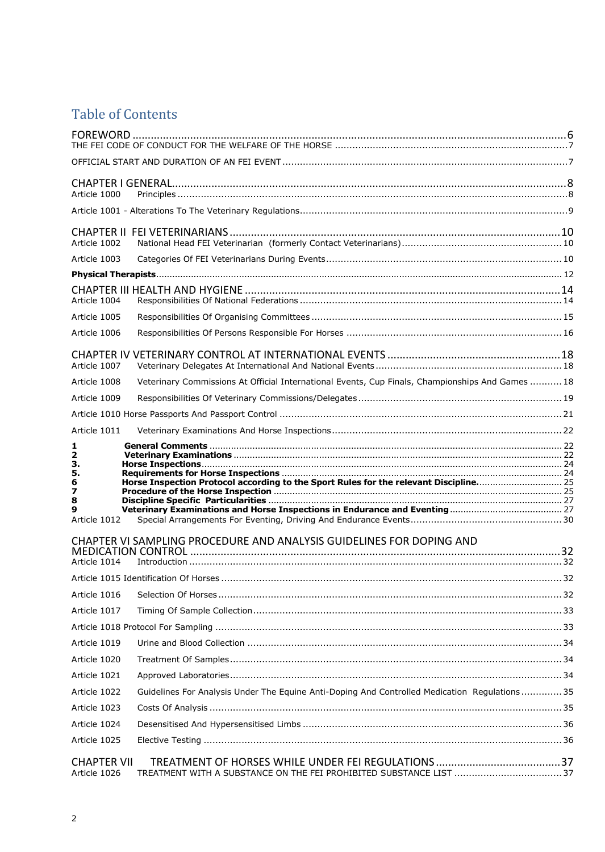# Table of Contents

| Article 1000                       |                                                                                                  |  |
|------------------------------------|--------------------------------------------------------------------------------------------------|--|
|                                    |                                                                                                  |  |
| Article 1002                       |                                                                                                  |  |
| Article 1003                       |                                                                                                  |  |
|                                    |                                                                                                  |  |
| Article 1004                       |                                                                                                  |  |
| Article 1005                       |                                                                                                  |  |
| Article 1006                       |                                                                                                  |  |
| Article 1007                       |                                                                                                  |  |
| Article 1008                       | Veterinary Commissions At Official International Events, Cup Finals, Championships And Games  18 |  |
| Article 1009                       |                                                                                                  |  |
|                                    |                                                                                                  |  |
| Article 1011                       |                                                                                                  |  |
| 1                                  |                                                                                                  |  |
| $\overline{\mathbf{2}}$<br>з.      |                                                                                                  |  |
| 5.                                 |                                                                                                  |  |
| 6<br>7                             | Horse Inspection Protocol according to the Sport Rules for the relevant Discipline 25            |  |
| 8                                  |                                                                                                  |  |
| 9<br>Article 1012                  |                                                                                                  |  |
|                                    | CHAPTER VI SAMPLING PROCEDURE AND ANALYSIS GUIDELINES FOR DOPING AND                             |  |
|                                    |                                                                                                  |  |
| Article 1014                       |                                                                                                  |  |
|                                    |                                                                                                  |  |
| Article 1016                       |                                                                                                  |  |
| Article 1017                       |                                                                                                  |  |
|                                    |                                                                                                  |  |
| Article 1019                       |                                                                                                  |  |
| Article 1020                       |                                                                                                  |  |
| Article 1021                       |                                                                                                  |  |
| Article 1022                       | Guidelines For Analysis Under The Equine Anti-Doping And Controlled Medication Regulations 35    |  |
| Article 1023                       |                                                                                                  |  |
| Article 1024                       |                                                                                                  |  |
| Article 1025                       |                                                                                                  |  |
| <b>CHAPTER VII</b><br>Article 1026 |                                                                                                  |  |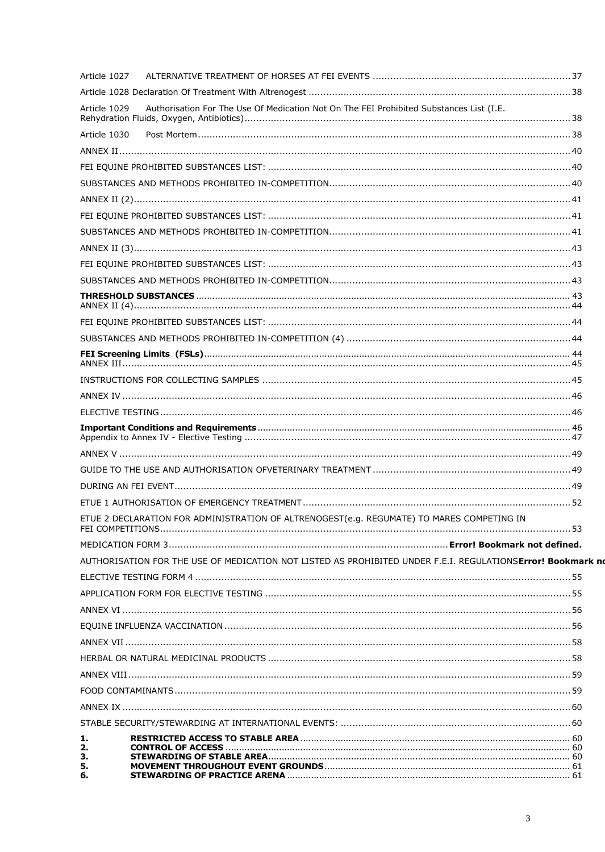| Article 1027 |                                                                                                             |  |
|--------------|-------------------------------------------------------------------------------------------------------------|--|
|              |                                                                                                             |  |
| Article 1029 | Authorisation For The Use Of Medication Not On The FEI Prohibited Substances List (I.E.                     |  |
| Article 1030 |                                                                                                             |  |
|              |                                                                                                             |  |
|              |                                                                                                             |  |
|              |                                                                                                             |  |
|              |                                                                                                             |  |
|              |                                                                                                             |  |
|              |                                                                                                             |  |
|              |                                                                                                             |  |
|              |                                                                                                             |  |
|              |                                                                                                             |  |
|              |                                                                                                             |  |
|              |                                                                                                             |  |
|              |                                                                                                             |  |
|              |                                                                                                             |  |
|              |                                                                                                             |  |
|              |                                                                                                             |  |
|              |                                                                                                             |  |
|              |                                                                                                             |  |
|              |                                                                                                             |  |
|              |                                                                                                             |  |
|              |                                                                                                             |  |
|              |                                                                                                             |  |
|              |                                                                                                             |  |
|              | ETUE 2 DECLARATION FOR ADMINISTRATION OF ALTRENOGEST(e.g. REGUMATE) TO MARES COMPETING IN                   |  |
|              |                                                                                                             |  |
|              | AUTHORISATION FOR THE USE OF MEDICATION NOT LISTED AS PROHIBITED UNDER F.E.I. REGULATIONSError! Bookmark no |  |
|              |                                                                                                             |  |
|              |                                                                                                             |  |
|              |                                                                                                             |  |
|              |                                                                                                             |  |
|              |                                                                                                             |  |
|              |                                                                                                             |  |
|              |                                                                                                             |  |
|              |                                                                                                             |  |
|              |                                                                                                             |  |
|              |                                                                                                             |  |
| 1.           |                                                                                                             |  |
| 2.<br>з.     |                                                                                                             |  |
| 5.<br>6.     |                                                                                                             |  |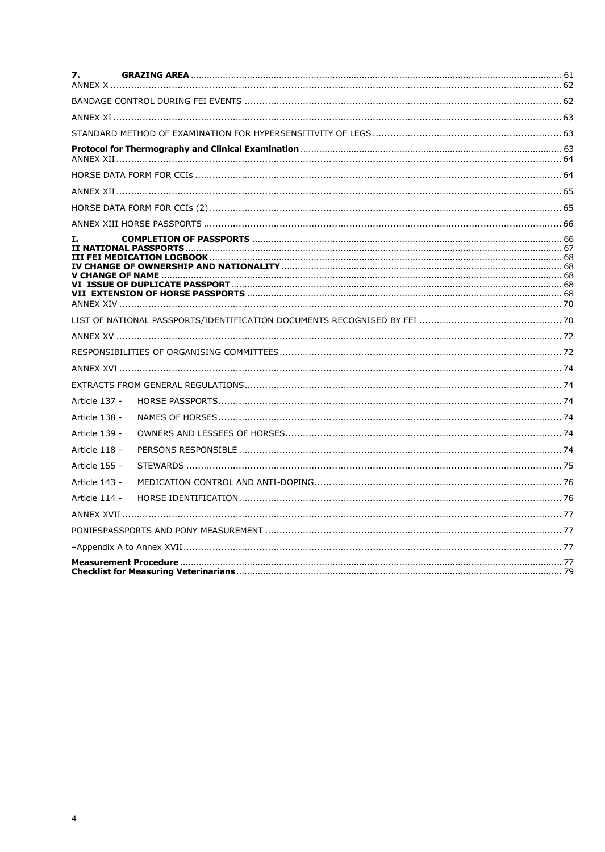| 7.            |  |
|---------------|--|
|               |  |
|               |  |
|               |  |
|               |  |
|               |  |
|               |  |
|               |  |
|               |  |
| I.            |  |
|               |  |
|               |  |
|               |  |
|               |  |
|               |  |
|               |  |
| Article 137 - |  |
| Article 138 - |  |
| Article 139 - |  |
| Article 118 - |  |
| Article 155 - |  |
| Article 143 - |  |
| Article 114 - |  |
|               |  |
|               |  |
|               |  |
|               |  |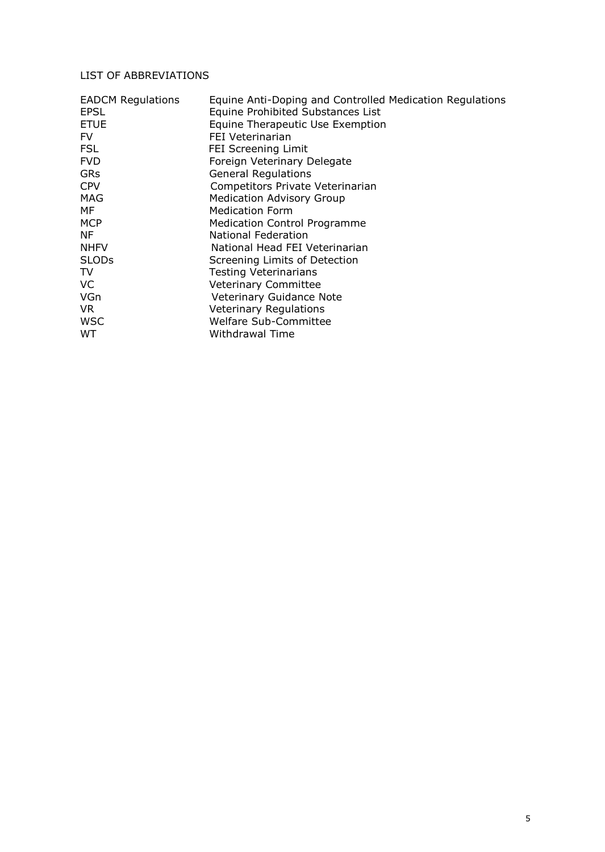# LIST OF ABBREVIATIONS

| <b>EADCM Regulations</b><br>EPSL | Equine Anti-Doping and Controlled Medication Regulations<br>Equine Prohibited Substances List |
|----------------------------------|-----------------------------------------------------------------------------------------------|
| <b>ETUE</b>                      | Equine Therapeutic Use Exemption                                                              |
| FV.                              | FEI Veterinarian                                                                              |
| FSL                              | FEI Screening Limit                                                                           |
| <b>FVD</b>                       | Foreign Veterinary Delegate                                                                   |
| <b>GRs</b>                       | <b>General Regulations</b>                                                                    |
| <b>CPV</b>                       | Competitors Private Veterinarian                                                              |
| MAG                              | <b>Medication Advisory Group</b>                                                              |
| MF                               | <b>Medication Form</b>                                                                        |
| <b>MCP</b>                       | <b>Medication Control Programme</b>                                                           |
| NF                               | National Federation                                                                           |
| <b>NHFV</b>                      | National Head FEI Veterinarian                                                                |
| <b>SLODs</b>                     | Screening Limits of Detection                                                                 |
| TV                               | <b>Testing Veterinarians</b>                                                                  |
| <b>VC</b>                        | <b>Veterinary Committee</b>                                                                   |
| VGn                              | Veterinary Guidance Note                                                                      |
| VR.                              | <b>Veterinary Regulations</b>                                                                 |
| <b>WSC</b>                       | <b>Welfare Sub-Committee</b>                                                                  |
| <b>WT</b>                        | Withdrawal Time                                                                               |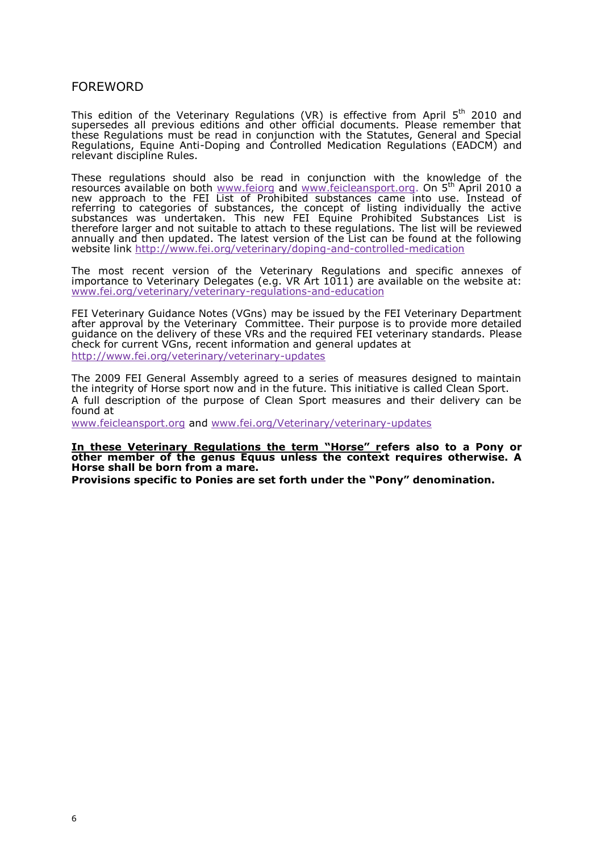# FOREWORD

This edition of the Veterinary Regulations (VR)Apisileh 52 e0ct to V ean for om supersedes all previous editions and other official documents. Please r these Regulations must be read in conjunction with the Statutes, General Regulations, EquinDeopAimtg and Controlled Medication (FE & QUC & M) oand relevant discipline Rules.

These regulations should also be read in ctohnejkunnow.wiloendgweitohf the resources available <u>www.ofehoagdwww.feicleaont.po</u>rgon 병 April 2010 a new approach to the FEI List of Prohibited substances came into use referring to categories of substances, the concept of listing individua substances was undertaken. This new FEI EquibnsetamPorensibLintsetd iSsu therefore larger and not suitable to attach to Tithe sles revonuilleathiee enwords. annually and then dup datelatest version of the List can be found at the fo website linkp://www.fei.org/veterinarayn/doponing ollende dication

The most recent version of the Veterinary Regulations and specific importance to Veterinary Delegates (e.g. VR Art 1011) are eavaailable on t  $www.$  fei.org/veterinary/veteegruinhaatrive and education

FEI Veterinary Guidance Notreasyb(&/Gissicultudinal FEI Veterinary Department is under the Muslim of Teil Veterinary Department is under the Union Section of Teil Veterinary Department is under the Union Section of Teil Ve after approval by etheinary Commitheter purpose is to provide more detaile guidance on the delivery of these VRs and the required FEPI westerinary sta check foourrent VGnresc, ent informatiogne **ae daul**pdates at http://www.fei.org/veterinary/-updeationary

The 2009 FEI General Assembly agreed to a series of measures designe the integrith or seport now and in the future. This initiative is called Clean A ful description of the purpose of Clean Sport measures and their deli found at

[www.feicleanspo](www.feicleansport.org)**athdwww**.fei.org/Veterinary/veutpediantesy

<u>In these Veterinary Regulations the term</u>efHeosselso to a Pony or other member of the genus Equus unless the context requires otherwise Horse shall be born from a mare. Provisions specific to Ponies are set forth under the inPading n. deno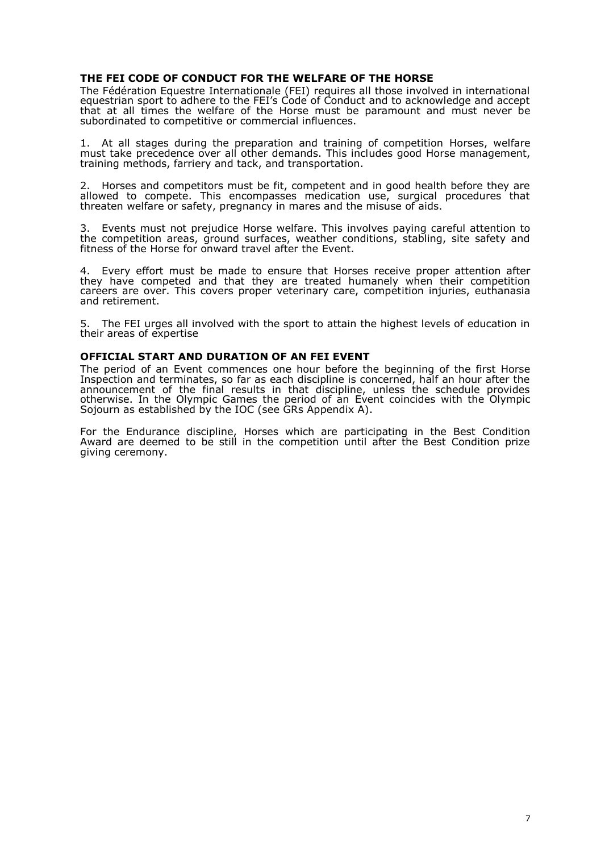### **THE FEI CODE OF CONDUCT FOR THE WELFARE OF THE HORSE**

The Fédération Equestre Internationale (FEI) requires all those involved in international equestrian sport to adhere to the FEI's Code of Conduct and to acknowledge and accept that at all times the welfare of the Horse must be paramount and must never be subordinated to competitive or commercial influences.

1. At all stages during the preparation and training of competition Horses, welfare must take precedence over all other demands. This includes good Horse management, training methods, farriery and tack, and transportation.

2. Horses and competitors must be fit, competent and in good health before they are allowed to compete. This encompasses medication use, surgical procedures that threaten welfare or safety, pregnancy in mares and the misuse of aids.

3. Events must not prejudice Horse welfare. This involves paying careful attention to the competition areas, ground surfaces, weather conditions, stabling, site safety and fitness of the Horse for onward travel after the Event.

4. Every effort must be made to ensure that Horses receive proper attention after they have competed and that they are treated humanely when their competition careers are over. This covers proper veterinary care, competition injuries, euthanasia and retirement.

5. The FEI urges all involved with the sport to attain the highest levels of education in their areas of expertise

#### **OFFICIAL START AND DURATION OF AN FEI EVENT**

The period of an Event commences one hour before the beginning of the first Horse Inspection and terminates, so far as each discipline is concerned, half an hour after the announcement of the final results in that discipline, unless the schedule provides otherwise. In the Olympic Games the period of an Event coincides with the Olympic Sojourn as established by the IOC (see GRs Appendix A).

For the Endurance discipline, Horses which are participating in the Best Condition Award are deemed to be still in the competition until after the Best Condition prize giving ceremony.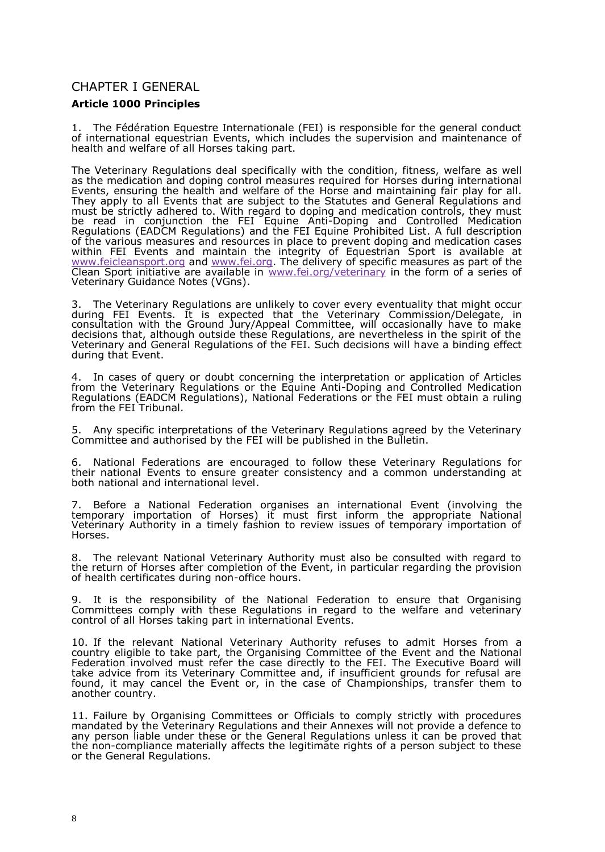# CHAPTER BNERAL

Article 000Principles

1. The Fédération Equestre Internationale (FEI) is responsible for the ge of international equest riam hich includes the supervision and maintenand health and welfarde of set taking part.

The Veterinary Regulations deal specifically with the comeditivent fitness, as thenedicational doping control measures requise edd for international Evenst ensuring the health and welfflaomes aond trin aintaining pfair for all They apply toEvælnts that are subject to the Statutes and General Regulations and  $\overline{\phantom{x}}$ must be strictly adheW etch tree.gard to doping and medication controls, they be read in conjunction the puint Antiping not Controlled Medication Regulation ESAD C Megulations of the FEI Equine Prohibit feed I Lid sts cription of the various measures and resourcperse vienduolophic medication cases within FEI enst and maintain the integrity of Expourt sita available at  $\underline{\hspace{0.05cm}}$  [www.feicleanspo](www.feicleansport.org)ratho<u>dwwyw.fei.</u>o.The delivery poentic meassuus epsart of the Clean Sport initiative are <u>aww.sai/wale in alterinathy</u> form of a series of Veterinary Guidance Notes (VGns) .

3. The Veterinary Regulations are unlikely evtent a bile to the tryinight occur during FEI Events. It is expected that the Vetent/DimealreygadCoe,m.minission consultation with the Ground Jury/Appeal Committee, will occasionally have decisions that, although outside these Regulations, are nevertheless in t Veterinary and General Regulations of the FEI. Savehadheicniding sefwild th during theatent

4. In cases of query or doubt concerning the interpretation or application from the Veterinary Regourlathion Esquine-DAorptiing and Controlled Medication Regulatons(EADCRMegulatip, n bational defreations or FtEnhenust obtain a ruling from the FEI Tribunal.

5. Any specific interpretations of the Veterinary Regulations agreed by t Committee and authoriserd Elby the published in the Bulletin.

6. National Federations oaureageend to follow VthebesreinaRy egulations for their natio Ematto ensure greater consistency and a common understand both national and international level

7. Before a National Federation organises aEivei**nt(ennati**vointohle temporary importatio**H**orosfee) it must first inform the appropriate Nation Veterinary Authority in a timely fashion to review issues of temporary i Horses.

8. The relevant National Veterinary Authority must also be consulted wi the return Hoofrsse after completion Eovienthien particular regarding the provision of health certificates douffing enhous.

9. It is the responsibility of the National Federation to ensure that Committees comply with theseen Reigulatiand to the welfare and veterinar control of Haolrisse taking part in intermational

10.If the relevant National Veterinary Authority neofussees sfroton aadmit country eligible to take part, the Organising Eventand teleeon atheonal Federation involved must refer the case directly to the FEI. The Execut take advice from its Veterinary Committee and, if insufficient grounds f found, it may canc**Ei** ethntor, in the case of Championsheipst, holma to another country.

11. Failure by Organising Committees or Officials to comply strictly with mandated by the Veterinary Regulations and their Annexes will not provid any person liable under these or the Goemseruanil Rsesguitactan be proved that the nonompliance materially affects the legitimate rights of a person sub or the General Regulations.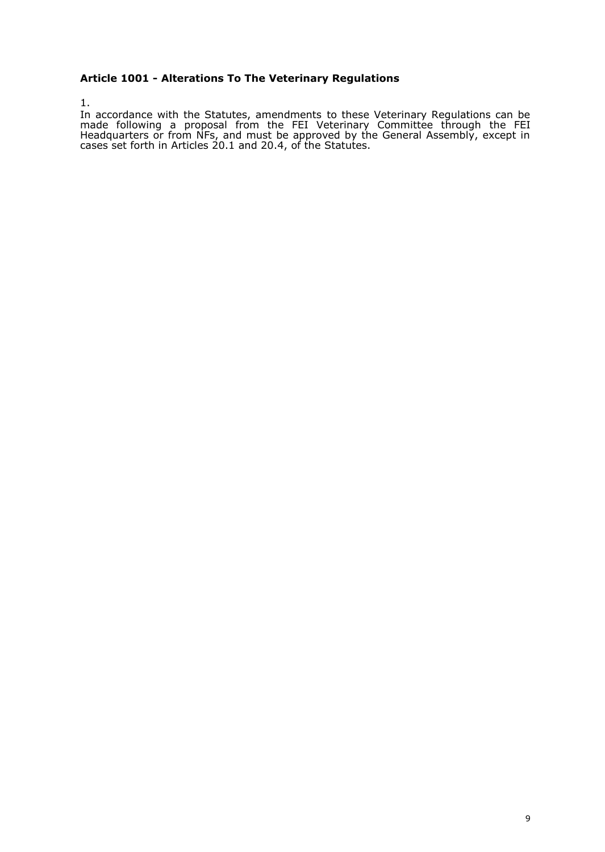# **Article 1001 - Alterations To The Veterinary Regulations**

1.

In accordance with the Statutes, amendments to these Veterinary Regulations can be made following a proposal from the FEI Veterinary Committee through the FEI Headquarters or from NFs, and must be approved by the General Assembly, except in cases set forth in Articles 20.1 and 20.4, of the Statutes.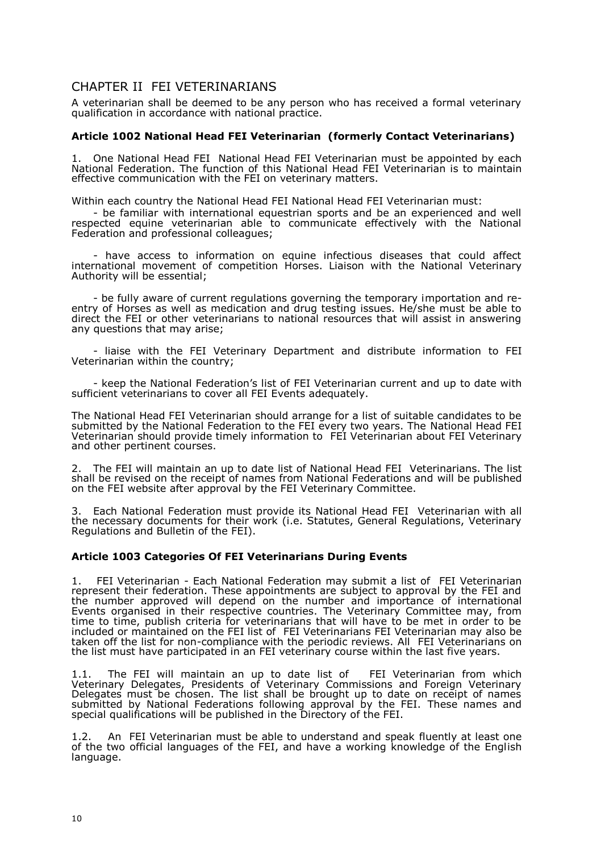# CHAPTER II FEI VETERINARIANS

A veterinarian shall be deemed to be any person who has received a formal veterinary qualification in accordance with national practice.

### **Article 1002 National Head FEI Veterinarian (formerly Contact Veterinarians)**

1. One National Head FEI National Head FEI Veterinarian must be appointed by each National Federation. The function of this National Head FEI Veterinarian is to maintain effective communication with the FEI on veterinary matters.

Within each country the National Head FEI National Head FEI Veterinarian must:

- be familiar with international equestrian sports and be an experienced and well respected equine veterinarian able to communicate effectively with the National Federation and professional colleagues;

- have access to information on equine infectious diseases that could affect international movement of competition Horses. Liaison with the National Veterinary Authority will be essential;

- be fully aware of current regulations governing the temporary importation and reentry of Horses as well as medication and drug testing issues. He/she must be able to direct the FEI or other veterinarians to national resources that will assist in answering any questions that may arise;

- liaise with the FEI Veterinary Department and distribute information to FEI Veterinarian within the country;

- keep the National Federation's list of FEI Veterinarian current and up to date with sufficient veterinarians to cover all FEI Events adequately.

The National Head FEI Veterinarian should arrange for a list of suitable candidates to be submitted by the National Federation to the FEI every two years. The National Head FEI Veterinarian should provide timely information to FEI Veterinarian about FEI Veterinary and other pertinent courses.

2. The FEI will maintain an up to date list of National Head FEI Veterinarians. The list shall be revised on the receipt of names from National Federations and will be published on the FEI website after approval by the FEI Veterinary Committee.

3. Each National Federation must provide its National Head FEI Veterinarian with all the necessary documents for their work (i.e. Statutes, General Regulations, Veterinary Regulations and Bulletin of the FEI).

# **Article 1003 Categories Of FEI Veterinarians During Events**

1. FEI Veterinarian - Each National Federation may submit a list of FEI Veterinarian represent their federation. These appointments are subject to approval by the FEI and the number approved will depend on the number and importance of international Events organised in their respective countries. The Veterinary Committee may, from time to time, publish criteria for veterinarians that will have to be met in order to be included or maintained on the FEI list of FEI Veterinarians FEI Veterinarian may also be taken off the list for non-compliance with the periodic reviews. All FEI Veterinarians on the list must have participated in an FEI veterinary course within the last five years.

1.1. The FEI will maintain an up to date list of FEI Veterinarian from which Veterinary Delegates, Presidents of Veterinary Commissions and Foreign Veterinary Delegates must be chosen. The list shall be brought up to date on receipt of names submitted by National Federations following approval by the FEI. These names and special qualifications will be published in the Directory of the FEI.

1.2. An FEI Veterinarian must be able to understand and speak fluently at least one of the two official languages of the FEI, and have a working knowledge of the English language.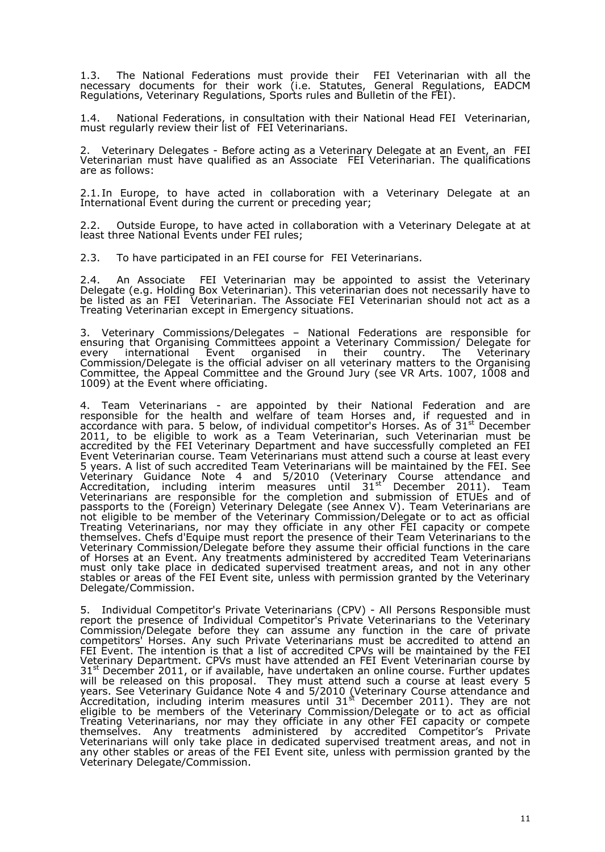1.3. The National Federations must provide their FEI Veterinarian with all the necessary documents for their work (i.e. Statutes, General Regulations, EADCM Regulations, Veterinary Regulations, Sports rules and Bulletin of the FEI).

1.4. National Federations, in consultation with their National Head FEI Veterinarian, must regularly review their list of FEI Veterinarians.

2. Veterinary Delegates - Before acting as a Veterinary Delegate at an Event, an FEI Veterinarian must have qualified as an Associate FEI Veterinarian. The qualifications are as follows:

2.1. In Europe, to have acted in collaboration with a Veterinary Delegate at an International Event during the current or preceding year;

2.2. Outside Europe, to have acted in collaboration with a Veterinary Delegate at at least three National Events under FEI rules;

2.3. To have participated in an FEI course for FEI Veterinarians.

2.4. An Associate FEI Veterinarian may be appointed to assist the Veterinary Delegate (e.g. Holding Box Veterinarian). This veterinarian does not necessarily have to be listed as an FEI Veterinarian. The Associate FEI Veterinarian should not act as a Treating Veterinarian except in Emergency situations.

3. Veterinary Commissions/Delegates – National Federations are responsible for ensuring that Organising Committees appoint a Veterinary Commission/ Delegate for every international Event organised in their country. The Veterinary Commission/Delegate is the official adviser on all veterinary matters to the Organising Committee, the Appeal Committee and the Ground Jury (see VR Arts. 1007, 1008 and 1009) at the Event where officiating.

4. Team Veterinarians - are appointed by their National Federation and are responsible for the health and welfare of team Horses and, if requested and in accordance with para. 5 below, of individual competitor's Horses. As of 31<sup>st</sup> December 2011, to be eligible to work as a Team Veterinarian, such Veterinarian must be accredited by the FEI Veterinary Department and have successfully completed an FEI Event Veterinarian course. Team Veterinarians must attend such a course at least every 5 years. A list of such accredited Team Veterinarians will be maintained by the FEI. See Veterinary Guidance Note 4 and 5/2010 (Veterinary Course attendance and Accreditation, including interim measures until 31<sup>st'</sup> December 2011). Team Veterinarians are responsible for the completion and submission of ETUEs and of passports to the (Foreign) Veterinary Delegate (see Annex V). Team Veterinarians are not eligible to be member of the Veterinary Commission/Delegate or to act as official Treating Veterinarians, nor may they officiate in any other FEI capacity or compete themselves. Chefs d'Equipe must report the presence of their Team Veterinarians to the Veterinary Commission/Delegate before they assume their official functions in the care of Horses at an Event. Any treatments administered by accredited Team Veterinarians must only take place in dedicated supervised treatment areas, and not in any other stables or areas of the FEI Event site, unless with permission granted by the Veterinary Delegate/Commission.

5. Individual Competitor's Private Veterinarians (CPV) - All Persons Responsible must report the presence of Individual Competitor's Private Veterinarians to the Veterinary Commission/Delegate before they can assume any function in the care of private competitors' Horses. Any such Private Veterinarians must be accredited to attend an FEI Event. The intention is that a list of accredited CPVs will be maintained by the FEI Veterinary Department. CPVs must have attended an FEI Event Veterinarian course by 31<sup>st</sup> December 2011, or if available, have undertaken an online course. Further updates will be released on this proposal. They must attend such a course at least every 5 years. See Veterinary Guidance Note 4 and 5/2010 (Veterinary Course attendance and Accreditation, including interim measures until  $31^{st}$  December 2011). They are not eligible to be members of the Veterinary Commission/Delegate or to act as official Treating Veterinarians, nor may they officiate in any other FEI capacity or compete themselves. Any treatments administered by accredited Competitor's Private Veterinarians will only take place in dedicated supervised treatment areas, and not in any other stables or areas of the FEI Event site, unless with permission granted by the Veterinary Delegate/Commission.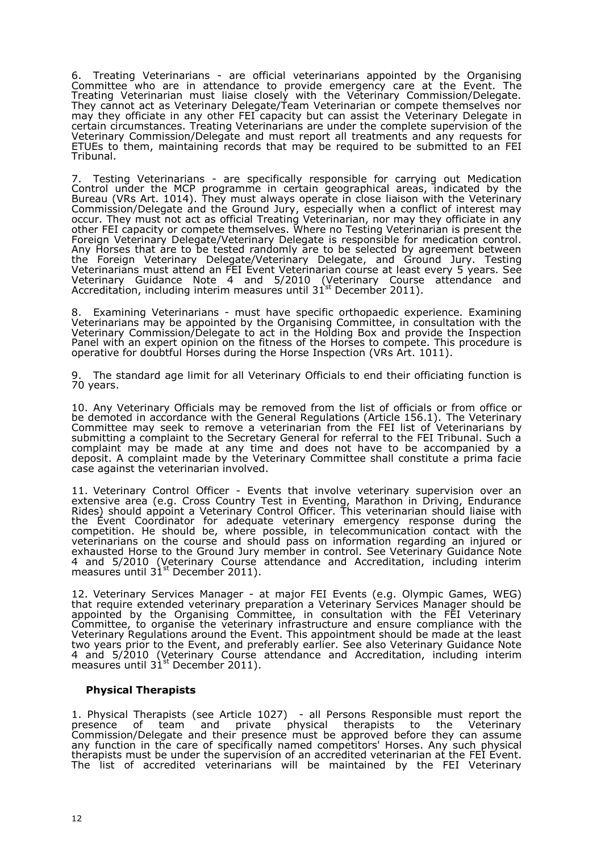6. Treating Veterinarians - are official veterinarians appointed by the Organising Committee who are in attendance to provide emergency care at the Event. The Treating Veterinarian must liaise closely with the Veterinary Commission/Delegate. They cannot act as Veterinary Delegate/Team Veterinarian or compete themselves nor may they officiate in any other FEI capacity but can assist the Veterinary Delegate in certain circumstances. Treating Veterinarians are under the complete supervision of the Veterinary Commission/Delegate and must report all treatments and any requests for ETUEs to them, maintaining records that may be required to be submitted to an FEI Tribunal.

7. Testing Veterinarians - are specifically responsible for carrying out Medication Control under the MCP programme in certain geographical areas, indicated by the Bureau (VRs Art. 1014). They must always operate in close liaison with the Veterinary Commission/Delegate and the Ground Jury, especially when a conflict of interest may occur. They must not act as official Treating Veterinarian, nor may they officiate in any other FEI capacity or compete themselves. Where no Testing Veterinarian is present the Foreign Veterinary Delegate/Veterinary Delegate is responsible for medication control. Any Horses that are to be tested randomly are to be selected by agreement between the Foreign Veterinary Delegate/Veterinary Delegate, and Ground Jury. Testing Veterinarians must attend an FEI Event Veterinarian course at least every 5 years. See Veterinary Guidance Note 4 and 5/2010 (Veterinary Course attendance and Accreditation, including interim measures until 31 $^{\text{st}}$  December 2011).

8. Examining Veterinarians - must have specific orthopaedic experience. Examining Veterinarians may be appointed by the Organising Committee, in consultation with the Veterinary Commission/Delegate to act in the Holding Box and provide the Inspection Panel with an expert opinion on the fitness of the Horses to compete. This procedure is operative for doubtful Horses during the Horse Inspection (VRs Art. 1011).

9. The standard age limit for all Veterinary Officials to end their officiating function is 70 years.

10. Any Veterinary Officials may be removed from the list of officials or from office or be demoted in accordance with the General Regulations (Article 156.1). The Veterinary Committee may seek to remove a veterinarian from the FEI list of Veterinarians by submitting a complaint to the Secretary General for referral to the FEI Tribunal. Such a complaint may be made at any time and does not have to be accompanied by a deposit. A complaint made by the Veterinary Committee shall constitute a prima facie case against the veterinarian involved.

11. Veterinary Control Officer - Events that involve veterinary supervision over an extensive area (e.g. Cross Country Test in Eventing, Marathon in Driving, Endurance Rides) should appoint a Veterinary Control Officer. This veterinarian should liaise with the Event Coordinator for adequate veterinary emergency response during the competition. He should be, where possible, in telecommunication contact with the veterinarians on the course and should pass on information regarding an injured or exhausted Horse to the Ground Jury member in control. See Veterinary Guidance Note 4 and 5/2010 (Veterinary Course attendance and Accreditation, including interim measures until  $31<sup>st</sup>$  December 2011).

12. Veterinary Services Manager - at major FEI Events (e.g. Olympic Games, WEG) that require extended veterinary preparation a Veterinary Services Manager should be appointed by the Organising Committee, in consultation with the FEI Veterinary Committee, to organise the veterinary infrastructure and ensure compliance with the Veterinary Regulations around the Event. This appointment should be made at the least two years prior to the Event, and preferably earlier. See also Veterinary Guidance Note 4 and 5/2010 (Veterinary Course attendance and Accreditation, including interim measures until 31<sup>st</sup> December 2011).

#### **Physical Therapists**

1. Physical Therapists (see Article 1027) - all Persons Responsible must report the presence of team and private physical therapists to the Veterinary Commission/Delegate and their presence must be approved before they can assume any function in the care of specifically named competitors' Horses. Any such physical therapists must be under the supervision of an accredited veterinarian at the FEI Event. The list of accredited veterinarians will be maintained by the FEI Veterinary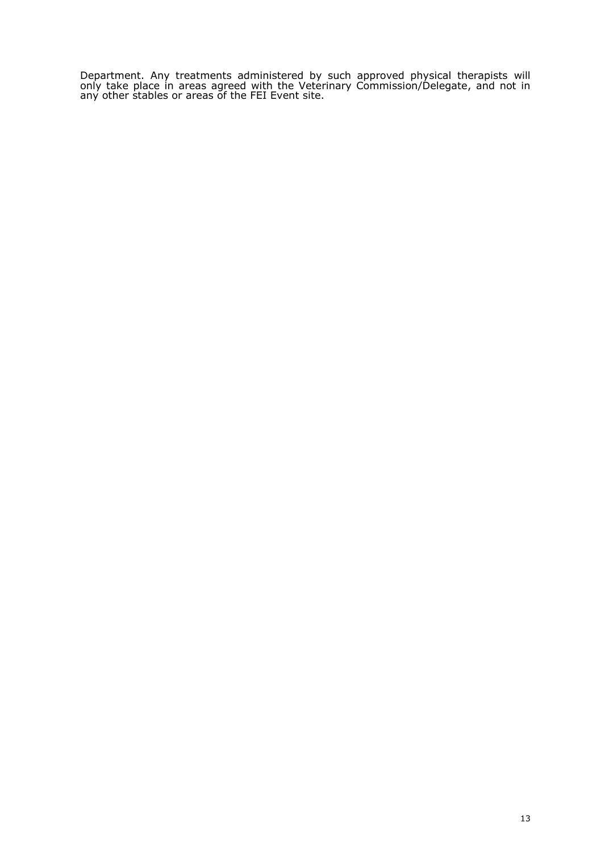Department. Any treatments administered by such approved physical therapists will only take place in areas agreed with the Veterinary Commission/Delegate, and not in any other stables or areas of the FEI Event site.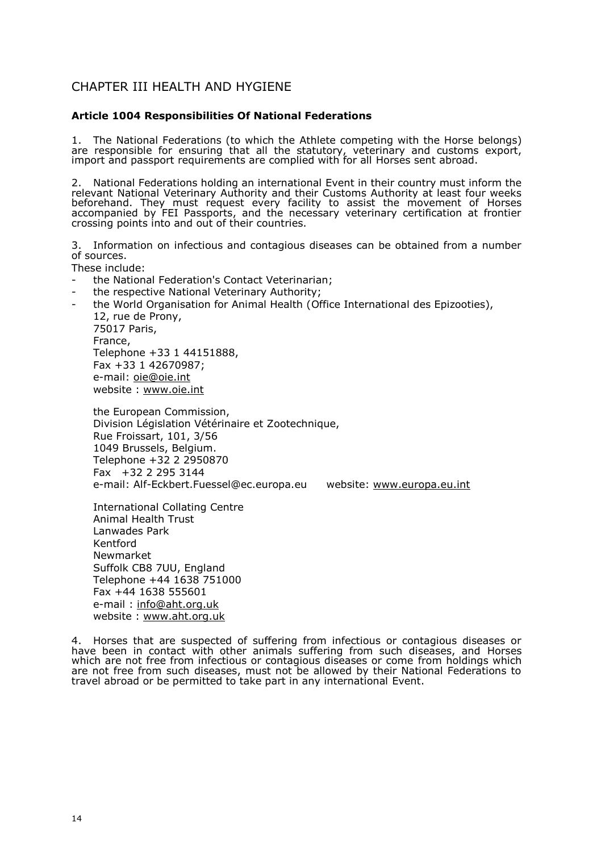# CHAPTER III HEALTH AND HYGIENE

Article004Responsibilities Of National Federations

1. The National Federations (to Atwh hie the aboundering with the elhology send to  $\alpha$ are responsible for ensuring that all therismtantyuiteanyd, oveestoms export, import and passport requirements are comphloinens be waith tfor broaded.

2. National Federations holding an Eintennithattheninal country must inform the relevant National Veterinary Authority and the irty ast benass tA fuour weeks beforehand. They must request every facility to assisthathere movement accompanied by FEI Passports, and the necessary veterinary certificati crossing points into and out of their countries.

3. Informati**on** infectious and contagious diseases can be obtained from of sources.

These include:

- the National Federation's Contact Veterinarian;
- the respective National Veterinary Authority;
- theWorld Organisation for Animal filteral International Expizooties), 12, rue de Prony, 75017 Paris, France, Telephone +33 1 44151888, Fax +33 1 42670987; e-mailoie@oie.int website[www.oie.](www.oie.int)int

the European Commission, Divisidmégislation Vétérinaire et Zootechnique, Rue Froissart, 101, 3/56 1049 Brussels, Belgium. Telephone +32 2 2950870 Fax +32 2 295 3144 e-mailAlfEckb[ert.Fuessel@ec.e](mailto:Fuessel@ec.europa.eu)urowpeab.seiuto[www.europa.e](www.europa.eu.int)u.int

Interna in all Collating Centre Animal Health Trust Lanwades Park Kentford Newmarket Suffolk CB8 7UU, England Telephone +44 1638 751000 Fax +44 1638 555601 e-mail [info@aht.or](mailto:info@aht.org.uk)g.uk website[www.aht.or](www.aht.org.uk)g.uk

4. Horses that are suspected of suffering from infectious or contagious have been in contact with other animals suffering from Hourse diseases, which are not free from infectious or contagious rolms ehaosledsings ovohmich are not free from such diseases, must not be allowed by their National I travel abroad or be permitted to take part in Eameyn international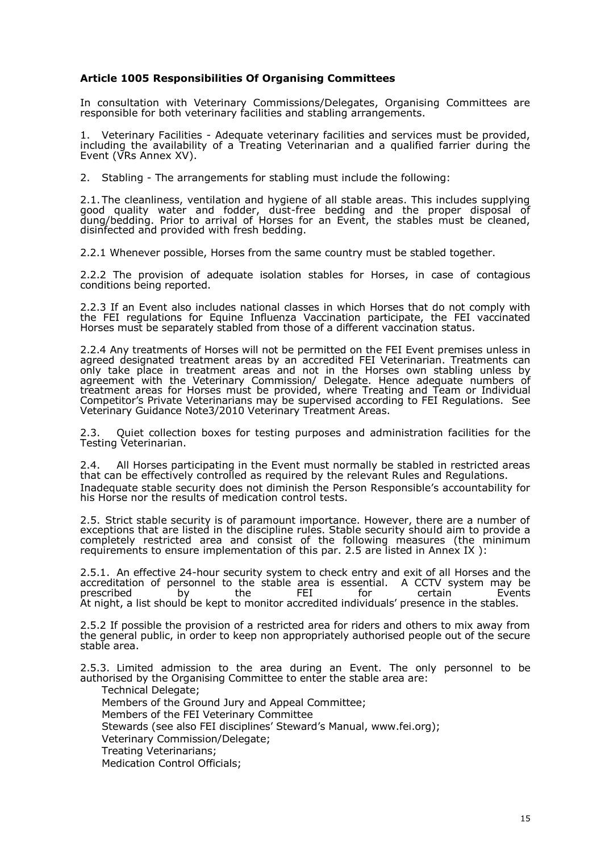Article 10085esponsibilities Of Organising Committees

In consultation Weittehrinary Commissions/Delegates, Organising Committ responsible for both veterinary facilities and stabling arrangements.

1. Veterinary FacilAtdequate veterinary facilities and services must be p including the availabilit ationfga V Teterinarian and a qualified farrier durin  $E$ ven $t$ t  $\sqrt{R}$  Annex  $X$   $V$ ).

2. Stabling he arrangements for stabling must include the following:

2.1The cleanliness, ventilation and hygiene of all stable areas. This inq good quality tew a and fodder, -free unstribution for and the proper disposal  $\cdot$ dung/bedding. Prior to ahrival for a Envent the stables must be cleaned, disinfected and provided with fresh bedding.

2.2.1 Whenever poble sirks the same country moldset d bleogs than er.

2.2.2 The provision of adequate isolatibologies ables as the contagious conditions being reported.

2.2.3 flanEvenalso includes national class Hoersse twhait cholo not comply with the FEI regulations for EquianeValocfulumentizon participate, the FEI vaccina Horsse must be separately stabled from those of a different vaccination status.

2.2.4Any treatment stoosse will not be permitted of hove in the Finlis eusnless in agrede designated treatment are **ass** chored FEI Veterinare and ments can a only take plactereiantment areasol not in the ersse own stabling unless by agreement with the VeterinassyionC/Denlmengia.te $H$ enceadequte numbers of treatment arfecarshiors semust be providwender Tereating anTelam orndividual Competitor is a Provieter in a rians brea psupervia edording to REE pulationSsee. Veterinary Guidance Note3/2010 Veterinary Treatment Areas.

2.3. Quiet collection boxes for testing purposes and admonisheation fac Testingeterinarian.

2.4. AllHorsse participating **Enethme**ust normally be stabled in restricted are that can be effectively controlled as required by the relevant Rules and Inadequate stable security does nopelisminishest pensible s accountability for all  $\alpha$ hisHorseor the results of medication control tests.

2.5.Strict stable security is of paramount importance. However, there ar exceptions that are listed in the discipline rules. In Statian to like speroswrichtey as hou compl**e**lty restricted area coannsolst of the following m{tehae smourme ismum requirements to ensure implementiation  $a$  at are listed in Annex IX ):

2.5.1 An effectiveh clu4r security system to check entry Haondsse antoubé all accretalition opersonnel to the stable asseantial CCTV system may be<br>prescribed by the FEI for cerEavienst prescribed by the At night, a list should be kept to monitor accredited individuals  $\,$  presenc $\,$   $\,$ 

2.5.2 If possible the provision of a restricted area for riders and others thegeneral public, in ordemotmoaple peoppriately authorised people out of the se stable area.

2.53. Limited admission to the area Edwerning Thæn only persolonele authorised by the Organising Committee to enter the stable area are: Technical Delegate;

Members of the an Gdr Jury and Appeal Committee;

Members of the FEI Veterinary Committee

Stewards (see also FEI disciplines S[teward s](www.fei.org) Manual, www.fei.org); Veterinary Commission/Delegate;

- Treating Veterinarians;
- Medication Control Officials;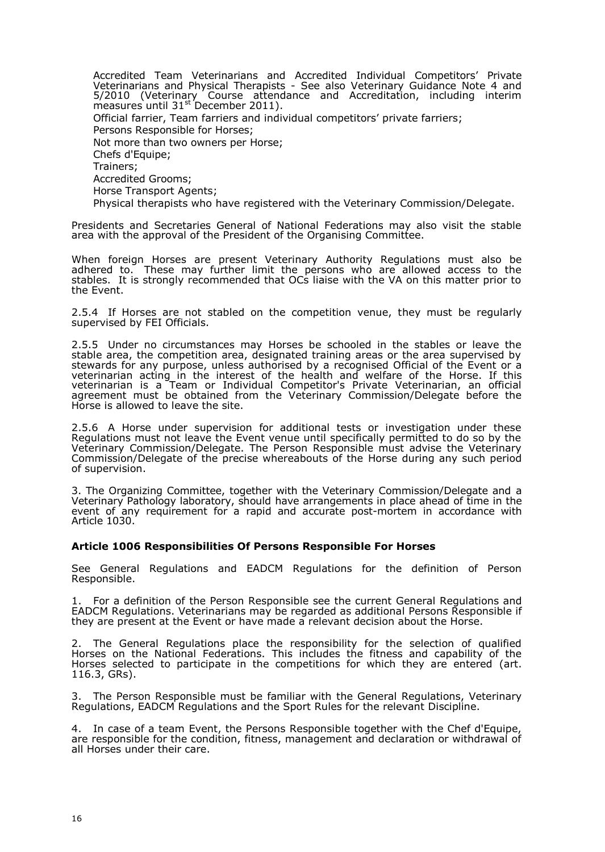Accredited Team Veterinarians and Accredited Individual Competitors' Private Veterinarians and Physical Therapists - See also Veterinary Guidance Note 4 and 5/2010 (Veterinary Course attendance and Accreditation, including interim  $m$ easures until 31s<sup>t</sup> December 2011). Official farrier, Team farriers and individual competitors' private farriers; Persons Responsible for Horses; Not more than two owners per Horse; Chefs d'Equipe; Trainers; Accredited Grooms; Horse Transport Agents; Physical therapists who have registered with the Veterinary Commission/Delegate.

Presidents and Secretaries General of National Federations may also visit the stable area with the approval of the President of the Organising Committee.

When foreign Horses are present Veterinary Authority Regulations must also be adhered to. These may further limit the persons who are allowed access to the stables. It is strongly recommended that OCs liaise with the VA on this matter prior to the Event.

2.5.4 If Horses are not stabled on the competition venue, they must be regularly supervised by FEI Officials.

2.5.5 Under no circumstances may Horses be schooled in the stables or leave the stable area, the competition area, designated training areas or the area supervised by stewards for any purpose, unless authorised by a recognised Official of the Event or a veterinarian acting in the interest of the health and welfare of the Horse. If this veterinarian is a Team or Individual Competitor's Private Veterinarian, an official agreement must be obtained from the Veterinary Commission/Delegate before the Horse is allowed to leave the site.

2.5.6 A Horse under supervision for additional tests or investigation under these Regulations must not leave the Event venue until specifically permitted to do so by the Veterinary Commission/Delegate. The Person Responsible must advise the Veterinary Commission/Delegate of the precise whereabouts of the Horse during any such period of supervision.

3. The Organizing Committee, together with the Veterinary Commission/Delegate and a Veterinary Pathology laboratory, should have arrangements in place ahead of time in the event of any requirement for a rapid and accurate post-mortem in accordance with Article 1030.

#### **Article 1006 Responsibilities Of Persons Responsible For Horses**

See General Regulations and EADCM Regulations for the definition of Person Responsible.

1. For a definition of the Person Responsible see the current General Regulations and EADCM Regulations. Veterinarians may be regarded as additional Persons Responsible if they are present at the Event or have made a relevant decision about the Horse.

2. The General Regulations place the responsibility for the selection of qualified Horses on the National Federations. This includes the fitness and capability of the Horses selected to participate in the competitions for which they are entered (art. 116.3, GRs).

3. The Person Responsible must be familiar with the General Regulations, Veterinary Regulations, EADCM Regulations and the Sport Rules for the relevant Discipline.

4. In case of a team Event, the Persons Responsible together with the Chef d'Equipe, are responsible for the condition, fitness, management and declaration or withdrawal of all Horses under their care.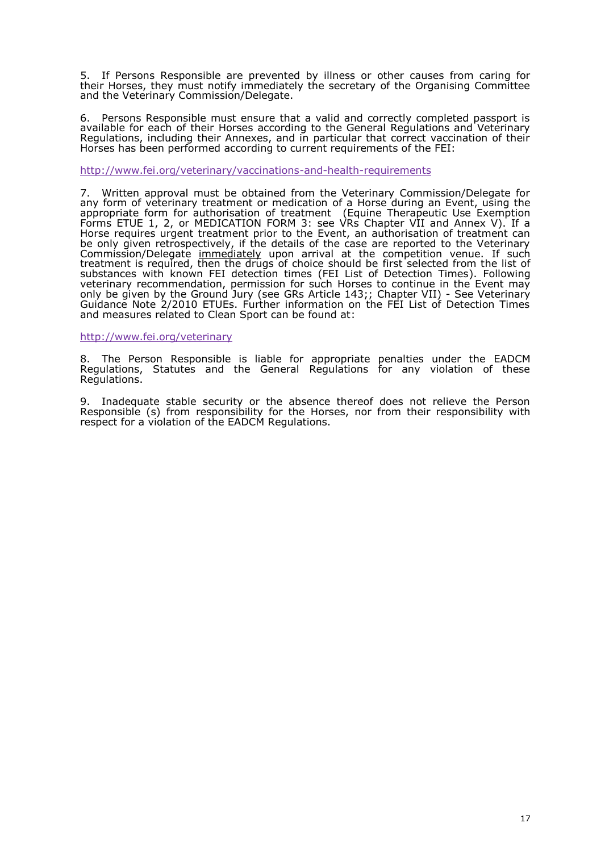5. If Persons Responsible eveen et all phy illnes sthoer causes from caring for theiHorsse, they must notify immediately the secretary of the Organising and the Veterinary Commission/Delegate.

6. Persons Responsible must ensure that a valid and correctly complet available focth ecaf thehiorrsse according to the General Regulations and Vete Regulations, including their Annexes, and in particular that correct vac Horses has been performed according to current requirements of the FEI:

#### http://www.fei.org/veterinary/veacondheadibhesquirements

7. Written approval must be obtained from the Veterinary Commission/ any form of veterinary treatment oofmadelobircsanetiuoring aEnventusing the appropriate form for authorisation  $\alpha$  Equentem Therapeutic Use Exemption Form  $\mathsf{ETUB}$ , 2,  $\mathsf{dMEDICATION}$  FQRsWee3 be  $\mathsf{RChapter}$  VII and Annex V). If a Horseequires urgent treatmet the Toentan unthorisation of treatment can beonlygiven retrospectively, if the details of the case are reported to t Commission/Deleigmenthe diately pon arrival at the competition swearhue. treatment is required, then the drugs of cfhiosices ssilheaculedd bhoeo mhist of substancwesthknown FEI detection times (FEI List of **D.eFteeld biwe ing Times** veterinary recommendation, permissHonsséotro soucachtinue iEivtehnentmay onlybe given by the Ground JGuRys (Asreticle 1G4H3ap;ter VI-I)See Veterinary Guidance Note 2/2010 ETUEs. Further information on the FEI List of D and measures related to Clean Sport can be found at :

[http://www.fei.org/ve](http://www.fei.org/veterinary)terinary

8. The Pers&nesponsible is liable for appropriate pena EMADSC Munder th RegulationSst, atutes and the General Regulations for any violation Regulations .

9. Inadequate stable security or the absence thereof does not relieve Responsi $\varphi$ s from responsibility for the Sea, nor of m their responsibility with respectoraviolation of the EADCM Regulations.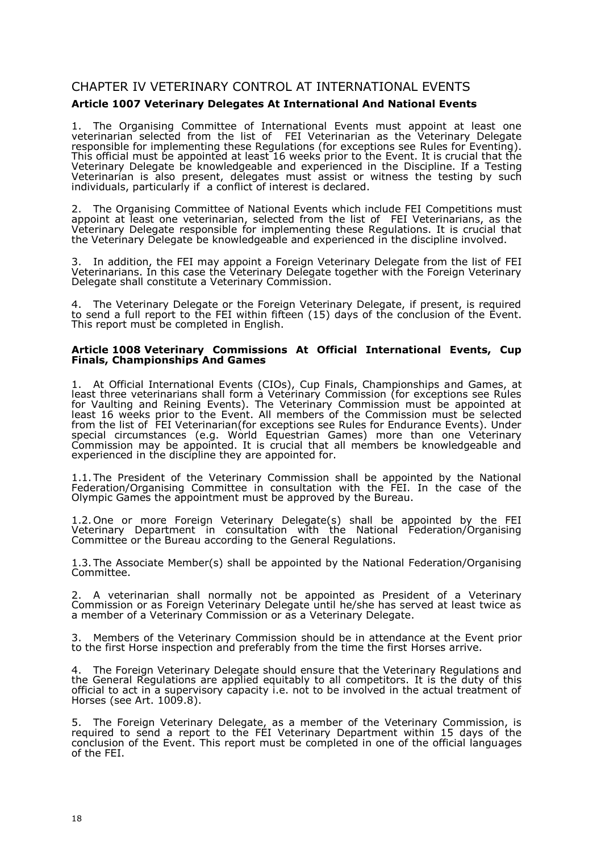# CHAPTER IV VETERINARY CONTROL AT INTERNATIONAL EVENTS

# **Article 1007 Veterinary Delegates At International And National Events**

1. The Organising Committee of International Events must appoint at least one veterinarian selected from the list of FEI Veterinarian as the Veterinary Delegate responsible for implementing these Regulations (for exceptions see Rules for Eventing). This official must be appointed at least 16 weeks prior to the Event. It is crucial that the Veterinary Delegate be knowledgeable and experienced in the Discipline. If a Testing Veterinarian is also present, delegates must assist or witness the testing by such individuals, particularly if a conflict of interest is declared.

2. The Organising Committee of National Events which include FEI Competitions must appoint at least one veterinarian, selected from the list of FEI Veterinarians, as the Veterinary Delegate responsible for implementing these Regulations. It is crucial that the Veterinary Delegate be knowledgeable and experienced in the discipline involved.

3. In addition, the FEI may appoint a Foreign Veterinary Delegate from the list of FEI Veterinarians. In this case the Veterinary Delegate together with the Foreign Veterinary Delegate shall constitute a Veterinary Commission.

4. The Veterinary Delegate or the Foreign Veterinary Delegate, if present, is required to send a full report to the FEI within fifteen (15) days of the conclusion of the Event. This report must be completed in English.

#### **Article 1008 Veterinary Commissions At Official International Events, Cup Finals, Championships And Games**

1. At Official International Events (CIOs), Cup Finals, Championships and Games, at least three veterinarians shall form a Veterinary Commission (for exceptions see Rules for Vaulting and Reining Events). The Veterinary Commission must be appointed at least 16 weeks prior to the Event. All members of the Commission must be selected from the list of FEI Veterinarian(for exceptions see Rules for Endurance Events). Under special circumstances (e.g. World Equestrian Games) more than one Veterinary Commission may be appointed. It is crucial that all members be knowledgeable and experienced in the discipline they are appointed for.

1.1.The President of the Veterinary Commission shall be appointed by the National Federation/Organising Committee in consultation with the FEI. In the case of the Olympic Games the appointment must be approved by the Bureau.

1.2.One or more Foreign Veterinary Delegate(s) shall be appointed by the FEI Veterinary Department in consultation with the National Federation/Organising Committee or the Bureau according to the General Regulations.

1.3.The Associate Member(s) shall be appointed by the National Federation/Organising Committee.

2. A veterinarian shall normally not be appointed as President of a Veterinary Commission or as Foreign Veterinary Delegate until he/she has served at least twice as a member of a Veterinary Commission or as a Veterinary Delegate.

3. Members of the Veterinary Commission should be in attendance at the Event prior to the first Horse inspection and preferably from the time the first Horses arrive.

4. The Foreign Veterinary Delegate should ensure that the Veterinary Regulations and the General Regulations are applied equitably to all competitors. It is the duty of this official to act in a supervisory capacity i.e. not to be involved in the actual treatment of Horses (see Art. 1009.8).

5. The Foreign Veterinary Delegate, as a member of the Veterinary Commission, is required to send a report to the FEI Veterinary Department within 15 days of the conclusion of the Event. This report must be completed in one of the official languages of the FEI.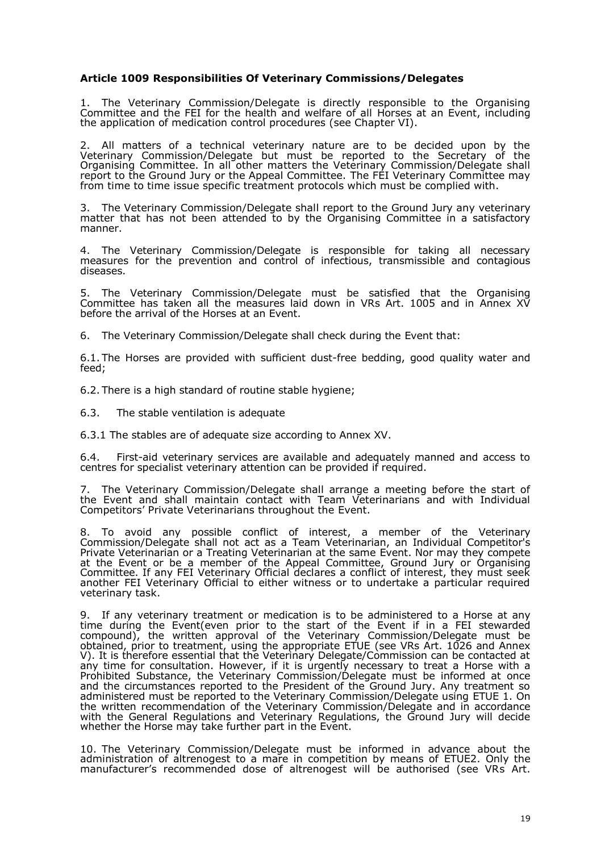# **Article 1009 Responsibilities Of Veterinary Commissions/Delegates**

1. The Veterinary Commission/Delegate is directly responsible to the Organising Committee and the FEI for the health and welfare of all Horses at an Event, including the application of medication control procedures (see Chapter VI).

2. All matters of a technical veterinary nature are to be decided upon by the Veterinary Commission/Delegate but must be reported to the Secretary of the Organising Committee. In all other matters the Veterinary Commission/Delegate shall report to the Ground Jury or the Appeal Committee. The FEI Veterinary Committee may from time to time issue specific treatment protocols which must be complied with.

3. The Veterinary Commission/Delegate shall report to the Ground Jury any veterinary matter that has not been attended to by the Organising Committee in a satisfactory manner.

4. The Veterinary Commission/Delegate is responsible for taking all necessary measures for the prevention and control of infectious, transmissible and contagious diseases.

5. The Veterinary Commission/Delegate must be satisfied that the Organising Committee has taken all the measures laid down in VRs Art. 1005 and in Annex XV before the arrival of the Horses at an Event.

6. The Veterinary Commission/Delegate shall check during the Event that:

6.1. The Horses are provided with sufficient dust-free bedding, good quality water and feed;

6.2. There is a high standard of routine stable hygiene;

6.3. The stable ventilation is adequate

6.3.1 The stables are of adequate size according to Annex XV.

6.4. First-aid veterinary services are available and adequately manned and access to centres for specialist veterinary attention can be provided if required.

7. The Veterinary Commission/Delegate shall arrange a meeting before the start of the Event and shall maintain contact with Team Veterinarians and with Individual Competitors' Private Veterinarians throughout the Event.

8. To avoid any possible conflict of interest, a member of the Veterinary Commission/Delegate shall not act as a Team Veterinarian, an Individual Competitor's Private Veterinarian or a Treating Veterinarian at the same Event. Nor may they compete at the Event or be a member of the Appeal Committee, Ground Jury or Organising Committee. If any FEI Veterinary Official declares a conflict of interest, they must seek another FEI Veterinary Official to either witness or to undertake a particular required veterinary task.

9. If any veterinary treatment or medication is to be administered to a Horse at any time during the Event(even prior to the start of the Event if in a FEI stewarded compound), the written approval of the Veterinary Commission/Delegate must be obtained, prior to treatment, using the appropriate ETUE (see VRs Art. 1026 and Annex V). It is therefore essential that the Veterinary Delegate/Commission can be contacted at any time for consultation. However, if it is urgently necessary to treat a Horse with a Prohibited Substance, the Veterinary Commission/Delegate must be informed at once and the circumstances reported to the President of the Ground Jury. Any treatment so administered must be reported to the Veterinary Commission/Delegate using ETUE 1. On the written recommendation of the Veterinary Commission/Delegate and in accordance with the General Regulations and Veterinary Regulations, the Ground Jury will decide whether the Horse may take further part in the Event.

10. The Veterinary Commission/Delegate must be informed in advance about the administration of altrenogest to a mare in competition by means of ETUE2. Only the manufacturer's recommended dose of altrenogest will be authorised (see VRs Art.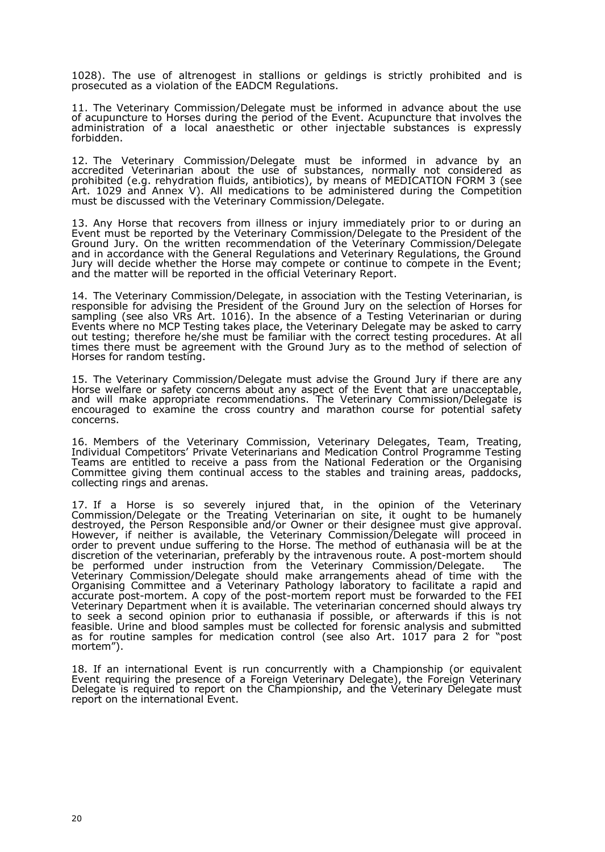1028). The use of altrenogest in stallions or geldings is strictly prohibited and is prosecuted as a violation of the EADCM Regulations.

11. The Veterinary Commission/Delegate must be informed in advance about the use of acupuncture to Horses during the period of the Event. Acupuncture that involves the administration of a local anaesthetic or other injectable substances is expressly forbidden.

12. The Veterinary Commission/Delegate must be informed in advance by an accredited Veterinarian about the use of substances, normally not considered as prohibited (e.g. rehydration fluids, antibiotics), by means of MEDICATION FORM 3 (see Art. 1029 and Annex V). All medications to be administered during the Competition must be discussed with the Veterinary Commission/Delegate.

13. Any Horse that recovers from illness or injury immediately prior to or during an Event must be reported by the Veterinary Commission/Delegate to the President of the Ground Jury. On the written recommendation of the Veterinary Commission/Delegate and in accordance with the General Regulations and Veterinary Regulations, the Ground Jury will decide whether the Horse may compete or continue to compete in the Event; and the matter will be reported in the official Veterinary Report.

14. The Veterinary Commission/Delegate, in association with the Testing Veterinarian, is responsible for advising the President of the Ground Jury on the selection of Horses for sampling (see also VRs Art. 1016). In the absence of a Testing Veterinarian or during Events where no MCP Testing takes place, the Veterinary Delegate may be asked to carry out testing; therefore he/she must be familiar with the correct testing procedures. At all times there must be agreement with the Ground Jury as to the method of selection of Horses for random testing.

15. The Veterinary Commission/Delegate must advise the Ground Jury if there are any Horse welfare or safety concerns about any aspect of the Event that are unacceptable, and will make appropriate recommendations. The Veterinary Commission/Delegate is encouraged to examine the cross country and marathon course for potential safety concerns.

16. Members of the Veterinary Commission, Veterinary Delegates, Team, Treating, Individual Competitors' Private Veterinarians and Medication Control Programme Testing Teams are entitled to receive a pass from the National Federation or the Organising Committee giving them continual access to the stables and training areas, paddocks, collecting rings and arenas.

17. If a Horse is so severely injured that, in the opinion of the Veterinary Commission/Delegate or the Treating Veterinarian on site, it ought to be humanely destroyed, the Person Responsible and/or Owner or their designee must give approval. However, if neither is available, the Veterinary Commission/Delegate will proceed in order to prevent undue suffering to the Horse. The method of euthanasia will be at the discretion of the veterinarian, preferably by the intravenous route. A post-mortem should<br>be performed under instruction from the Veterinary Commission/Delegate. The be performed under instruction from the Veterinary Commission/Delegate. Veterinary Commission/Delegate should make arrangements ahead of time with the Organising Committee and a Veterinary Pathology laboratory to facilitate a rapid and accurate post-mortem. A copy of the post-mortem report must be forwarded to the FEI Veterinary Department when it is available. The veterinarian concerned should always try to seek a second opinion prior to euthanasia if possible, or afterwards if this is not feasible. Urine and blood samples must be collected for forensic analysis and submitted as for routine samples for medication control (see also Art. 1017 para 2 for "post mortem").

18. If an international Event is run concurrently with a Championship (or equivalent Event requiring the presence of a Foreign Veterinary Delegate), the Foreign Veterinary Delegate is required to report on the Championship, and the Veterinary Delegate must report on the international Event.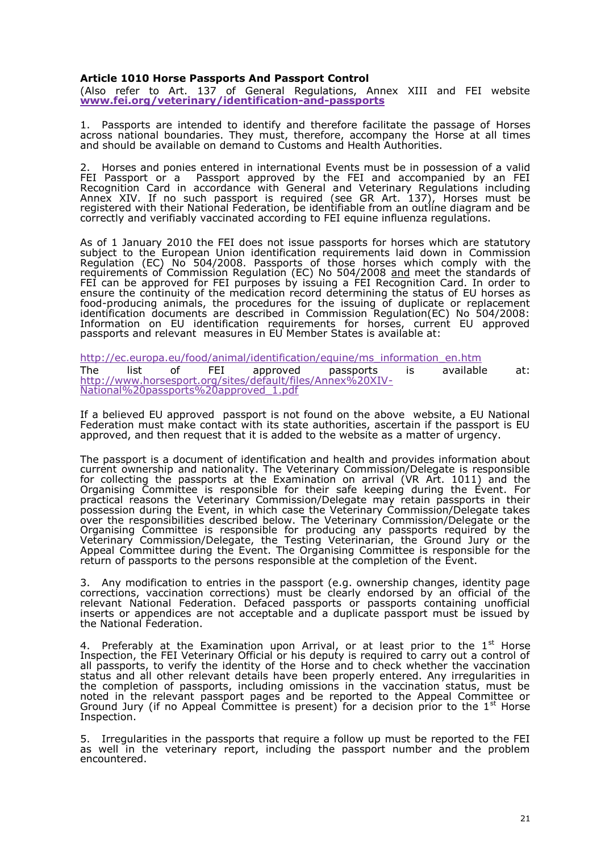Article 1010 Horse Passports And Passport Control  $(A \cup B)$  refer to  $A$ rt. 137 of General Regulations, Annex XIII and www.fei.org/veterinary/identificantidoprassports

1. Passports are intended to identify and therefore faciH  $b$ ats the pass across national boundaries. They must, thereformelprasopactoraniplatiymethe and should bea $\texttt{\&value}$  demand to Customs and Health Authorities.

2. Horses and ponies entered in ilet rematanticos tabe in possession of a valid FEI Passport or a GPassport approved by the FEI and accompaniec Recognition Card in accordance winto Cetreeriaars Regulations including Annex XIV. If no such passport is required (selelonGs mAutst b $\mathfrak{D}$ 7), registered with their National Federation, be identifiable from an outline correctly and verifiably vaccinated aequidengnibue  $E/d$  regulations.

As of 1 January 2010 the FEI does not issue passportssf**atuhory**es whic subject to the European Union identification require©nœm tnsislsaiiodn down i Regulation (EC) No 504/2008. Passports of to hosoeomhopinyse woritwh hithe requirements of Commission Regulation (E<u>Can</u>dNhoee5t04!hetOsOit&andards of FEI can be approved for FEI purpose.sFEbl,Reiososgunintgiona Card. In order to ensure the continuity of the medication record deterEn Unimagrstehse assiatus o foodproducing animals, the procedures for the issuing of duplicate or identification documents are described in Commission Regulation(EC) Information on EU identification requirements for horses, current I passports and relevant measures in EU Member States is available at:

[http://ec.europa.eu/food/animal/identification/equine/ms](http://ec.europa.eu/food/animal/identification/equine/ms_information_en.htm)\_information\_en. The list of FEI rovapp passports is available at: [http://www.horsesport.org/sites/default/file](http://www.horsesport.org/sites/default/files/Annex%20XIV-)s/Annex%20XIV - National%20passports%20approved\_1.pdf

If a belie $\mathsf{E}\mathsf{d}\mathsf{d}$  approved passport is not found on the above website, a  $\mathsf{E}\mathsf{d}\mathsf{d}$ Federation must make contact with its state authorities, ascertain if the approved, and then request that it is added to the website as a matter o

The passpos a document of identification and health and provides inforr current ownership and nationality. The Veterinary Commission/Delegate for collecting the passports at the Examination on arrival (VR Art. 1 Organising mo $\mathfrak m$  ittee is responsible for their safe keepEivnegntd Fuoring the practical reasons the Veterinary Commission/Delegate may retain pass possession durinEgvehein which case the Veterinary Commission/Delegate over the respointise is it it it is delow. The Veterinary Commission/Delega Organising Committee is responsible for producing any passports red Veterinary Commission/Delegate, the Testing Veterinarian, the Ground Appeal Committee durEngenth Ehe Organising Committee is responsible for return of passports to the persons responsible at the endmpletion of the

3. Any modification to entries in the passport (e.g. ownership changes, corrections, vaccination communsous time mostlearly endorsed by an official of relevant National Federation. Defaced passports or passports contain inserts or appendices are not acceptable and a duplicate passport mus the National Federation.

4. Preferablty the Examination upon Arrival, or at leas<sup>t</sup> iploinste to the Inspection, the FEI Veterinary Official or his deputy is required to carry all passports, to verify the identity and the check whether the vaccination status danall other relevant details have been properly entered. Any irre the completion of passports, including omissions in the vaccination status, noted in the relevant passport pages and be reported to the Appeal Ground Jurfy no Appeal Committee is present) for a decisibar peior to the Inspection.

5. Irregularities in the passports that require a follow up must be report as well in the veterinary report, including the passport number and encountered.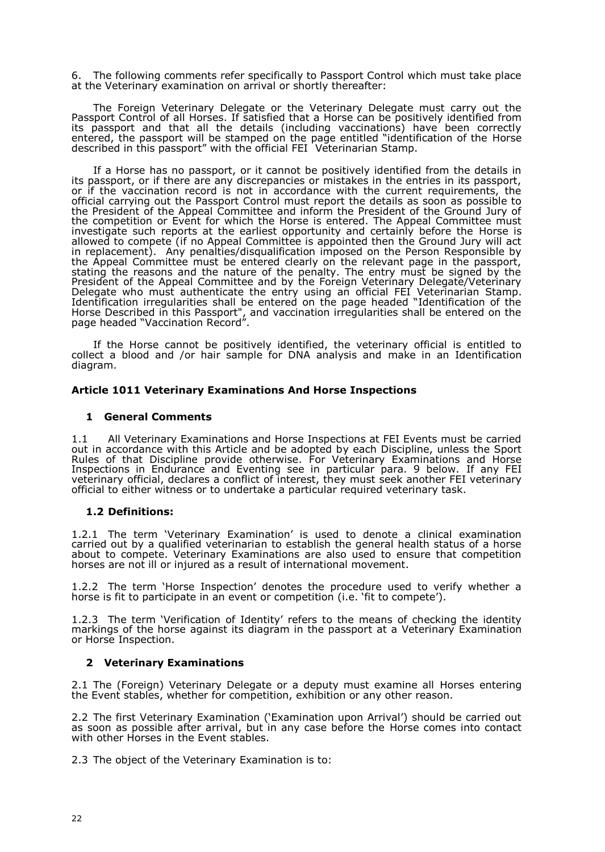6. The following comments refer specifically to Passport Control which must take place at the Veterinary examination on arrival or shortly thereafter:

The Foreign Veterinary Delegate or the Veterinary Delegate must carry out the Passport Control of all Horses. If satisfied that a Horse can be positively identified from its passport and that all the details (including vaccinations) have been correctly entered, the passport will be stamped on the page entitled "identification of the Horse described in this passport" with the official FEI Veterinarian Stamp.

If a Horse has no passport, or it cannot be positively identified from the details in its passport, or if there are any discrepancies or mistakes in the entries in its passport, or if the vaccination record is not in accordance with the current requirements, the official carrying out the Passport Control must report the details as soon as possible to the President of the Appeal Committee and inform the President of the Ground Jury of the competition or Event for which the Horse is entered. The Appeal Committee must investigate such reports at the earliest opportunity and certainly before the Horse is allowed to compete (if no Appeal Committee is appointed then the Ground Jury will act in replacement). Any penalties/disqualification imposed on the Person Responsible by the Appeal Committee must be entered clearly on the relevant page in the passport, stating the reasons and the nature of the penalty. The entry must be signed by the President of the Appeal Committee and by the Foreign Veterinary Delegate/Veterinary Delegate who must authenticate the entry using an official FEI Veterinarian Stamp. Identification irregularities shall be entered on the page headed "Identification of the Horse Described in this Passport", and vaccination irregularities shall be entered on the page headed "Vaccination Record".

If the Horse cannot be positively identified, the veterinary official is entitled to collect a blood and /or hair sample for DNA analysis and make in an Identification diagram.

#### **Article 1011 Veterinary Examinations And Horse Inspections**

#### **1 General Comments**

1.1 All Veterinary Examinations and Horse Inspections at FEI Events must be carried out in accordance with this Article and be adopted by each Discipline, unless the Sport Rules of that Discipline provide otherwise. For Veterinary Examinations and Horse Inspections in Endurance and Eventing see in particular para. 9 below. If any FEI veterinary official, declares a conflict of interest, they must seek another FEI veterinary official to either witness or to undertake a particular required veterinary task.

#### **1.2 Definitions:**

1.2.1 The term 'Veterinary Examination' is used to denote a clinical examination carried out by a qualified veterinarian to establish the general health status of a horse about to compete. Veterinary Examinations are also used to ensure that competition horses are not ill or injured as a result of international movement.

1.2.2 The term 'Horse Inspection' denotes the procedure used to verify whether a horse is fit to participate in an event or competition (i.e. 'fit to compete').

1.2.3 The term 'Verification of Identity' refers to the means of checking the identity markings of the horse against its diagram in the passport at a Veterinary Examination or Horse Inspection.

#### **2 Veterinary Examinations**

2.1 The (Foreign) Veterinary Delegate or a deputy must examine all Horses entering the Event stables, whether for competition, exhibition or any other reason.

2.2 The first Veterinary Examination ('Examination upon Arrival') should be carried out as soon as possible after arrival, but in any case before the Horse comes into contact with other Horses in the Event stables.

2.3 The object of the Veterinary Examination is to: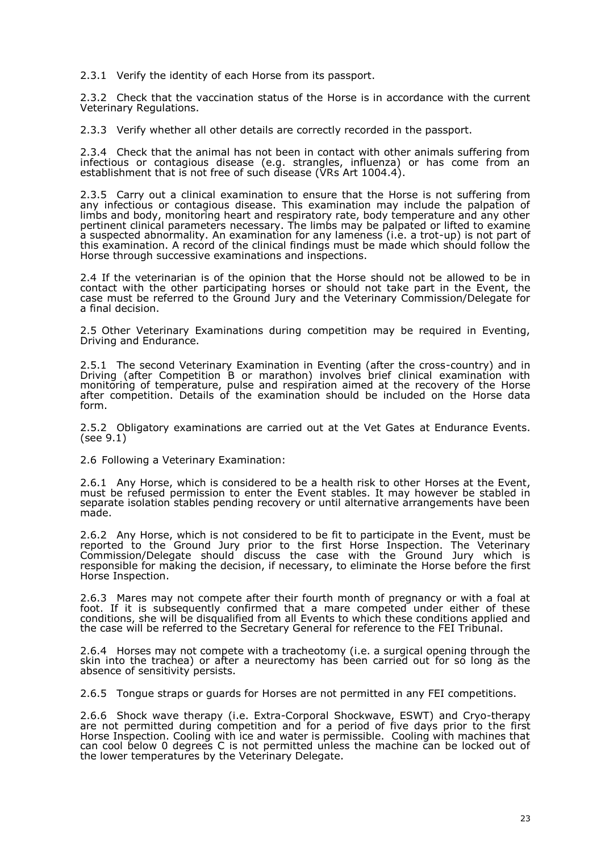2.3.1 Verify the identity of each Horse from its passport.

2.3.2 Check that the vaccination status of the Horse is in accordance with the current Veterinary Regulations.

2.3.3 Verify whether all other details are correctly recorded in the passport.

2.3.4 Check that the animal has not been in contact with other animals suffering from infectious or contagious disease (e.g. strangles, influenza) or has come from an establishment that is not free of such disease (VRs Art 1004.4).

2.3.5 Carry out a clinical examination to ensure that the Horse is not suffering from any infectious or contagious disease. This examination may include the palpation of limbs and body, monitoring heart and respiratory rate, body temperature and any other pertinent clinical parameters necessary. The limbs may be palpated or lifted to examine a suspected abnormality. An examination for any lameness (i.e. a trot-up) is not part of this examination. A record of the clinical findings must be made which should follow the Horse through successive examinations and inspections.

2.4 If the veterinarian is of the opinion that the Horse should not be allowed to be in contact with the other participating horses or should not take part in the Event, the case must be referred to the Ground Jury and the Veterinary Commission/Delegate for a final decision.

2.5 Other Veterinary Examinations during competition may be required in Eventing, Driving and Endurance.

2.5.1 The second Veterinary Examination in Eventing (after the cross-country) and in Driving (after Competition B or marathon) involves brief clinical examination with monitoring of temperature, pulse and respiration aimed at the recovery of the Horse after competition. Details of the examination should be included on the Horse data form.

2.5.2 Obligatory examinations are carried out at the Vet Gates at Endurance Events. (see 9.1)

2.6 Following a Veterinary Examination:

2.6.1 Any Horse, which is considered to be a health risk to other Horses at the Event, must be refused permission to enter the Event stables. It may however be stabled in separate isolation stables pending recovery or until alternative arrangements have been made.

2.6.2 Any Horse, which is not considered to be fit to participate in the Event, must be reported to the Ground Jury prior to the first Horse Inspection. The Veterinary Commission/Delegate should discuss the case with the Ground Jury which is responsible for making the decision, if necessary, to eliminate the Horse before the first Horse Inspection.

2.6.3 Mares may not compete after their fourth month of pregnancy or with a foal at foot. If it is subsequently confirmed that a mare competed under either of these conditions, she will be disqualified from all Events to which these conditions applied and the case will be referred to the Secretary General for reference to the FEI Tribunal.

2.6.4 Horses may not compete with a tracheotomy (i.e. a surgical opening through the skin into the trachea) or after a neurectomy has been carried out for so long as the absence of sensitivity persists.

2.6.5 Tongue straps or guards for Horses are not permitted in any FEI competitions.

2.6.6 Shock wave therapy (i.e. Extra-Corporal Shockwave, ESWT) and Cryo-therapy are not permitted during competition and for a period of five days prior to the first Horse Inspection. Cooling with ice and water is permissible. Cooling with machines that can cool below 0 degrees C is not permitted unless the machine can be locked out of the lower temperatures by the Veterinary Delegate.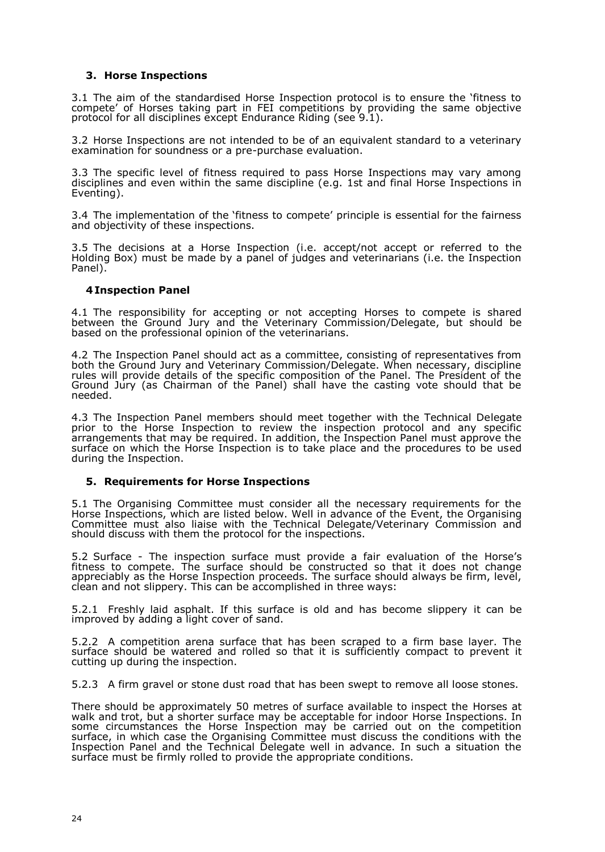# **3. Horse Inspections**

3.1 The aim of the standardised Horse Inspection protocol is to ensure the 'fitness to compete' of Horses taking part in FEI competitions by providing the same objective protocol for all disciplines except Endurance Riding (see 9.1).

3.2 Horse Inspections are not intended to be of an equivalent standard to a veterinary examination for soundness or a pre-purchase evaluation.

3.3 The specific level of fitness required to pass Horse Inspections may vary among disciplines and even within the same discipline (e.g. 1st and final Horse Inspections in Eventing).

3.4 The implementation of the 'fitness to compete' principle is essential for the fairness and objectivity of these inspections.

3.5 The decisions at a Horse Inspection (i.e. accept/not accept or referred to the Holding Box) must be made by a panel of judges and veterinarians (i.e. the Inspection Panel).

#### **4 Inspection Panel**

4.1 The responsibility for accepting or not accepting Horses to compete is shared between the Ground Jury and the Veterinary Commission/Delegate, but should be based on the professional opinion of the veterinarians.

4.2 The Inspection Panel should act as a committee, consisting of representatives from both the Ground Jury and Veterinary Commission/Delegate. When necessary, discipline rules will provide details of the specific composition of the Panel. The President of the Ground Jury (as Chairman of the Panel) shall have the casting vote should that be needed.

4.3 The Inspection Panel members should meet together with the Technical Delegate prior to the Horse Inspection to review the inspection protocol and any specific arrangements that may be required. In addition, the Inspection Panel must approve the surface on which the Horse Inspection is to take place and the procedures to be used during the Inspection.

# **5. Requirements for Horse Inspections**

5.1 The Organising Committee must consider all the necessary requirements for the Horse Inspections, which are listed below. Well in advance of the Event, the Organising Committee must also liaise with the Technical Delegate/Veterinary Commission and should discuss with them the protocol for the inspections.

5.2 Surface - The inspection surface must provide a fair evaluation of the Horse's fitness to compete. The surface should be constructed so that it does not change appreciably as the Horse Inspection proceeds. The surface should always be firm, level, clean and not slippery. This can be accomplished in three ways:

5.2.1 Freshly laid asphalt. If this surface is old and has become slippery it can be improved by adding a light cover of sand.

5.2.2 A competition arena surface that has been scraped to a firm base layer. The surface should be watered and rolled so that it is sufficiently compact to prevent it cutting up during the inspection.

5.2.3 A firm gravel or stone dust road that has been swept to remove all loose stones.

There should be approximately 50 metres of surface available to inspect the Horses at walk and trot, but a shorter surface may be acceptable for indoor Horse Inspections. In some circumstances the Horse Inspection may be carried out on the competition surface, in which case the Organising Committee must discuss the conditions with the Inspection Panel and the Technical Delegate well in advance. In such a situation the surface must be firmly rolled to provide the appropriate conditions.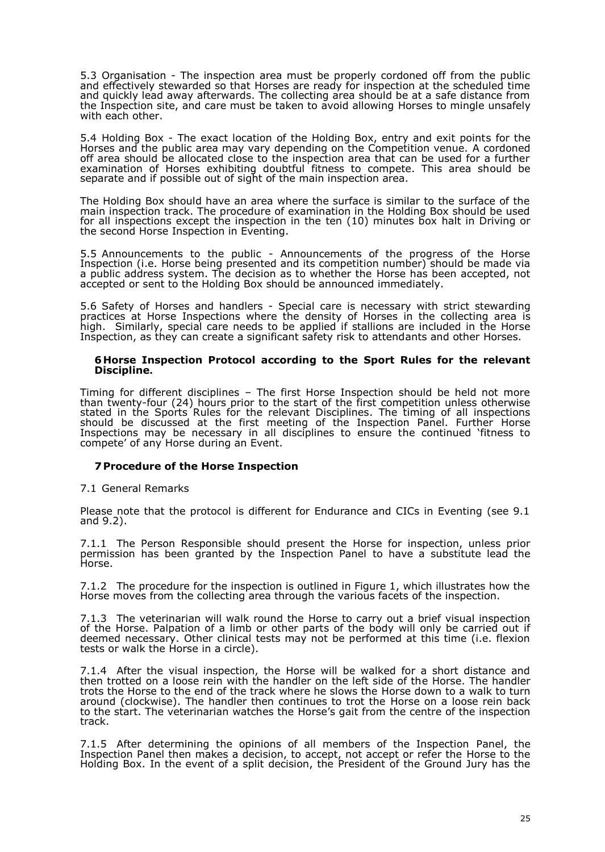5.3 Organisation - The inspection area must be properly cordoned off from the public and effectively stewarded so that Horses are ready for inspection at the scheduled time and quickly lead away afterwards. The collecting area should be at a safe distance from the Inspection site, and care must be taken to avoid allowing Horses to mingle unsafely with each other.

5.4 Holding Box - The exact location of the Holding Box, entry and exit points for the Horses and the public area may vary depending on the Competition venue. A cordoned off area should be allocated close to the inspection area that can be used for a further examination of Horses exhibiting doubtful fitness to compete. This area should be separate and if possible out of sight of the main inspection area.

The Holding Box should have an area where the surface is similar to the surface of the main inspection track. The procedure of examination in the Holding Box should be used for all inspections except the inspection in the ten (10) minutes box halt in Driving or the second Horse Inspection in Eventing.

5.5 Announcements to the public - Announcements of the progress of the Horse Inspection (i.e. Horse being presented and its competition number) should be made via a public address system. The decision as to whether the Horse has been accepted, not accepted or sent to the Holding Box should be announced immediately.

5.6 Safety of Horses and handlers - Special care is necessary with strict stewarding practices at Horse Inspections where the density of Horses in the collecting area is high. Similarly, special care needs to be applied if stallions are included in the Horse Inspection, as they can create a significant safety risk to attendants and other Horses.

#### **6 Horse Inspection Protocol according to the Sport Rules for the relevant Discipline.**

Timing for different disciplines – The first Horse Inspection should be held not more than twenty-four (24) hours prior to the start of the first competition unless otherwise stated in the Sports Rules for the relevant Disciplines. The timing of all inspections should be discussed at the first meeting of the Inspection Panel. Further Horse Inspections may be necessary in all disciplines to ensure the continued 'fitness to compete' of any Horse during an Event.

#### **7Procedure of the Horse Inspection**

7.1 General Remarks

Please note that the protocol is different for Endurance and CICs in Eventing (see 9.1 and 9.2).

7.1.1 The Person Responsible should present the Horse for inspection, unless prior permission has been granted by the Inspection Panel to have a substitute lead the Horse.

7.1.2 The procedure for the inspection is outlined in Figure 1, which illustrates how the Horse moves from the collecting area through the various facets of the inspection.

7.1.3 The veterinarian will walk round the Horse to carry out a brief visual inspection of the Horse. Palpation of a limb or other parts of the body will only be carried out if deemed necessary. Other clinical tests may not be performed at this time (i.e. flexion tests or walk the Horse in a circle).

7.1.4 After the visual inspection, the Horse will be walked for a short distance and then trotted on a loose rein with the handler on the left side of the Horse. The handler trots the Horse to the end of the track where he slows the Horse down to a walk to turn around (clockwise). The handler then continues to trot the Horse on a loose rein back to the start. The veterinarian watches the Horse's gait from the centre of the inspection track.

7.1.5 After determining the opinions of all members of the Inspection Panel, the Inspection Panel then makes a decision, to accept, not accept or refer the Horse to the Holding Box. In the event of a split decision, the President of the Ground Jury has the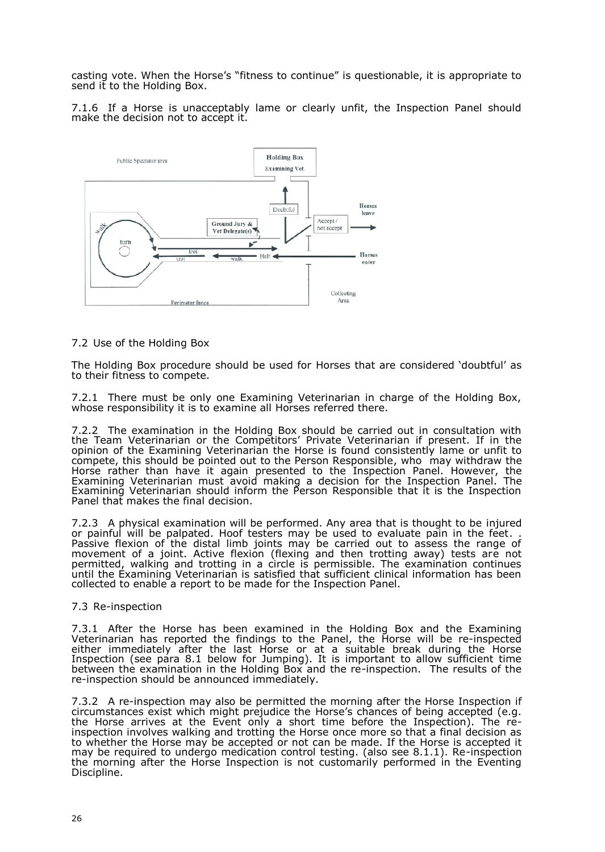casting vote. When the Horse's "fitness to continue" is questionable, it is appropriate to send it to the Holding Box.

7.1.6 If a Horse is unacceptably lame or clearly unfit, the Inspection Panel should make the decision not to accept it.



#### 7.2 Use of the Holding Box

The Holding Box procedure should be used for Horses that are considered 'doubtful' as to their fitness to compete.

7.2.1 There must be only one Examining Veterinarian in charge of the Holding Box, whose responsibility it is to examine all Horses referred there.

7.2.2 The examination in the Holding Box should be carried out in consultation with the Team Veterinarian or the Competitors' Private Veterinarian if present. If in the opinion of the Examining Veterinarian the Horse is found consistently lame or unfit to compete, this should be pointed out to the Person Responsible, who may withdraw the Horse rather than have it again presented to the Inspection Panel. However, the Examining Veterinarian must avoid making a decision for the Inspection Panel. The Examining Veterinarian should inform the Person Responsible that it is the Inspection Panel that makes the final decision.

7.2.3 A physical examination will be performed. Any area that is thought to be injured or painful will be palpated. Hoof testers may be used to evaluate pain in the feet. . Passive flexion of the distal limb joints may be carried out to assess the range of movement of a joint. Active flexion (flexing and then trotting away) tests are not permitted, walking and trotting in a circle is permissible. The examination continues until the Examining Veterinarian is satisfied that sufficient clinical information has been collected to enable a report to be made for the Inspection Panel.

#### 7.3 Re-inspection

7.3.1 After the Horse has been examined in the Holding Box and the Examining Veterinarian has reported the findings to the Panel, the Horse will be re-inspected either immediately after the last Horse or at a suitable break during the Horse Inspection (see para 8.1 below for Jumping). It is important to allow sufficient time between the examination in the Holding Box and the re-inspection. The results of the re-inspection should be announced immediately.

7.3.2 A re-inspection may also be permitted the morning after the Horse Inspection if circumstances exist which might prejudice the Horse's chances of being accepted (e.g. the Horse arrives at the Event only a short time before the Inspection). The reinspection involves walking and trotting the Horse once more so that a final decision as to whether the Horse may be accepted or not can be made. If the Horse is accepted it may be required to undergo medication control testing. (also see 8.1.1). Re-inspection the morning after the Horse Inspection is not customarily performed in the Eventing Discipline.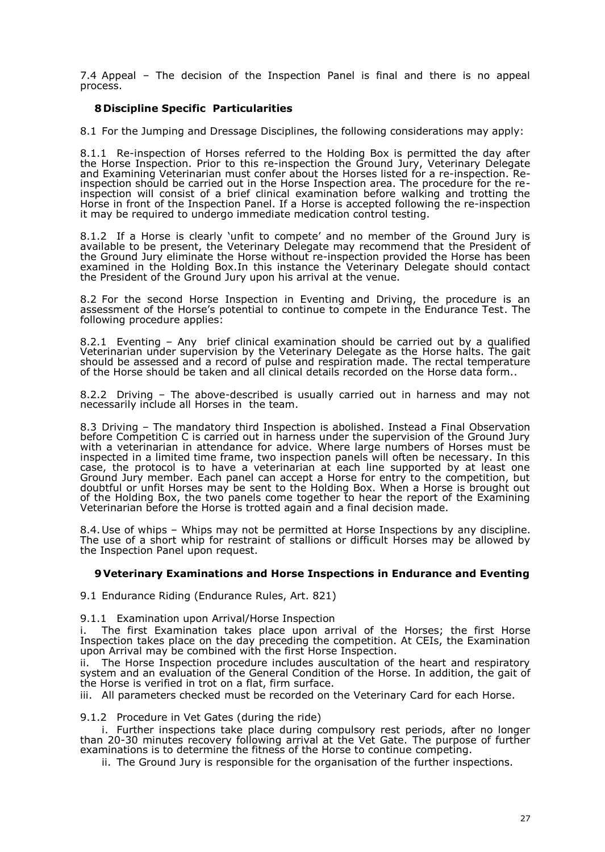7.4 Appeal – The decision of the Inspection Panel is final and there is no appeal process.

# **8 Discipline Specific Particularities**

8.1 For the Jumping and Dressage Disciplines, the following considerations may apply:

8.1.1 Re-inspection of Horses referred to the Holding Box is permitted the day after the Horse Inspection. Prior to this re-inspection the Ground Jury, Veterinary Delegate and Examining Veterinarian must confer about the Horses listed for a re-inspection. Reinspection should be carried out in the Horse Inspection area. The procedure for the reinspection will consist of a brief clinical examination before walking and trotting the Horse in front of the Inspection Panel. If a Horse is accepted following the re-inspection it may be required to undergo immediate medication control testing.

8.1.2 If a Horse is clearly 'unfit to compete' and no member of the Ground Jury is available to be present, the Veterinary Delegate may recommend that the President of the Ground Jury eliminate the Horse without re-inspection provided the Horse has been examined in the Holding Box.In this instance the Veterinary Delegate should contact the President of the Ground Jury upon his arrival at the venue.

8.2 For the second Horse Inspection in Eventing and Driving, the procedure is an assessment of the Horse's potential to continue to compete in the Endurance Test. The following procedure applies:

8.2.1 Eventing – Any brief clinical examination should be carried out by a qualified Veterinarian under supervision by the Veterinary Delegate as the Horse halts. The gait should be assessed and a record of pulse and respiration made. The rectal temperature of the Horse should be taken and all clinical details recorded on the Horse data form..

8.2.2 Driving – The above-described is usually carried out in harness and may not necessarily include all Horses in the team.

8.3 Driving – The mandatory third Inspection is abolished. Instead a Final Observation before Competition C is carried out in harness under the supervision of the Ground Jury with a veterinarian in attendance for advice. Where large numbers of Horses must be inspected in a limited time frame, two inspection panels will often be necessary. In this case, the protocol is to have a veterinarian at each line supported by at least one Ground Jury member. Each panel can accept a Horse for entry to the competition, but doubtful or unfit Horses may be sent to the Holding Box. When a Horse is brought out of the Holding Box, the two panels come together to hear the report of the Examining Veterinarian before the Horse is trotted again and a final decision made.

8.4.Use of whips – Whips may not be permitted at Horse Inspections by any discipline. The use of a short whip for restraint of stallions or difficult Horses may be allowed by the Inspection Panel upon request.

#### **9Veterinary Examinations and Horse Inspections in Endurance and Eventing**

9.1 Endurance Riding (Endurance Rules, Art. 821)

9.1.1 Examination upon Arrival/Horse Inspection

i. The first Examination takes place upon arrival of the Horses; the first Horse Inspection takes place on the day preceding the competition. At CEIs, the Examination upon Arrival may be combined with the first Horse Inspection.

ii. The Horse Inspection procedure includes auscultation of the heart and respiratory system and an evaluation of the General Condition of the Horse. In addition, the gait of the Horse is verified in trot on a flat, firm surface.

iii. All parameters checked must be recorded on the Veterinary Card for each Horse.

9.1.2 Procedure in Vet Gates (during the ride)

i. Further inspections take place during compulsory rest periods, after no longer than 20-30 minutes recovery following arrival at the Vet Gate. The purpose of further examinations is to determine the fitness of the Horse to continue competing.

ii. The Ground Jury is responsible for the organisation of the further inspections.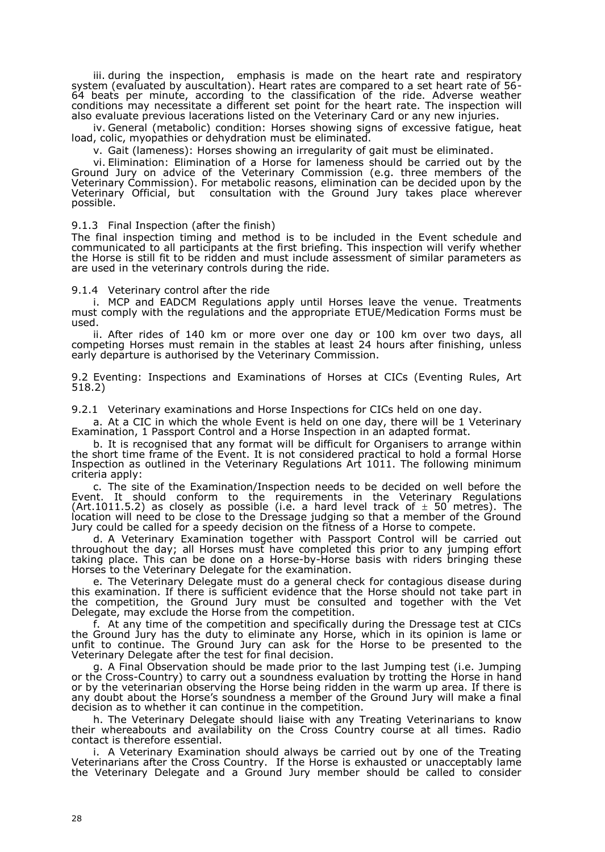iii. during the inspection, emphasis is made on the heart rate and respiratory system (evaluated by auscultation). Heart rates are compared to a set heart rate of 56- 64 beats per minute, according to the classification of the ride. Adverse weather conditions may necessitate a different set point for the heart rate. The inspection will also evaluate previous lacerations listed on the Veterinary Card or any new injuries.

iv. General (metabolic) condition: Horses showing signs of excessive fatigue, heat load, colic, myopathies or dehydration must be eliminated.

v. Gait (lameness): Horses showing an irregularity of gait must be eliminated.

vi. Elimination: Elimination of a Horse for lameness should be carried out by the Ground Jury on advice of the Veterinary Commission (e.g. three members of the Veterinary Commission). For metabolic reasons, elimination can be decided upon by the Veterinary Official, but consultation with the Ground Jury takes place wherever possible.

9.1.3 Final Inspection (after the finish)

The final inspection timing and method is to be included in the Event schedule and communicated to all participants at the first briefing. This inspection will verify whether the Horse is still fit to be ridden and must include assessment of similar parameters as are used in the veterinary controls during the ride.

9.1.4 Veterinary control after the ride

i. MCP and EADCM Regulations apply until Horses leave the venue. Treatments must comply with the regulations and the appropriate ETUE/Medication Forms must be used.

ii. After rides of 140 km or more over one day or 100 km over two days, all competing Horses must remain in the stables at least 24 hours after finishing, unless early departure is authorised by the Veterinary Commission.

9.2 Eventing: Inspections and Examinations of Horses at CICs (Eventing Rules, Art 518.2)

9.2.1 Veterinary examinations and Horse Inspections for CICs held on one day.

a. At a CIC in which the whole Event is held on one day, there will be 1 Veterinary Examination, 1 Passport Control and a Horse Inspection in an adapted format.

b. It is recognised that any format will be difficult for Organisers to arrange within the short time frame of the Event. It is not considered practical to hold a formal Horse Inspection as outlined in the Veterinary Regulations Art 1011. The following minimum criteria apply:

c. The site of the Examination/Inspection needs to be decided on well before the Event. It should conform to the requirements in the Veterinary Regulations (Art.1011.5.2) as closely as possible (i.e. a hard level track of  $\pm$  50 metres). The location will need to be close to the Dressage judging so that a member of the Ground Jury could be called for a speedy decision on the fitness of a Horse to compete.

d. A Veterinary Examination together with Passport Control will be carried out throughout the day; all Horses must have completed this prior to any jumping effort taking place. This can be done on a Horse-by-Horse basis with riders bringing these Horses to the Veterinary Delegate for the examination.

e. The Veterinary Delegate must do a general check for contagious disease during this examination. If there is sufficient evidence that the Horse should not take part in the competition, the Ground Jury must be consulted and together with the Vet Delegate, may exclude the Horse from the competition.

f. At any time of the competition and specifically during the Dressage test at CICs the Ground Jury has the duty to eliminate any Horse, which in its opinion is lame or unfit to continue. The Ground Jury can ask for the Horse to be presented to the Veterinary Delegate after the test for final decision.

g. A Final Observation should be made prior to the last Jumping test (i.e. Jumping or the Cross-Country) to carry out a soundness evaluation by trotting the Horse in hand or by the veterinarian observing the Horse being ridden in the warm up area. If there is any doubt about the Horse's soundness a member of the Ground Jury will make a final decision as to whether it can continue in the competition.

h. The Veterinary Delegate should liaise with any Treating Veterinarians to know their whereabouts and availability on the Cross Country course at all times. Radio contact is therefore essential.

i. A Veterinary Examination should always be carried out by one of the Treating Veterinarians after the Cross Country. If the Horse is exhausted or unacceptably lame the Veterinary Delegate and a Ground Jury member should be called to consider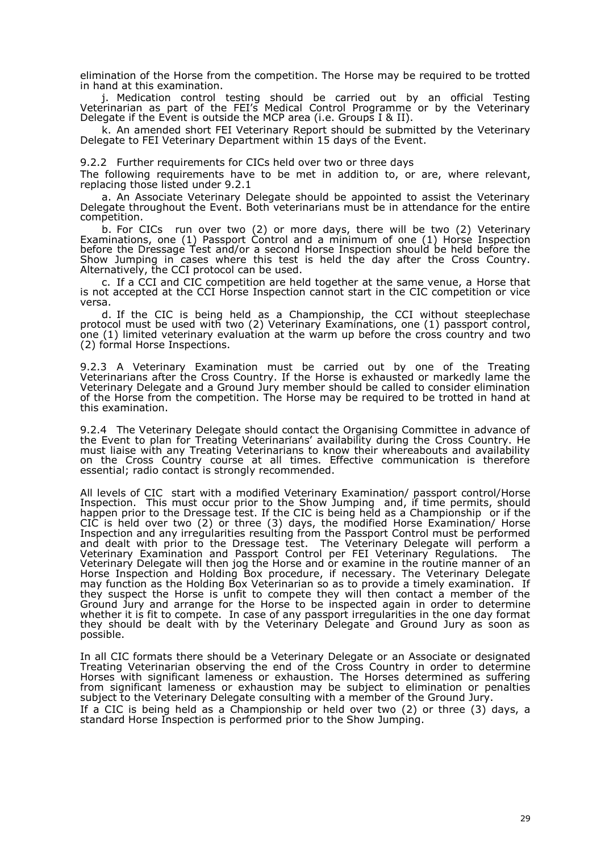elimination of the Horse from the competition. The Horse may be required to be trotted in hand at this examination.

j. Medication control testing should be carried out by an official Testing Veterinarian as part of the FEI's Medical Control Programme or by the Veterinary Delegate if the Event is outside the MCP area (i.e. Groups I & II).

k. An amended short FEI Veterinary Report should be submitted by the Veterinary Delegate to FEI Veterinary Department within 15 days of the Event.

9.2.2 Further requirements for CICs held over two or three days

The following requirements have to be met in addition to, or are, where relevant, replacing those listed under 9.2.1

a. An Associate Veterinary Delegate should be appointed to assist the Veterinary Delegate throughout the Event. Both veterinarians must be in attendance for the entire competition.

b. For CICs run over two (2) or more days, there will be two (2) Veterinary Examinations, one (1) Passport Control and a minimum of one (1) Horse Inspection before the Dressage Test and/or a second Horse Inspection should be held before the Show Jumping in cases where this test is held the day after the Cross Country. Alternatively, the CCI protocol can be used.

c. If a CCI and CIC competition are held together at the same venue, a Horse that is not accepted at the CCI Horse Inspection cannot start in the CIC competition or vice versa.

d. If the CIC is being held as a Championship, the CCI without steeplechase protocol must be used with two (2) Veterinary Examinations, one (1) passport control, one (1) limited veterinary evaluation at the warm up before the cross country and two (2) formal Horse Inspections.

9.2.3 A Veterinary Examination must be carried out by one of the Treating Veterinarians after the Cross Country. If the Horse is exhausted or markedly lame the Veterinary Delegate and a Ground Jury member should be called to consider elimination of the Horse from the competition. The Horse may be required to be trotted in hand at this examination.

9.2.4 The Veterinary Delegate should contact the Organising Committee in advance of the Event to plan for Treating Veterinarians' availability during the Cross Country. He must liaise with any Treating Veterinarians to know their whereabouts and availability on the Cross Country course at all times. Effective communication is therefore essential; radio contact is strongly recommended.

All levels of CIC start with a modified Veterinary Examination/ passport control/Horse Inspection. This must occur prior to the Show Jumping and, if time permits, should happen prior to the Dressage test. If the CIC is being held as a Championship or if the CIC is held over two (2) or three (3) days, the modified Horse Examination/ Horse Inspection and any irregularities resulting from the Passport Control must be performed and dealt with prior to the Dressage test. The Veterinary Delegate will perform a Veterinary Examination and Passport Control per FEI Veterinary Regulations. The Veterinary Delegate will then jog the Horse and or examine in the routine manner of an Horse Inspection and Holding Box procedure, if necessary. The Veterinary Delegate may function as the Holding Box Veterinarian so as to provide a timely examination. If they suspect the Horse is unfit to compete they will then contact a member of the Ground Jury and arrange for the Horse to be inspected again in order to determine whether it is fit to compete. In case of any passport irregularities in the one day format they should be dealt with by the Veterinary Delegate and Ground Jury as soon as possible.

In all CIC formats there should be a Veterinary Delegate or an Associate or designated Treating Veterinarian observing the end of the Cross Country in order to determine Horses with significant lameness or exhaustion. The Horses determined as suffering from significant lameness or exhaustion may be subject to elimination or penalties subject to the Veterinary Delegate consulting with a member of the Ground Jury.

If a CIC is being held as a Championship or held over two (2) or three (3) days, a standard Horse Inspection is performed prior to the Show Jumping.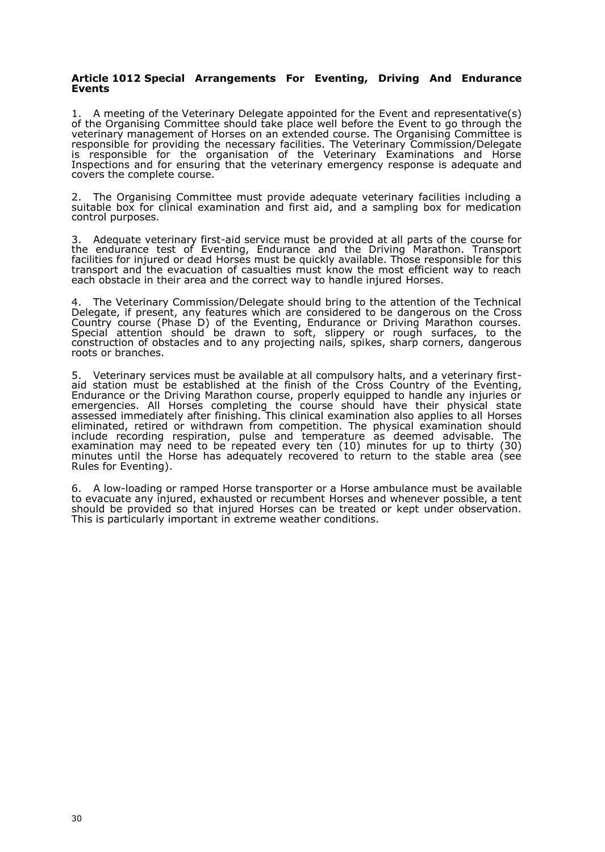#### **Article 1012 Special Arrangements For Eventing, Driving And Endurance Events**

1. A meeting of the Veterinary Delegate appointed for the Event and representative(s) of the Organising Committee should take place well before the Event to go through the veterinary management of Horses on an extended course. The Organising Committee is responsible for providing the necessary facilities. The Veterinary Commission/Delegate is responsible for the organisation of the Veterinary Examinations and Horse Inspections and for ensuring that the veterinary emergency response is adequate and covers the complete course.

2. The Organising Committee must provide adequate veterinary facilities including a suitable box for clinical examination and first aid, and a sampling box for medication control purposes.

3. Adequate veterinary first-aid service must be provided at all parts of the course for the endurance test of Eventing, Endurance and the Driving Marathon. Transport facilities for injured or dead Horses must be quickly available. Those responsible for this transport and the evacuation of casualties must know the most efficient way to reach each obstacle in their area and the correct way to handle injured Horses.

4. The Veterinary Commission/Delegate should bring to the attention of the Technical Delegate, if present, any features which are considered to be dangerous on the Cross Country course (Phase D) of the Eventing, Endurance or Driving Marathon courses. Special attention should be drawn to soft, slippery or rough surfaces, to the construction of obstacles and to any projecting nails, spikes, sharp corners, dangerous roots or branches.

5. Veterinary services must be available at all compulsory halts, and a veterinary firstaid station must be established at the finish of the Cross Country of the Eventing, Endurance or the Driving Marathon course, properly equipped to handle any injuries or emergencies. All Horses completing the course should have their physical state assessed immediately after finishing. This clinical examination also applies to all Horses eliminated, retired or withdrawn from competition. The physical examination should include recording respiration, pulse and temperature as deemed advisable. The examination may need to be repeated every ten (10) minutes for up to thirty (30) minutes until the Horse has adequately recovered to return to the stable area (see Rules for Eventing).

6. A low-loading or ramped Horse transporter or a Horse ambulance must be available to evacuate any injured, exhausted or recumbent Horses and whenever possible, a tent should be provided so that injured Horses can be treated or kept under observation. This is particularly important in extreme weather conditions.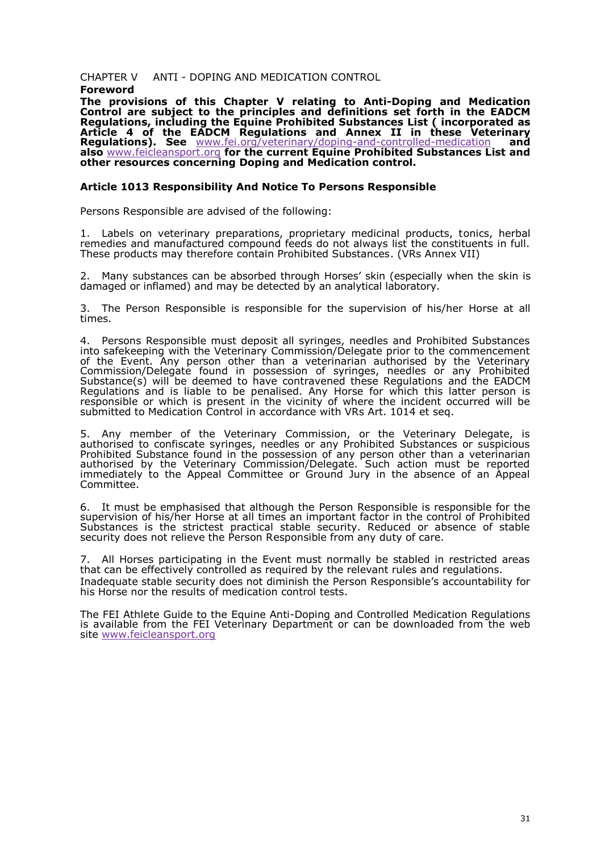CHAPTER WNTIDOPING AND MEDICATION CONTROL Foreword

The provisions tafs Chapter relating to ADtoipingand Medication Control are subject to the principles and **set**imotritons the EADCM Regulations ncluding the Equine Prohibition and station or porateads Article 4 of the EADCM Regulatio Annex and Ilin these Veterinary Regulations See www.fei.org/veterinary-ádmodpomgroll-medicationand als[owww.feicleanspo](www.feicleansport.org)forothe current Equine Prohibited SsubLsits anaend other resources concerning Doping and Medication control.

Article 10 R3 esponsibility And Notice To Persons Responsible

Persons Responsibled vised the following:

1. Labels on veterinary preparations, proprietary m**edicinal** bpanoducts, remedies and manufactured compound feeds do not always list the constitu These products may therefore contain Prohib( $V$ GRGAnSnuebxstValn $\phi$ es

2. Many substances can be absorb bed the skight (especially whem ithe ski damaged or inflamed) and may be detected by an analytical laboratory.

3. The Person Responsible is responsible for the supersiestionallof his/her  $\frac{1}{2}$ times.

4. Persons Responsible must deposit all syringes, needles and Prohibit intosafekeeping with the Veterinary Commission/Delegate prior to the co of the Event Any person other than a veterinarian authorised by the  $\lambda$ Commission/Delegate found in possession of syringes, needles or a Substance(s) bweildeemed to have contravened thesæn**eRte**hgewEIAaDi**G**Ms Regulatioannsd is liable to be penalh-soenche. of oArn ywhich this latter person is responsible or which is present in the vicinity of where the incident o submitted to Meodnic Catontrol in accordance A whith CAM Ret seq

5. Any member of the Veterinary Commission, or the Veterinary De authorised to confiscate syringes, needles or any Prohibited Substance Prohibited Substance found in ible optossy experson other than a veterinari authorised by the Veterinary Commission/Delegate. Such action must immediately to the Appeal Committee or Ground Jury in the absence Committee.

6. It must be emphasised that alpheorus of the esponsible is responsible for supervision of hills of the Horse all times an important factor in the control of Pr Substances is the strictest practical stable security. Reduced or abs security does not relieve thess properssidon entrom any duty of care.

7. All Horses participating in the Event must normally be stabled in re that can be effectively controlled as required by the relevant rules and r Inadequate stable security does no $P$  diminish the subset in a accountability for a  $P$ his Horse nor the results of medication control tests.

The FEAlthlete Guide the Turine Antiping and Controlled Medication Regulation is available from the FEI Veterinary Department or cann thhee dwoewbnloaded sit[ewww.feicleanspo](www.feicleansport.org)rt.org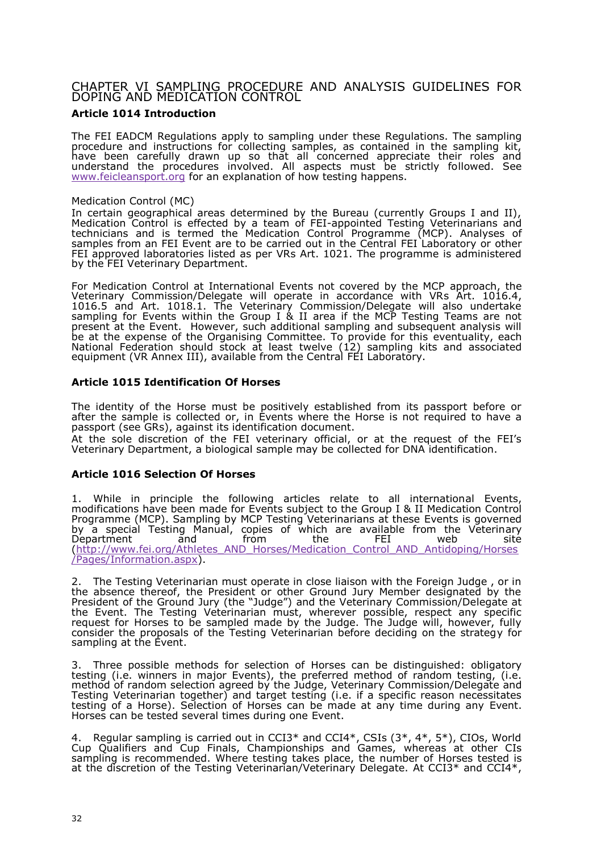# CHAPTER SAMPLING PROCEDURE AND ANALYSIS GUIDELINE DOPING AND MEDICATION CONTROL

Article 014Introduction

The FEI ECAMDRegulatio $\texttt{asp}$  to sampling undeRreghuelations. The sampling procedure and instructions for collecting samples, as contained in the have been carefully drawn up so that all concerned appreciate their understand the procedures involved. All aspects mlwoswted.Seeestrictly fo [www.feicleanspo](www.feicleansport.org)toroag explanation of how testing happens.

#### Medication Control (MC)

In certain geographical areas determined by the Bureau (currently Grou MedicatioCoontrol is eefed by a team oafppFoEinted Testing Veterinarians and technicia**as** dis termed the Medication Control Programme hyese (MCP) samples from anE vFeEnbareto becarried out in the **CEnLtabo**ratory or other FEI approved laboratoriæss pliesteVoRrt. 1021. The programme is administered by the FEI Veterinary Department.

ForMedicatioControl at International Events not coverændpboyathhee MCP Veterinary Commission/Delegate will operate in asceAorntdaniote6.w4ith VR 10165 and Art. 1018.1. The Veterinary Commission/Delegate will also sampling **E**ovrenst withitheGroup I & I areaif the MCP Testing Teams are not presenatt thevent However, such additional sampling and subsequent analy be at the eenxspe of the Organising Committee. To pervoewindealifyr, thaicsh National Federation should stotowke lavte 1129 assampling kits and associated equipment R Annex III), available from  $H\tilde{E}$  a Cheam antal  $y$ .

Article 1015 entification HO of rses

The identity of Holhsemust be positively established from its passport before  $\mathsf{F}$ after the sample is collec **Elered neot ry hienre the rseis not required to have a** passport (sess), GaRgainst its identification document. At the sole dioareotfi the FEI veterinary official, or at the request of the Veterinary Department, a biological sample may be collected for DNA ider

Article 101S Gelection Of Horses

1. While in principle the following articles relatealtdEventst, internation  $m$  odifications have been  $Em$   $ed$   $st$  subject to  $G$ tho  $\omega$   $p$  & IMedication Control Programme (MCP). Sampling by MCP Testing Vet $\bm{\epsilon}$  we are is not at the ostern the standard state  $\bm{\epsilon}$ by a special Testing Manual, copies of which are availablye from the  $\lambda$ Department and from the FEI web site [\(http://www.fei.org/Athletes\\_AND\\_Horses/Medication\\_Control\\_](http://www.fei.org/Athletes_AND_Horses/Medication_Control_AND_Antidoping/Horses)AND\_Antido  $\sqrt{P}$  a g e s / Informatisco) x.

2. The Testing Veterinarian must operate in close liaison with the Foreig the absence thereof, the President or other Ground Jury Member design President the Ground (Juley Judge ) and the Veterinary Colengratities lactn/De the Event The Testing Veterinarian must, wherever possible, respect an request flotorsse to be sampled made by the Judge. The Judge will, howev consider the proposals of the Testing Veterinarian before deciding on the sampling at Etwient

3. Three possible methods for selectes come nofbe distinguished: obligatory testing (i.e. winners il evennat) othe preferred methroad doofm testing, (i.e. method of random selection agreed by the y undogmem M sestimentinal elegate and Testing Veterintaorgenherandargettesting (i.e. if a specific reason necessitation) testing of Hoars)e SelectionHoorfsse can be made at any time dEuvienngt any Horses can be tested several times entring one

4. Regular sampling is carried out in CCI3<sup>\*</sup> and CCI4<sup>\*</sup>, CSIs (3<sup>\*</sup>, 4<sup>\*</sup>, 5<sup>\*</sup>), Cup Qualifiers and Cup Finals, Championshimphserænads Galamoetsh,er Cls sampling rescommende Wothere testing takes place, the Horums and bears befol is at the disticure of the Testing Veterinarian/VeteriAntanGyCD3e\*leagnadeCCI4\*,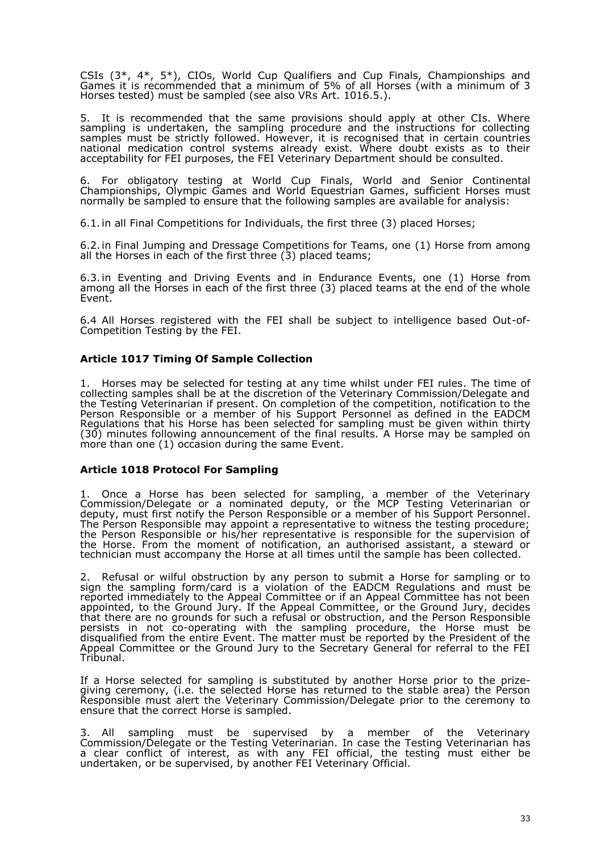CSIs (3\*, 4\*, 5\*), CIOs, World Cup Qualifiers and Cup Finals, Championships and Games it is recommended that a minimum of 5% of all Horses (with a minimum of 3 Horses tested) must be sampled (see also VRs Art. 1016.5.).

5. It is recommended that the same provisions should apply at other CIs. Where sampling is undertaken, the sampling procedure and the instructions for collecting samples must be strictly followed. However, it is recognised that in certain countries national medication control systems already exist. Where doubt exists as to their acceptability for FEI purposes, the FEI Veterinary Department should be consulted.

6. For obligatory testing at World Cup Finals, World and Senior Continental Championships, Olympic Games and World Equestrian Games, sufficient Horses must normally be sampled to ensure that the following samples are available for analysis:

6.1.in all Final Competitions for Individuals, the first three (3) placed Horses;

6.2.in Final Jumping and Dressage Competitions for Teams, one (1) Horse from among all the Horses in each of the first three (3) placed teams;

6.3.in Eventing and Driving Events and in Endurance Events, one (1) Horse from among all the Horses in each of the first three (3) placed teams at the end of the whole Event.

6.4 All Horses registered with the FEI shall be subject to intelligence based Out-of-Competition Testing by the FEI.

# **Article 1017 Timing Of Sample Collection**

1. Horses may be selected for testing at any time whilst under FEI rules. The time of collecting samples shall be at the discretion of the Veterinary Commission/Delegate and the Testing Veterinarian if present. On completion of the competition, notification to the Person Responsible or a member of his Support Personnel as defined in the EADCM Regulations that his Horse has been selected for sampling must be given within thirty (30) minutes following announcement of the final results. A Horse may be sampled on more than one (1) occasion during the same Event.

#### **Article 1018 Protocol For Sampling**

1. Once a Horse has been selected for sampling, a member of the Veterinary Commission/Delegate or a nominated deputy, or the MCP Testing Veterinarian or deputy, must first notify the Person Responsible or a member of his Support Personnel. The Person Responsible may appoint a representative to witness the testing procedure; the Person Responsible or his/her representative is responsible for the supervision of the Horse. From the moment of notification, an authorised assistant, a steward or technician must accompany the Horse at all times until the sample has been collected.

2. Refusal or wilful obstruction by any person to submit a Horse for sampling or to sign the sampling form/card is a violation of the EADCM Regulations and must be reported immediately to the Appeal Committee or if an Appeal Committee has not been appointed, to the Ground Jury. If the Appeal Committee, or the Ground Jury, decides that there are no grounds for such a refusal or obstruction, and the Person Responsible persists in not co-operating with the sampling procedure, the Horse must be disqualified from the entire Event. The matter must be reported by the President of the Appeal Committee or the Ground Jury to the Secretary General for referral to the FEI Tribunal.

If a Horse selected for sampling is substituted by another Horse prior to the prizegiving ceremony, (i.e. the selected Horse has returned to the stable area) the Person Responsible must alert the Veterinary Commission/Delegate prior to the ceremony to ensure that the correct Horse is sampled.

3. All sampling must be supervised by a member of the Veterinary Commission/Delegate or the Testing Veterinarian. In case the Testing Veterinarian has a clear conflict of interest, as with any FEI official, the testing must either be undertaken, or be supervised, by another FEI Veterinary Official.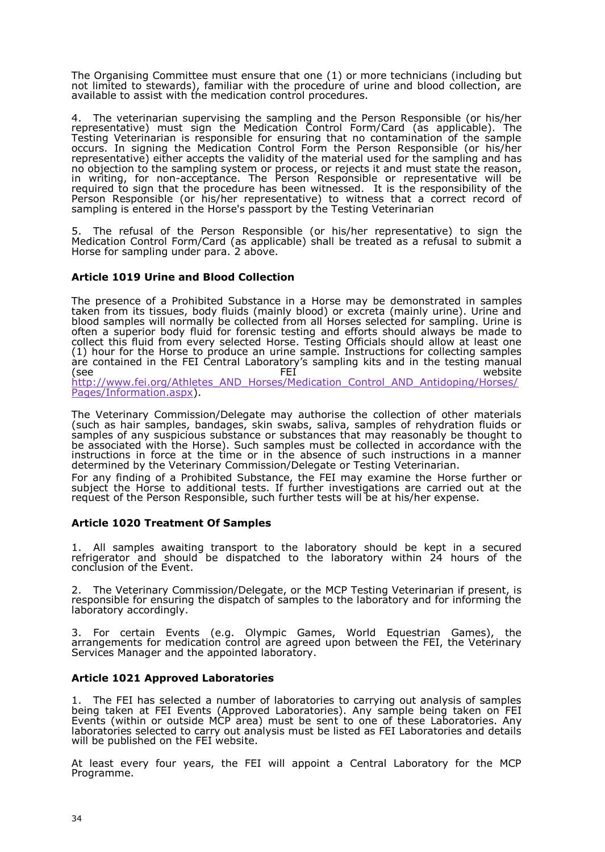The Organising Committee must ens(ulr) or the actro-the chnicians (including but not limited to stewarda), wiath it the procedure of urine and blood collection availableas sist ith the medication control procedures.

4. The veterinarian supervising the sampling and the Person Responsibl representative) must sign the MedicationCoCrodn(arsolapFonDimon),ablTehe Testing Veterinarian is responsible for ensuring that no contamination occurs. In signing the Medication Control Form the Person Responsibl representative) either accepts the validity odf ftohnet meatseamaplionsge and has no objection to the sampling py stess rejects it and must state the reason in writing, for-acomeptancTehe Person Responsible or representative will required to sign that the procedure has bleteins white neess speed in sibility of the Person Responsible (or his/her reprewsietneasteinvæt) atocorrect record of sampling is entered in the Horse's passport by the Testing Veterinarian

5. The refusal of the Person Responsible (or his/hoer sriegppretsheentative) Medication Control Forams/Cappolicable all be treated as a refusal to submit Horsefor sampling undær 2 pabove.

Article 1019 The rad Blood Collection

The presence of a Prohibited Sublostrance are demonstrated pilnessam taken from its tissues, body fluids (mainly blood) or excreta (mainly urin blood samples will normally be coll**ectures selected** for sampling. Urine is often a superior body fluid for forensic testing and defeformitasdehibould alway collect this fluid from everly osselecteating Officials should allow at least o (1)hour for tHhoers to producreuatine sample. Instructions for collecting samp are contained iffEtIbCeentral Laboratory s sampling the tet sensation on anual<br>FEICHTER Medisite (see FEI website [http://www.fei.org/Athletes\\_AND\\_Horses/Medication\\_Control\\_A](http://www.fei.org/Athletes_AND_Horses/Medication_Control_AND_Antidoping/Horses/)ND\_Antidop Pages/Information.aspx

The Veterinary Commission/Delegate may authorise the collection of ot (such as hair samples, bandages, skin swabs, saliva, samples of rehydr samples of any suspicious substance or substances that may oreasonably be associated with the Hst Such samples must be collected in accordance with instructions in force at the time or in the absence of such instructions determined by the Veterinary Commission/Delegate or Testing Veterinarian. For any nofing of a Prohibited Substance, the FEI mHaoy rseekwarnthione othe subject the rseto additional tests. If further investigations are carried o request of the Person Responsible, such further tests will be at his/her e

Article  $102$  reatment Of Samples

1. All samples awaiting transport to the cholualbootenakooenyt in a secured refrigerator and should be dispatched to the laboratory twethin 24 ho conclusion of the t

2. The Veterinary Commission/Dele**MsCtPe, Toers ttimeg** Veterinarian if present, i responsible for ensuring the dispatch of samples to the laboratory and fo laboratory accordingly.

3. For certaEnvenst (e.g. Olympic Games, World Equestrian Games), arrangements for medicaticonace agreed upon between the FEI, the Veteri Services Manager and the appointed laboratory.

Article 102Approved Laboratories

1. TheFEI has selected a number of laboratories to carrying out analysis being taken at FFEnst (Approved Laboratories) . Sample being taken on FEI Evenst (within or outside MCP area) tmtwostorbee osfenthLeasboeratorsie-Any laboratories selected to carry out analysis must be listed as FEI Laborato will be published on the  $t$ E $\overline{E}$  T websi

At least every four years, the FEI will appoint a Central Laboratory Programme.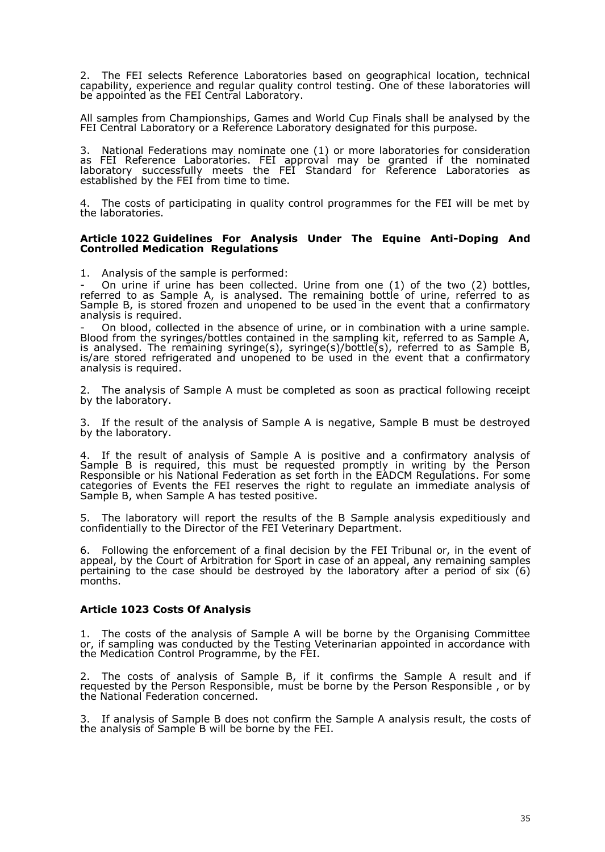2. The FEI selects Reference Laboratories based on geographical location, technical capability, experience and regular quality control testing. One of these laboratories will be appointed as the FEI Central Laboratory.

All samples from Championships, Games and World Cup Finals shall be analysed by the FEI Central Laboratory or a Reference Laboratory designated for this purpose.

3. National Federations may nominate one (1) or more laboratories for consideration as FEI Reference Laboratories. FEI approval may be granted if the nominated laboratory successfully meets the FEI Standard for Reference Laboratories as established by the FEI from time to time.

The costs of participating in quality control programmes for the FEI will be met by the laboratories.

#### **Article 1022 Guidelines For Analysis Under The Equine Anti-Doping And Controlled Medication Regulations**

1. Analysis of the sample is performed:

- On urine if urine has been collected. Urine from one (1) of the two (2) bottles, referred to as Sample A, is analysed. The remaining bottle of urine, referred to as Sample B, is stored frozen and unopened to be used in the event that a confirmatory analysis is required.

On blood, collected in the absence of urine, or in combination with a urine sample. Blood from the syringes/bottles contained in the sampling kit, referred to as Sample A, is analysed. The remaining syringe(s), syringe(s)/bottle(s), referred to as Sample B, is/are stored refrigerated and unopened to be used in the event that a confirmatory analysis is required.

2. The analysis of Sample A must be completed as soon as practical following receipt by the laboratory.

3. If the result of the analysis of Sample A is negative, Sample B must be destroyed by the laboratory.

4. If the result of analysis of Sample A is positive and a confirmatory analysis of Sample B is required, this must be requested promptly in writing by the Person Responsible or his National Federation as set forth in the EADCM Regulations. For some categories of Events the FEI reserves the right to regulate an immediate analysis of Sample B, when Sample A has tested positive.

5. The laboratory will report the results of the B Sample analysis expeditiously and confidentially to the Director of the FEI Veterinary Department.

6. Following the enforcement of a final decision by the FEI Tribunal or, in the event of appeal, by the Court of Arbitration for Sport in case of an appeal, any remaining samples pertaining to the case should be destroyed by the laboratory after a period of six (6) months.

# **Article 1023 Costs Of Analysis**

1. The costs of the analysis of Sample A will be borne by the Organising Committee or, if sampling was conducted by the Testing Veterinarian appointed in accordance with the Medication Control Programme, by the FEI.

2. The costs of analysis of Sample B, if it confirms the Sample A result and if requested by the Person Responsible, must be borne by the Person Responsible , or by the National Federation concerned.

3. If analysis of Sample B does not confirm the Sample A analysis result, the costs of the analysis of Sample B will be borne by the FEI.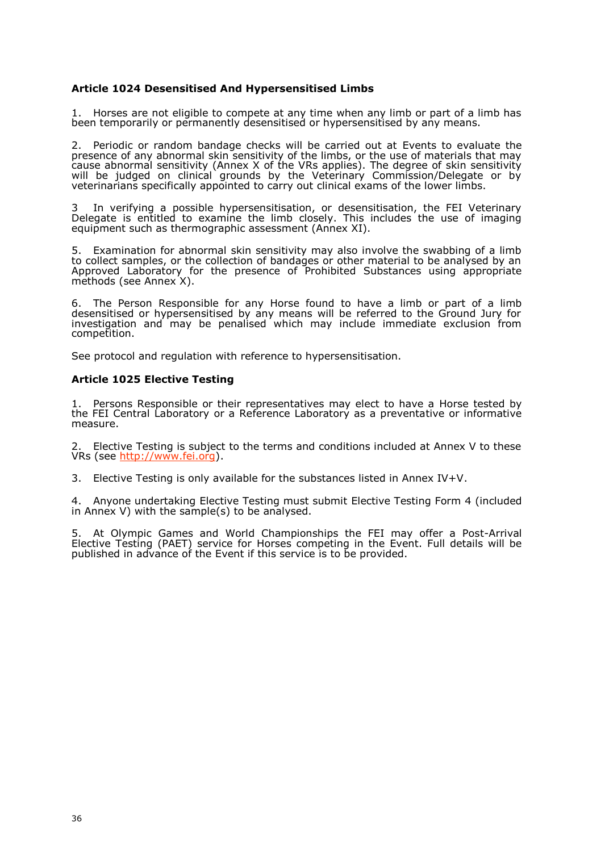Article 1020 esensitised And Hypersensitised Limbs

1. Horses annoet eligible to compete at any time when any limb or part of a been temporarily or permanently desensitised or hypersensitised by any m

2. Periodic or random bandage checks will beveantriedevatuate the presence of any mad an skin sensitivity of the limbs, or the use of materials  $t$ cause abnormal sensitivity (Anne $\mathbf{R}\mathbf{s}$  )  $\mathbf{X}$  applies). VThe degree of skin sensitivity will be judged on clinical grounds by the Veterinary Commission/Dele veterinarians scpaelcyifaippointed to carry out clinical exams of the lower limb

3 In verifying a possible hypersensitisation, or desensitisation, the F Delegate is entitled to examine the limb closely. This includes the us equipment such as the phic assessment  $(Annex XI)$ .

5. Examination for abnormal skin sensitivity may also involve the swabbi to collect samples, or the collection of bandages or other material to be ApprovedLaboratory for the presence od Subsibantees using appropriate methods (see Annex X).

6. The Person Responsible Hocrns efaonuy nd to have a limb or part of a limb desensitised or hypersensitised by any means will be referred to the Gr investigation and may be pencalismealy wilm clude immediate exclusion from competition.

See protocol and regulation with reference to hypersensitisation.

Article 1025 Bective Testing

1. Persons Responsible or their representatives melyrrelectent by ave a the FEI Centrbadralaory or faenReence Laboratory as a tipvree-voernitoaformative measure.

2. Elective sting is subject to the terms and conditions included at Annex VRs (settp://www.fei.org

3. Elective sting insity available for the substances listed in Annex  $IV+V$ 

4. Anyone underta ElkencogivTeesting must subbline icttive Testing 4 (Fionromhuded in  $\Delta$ nne $\hat{x}$  with the sample(s) to be analysed.

5. At Olympic Games and World Championships the FEIIA **ma**waloffer a P Elective Testing (PAET) sheor wisse ecoform peting in Event Full details will be published in advance we nuthelis service is to be provided.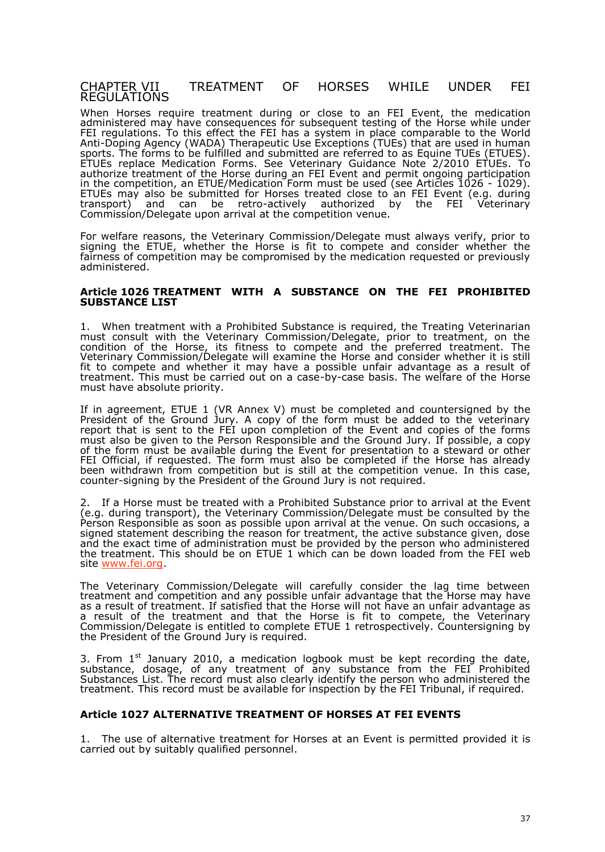#### CHAPTER VIITREATMENT OF HORSES WHILE UNDER REGULATIONS

WhenHorsse require trenattmoburing or close to EavnenFIEIthe medication ad ministered may have consequences for subsequencre text in guncoffethe FEI regulations. To this effect the FEI has **a** o-**e**nypsate-and-lien tpo Watobreald AntiDoping Agency (WTAhDeAa) pecutlise Exceptions (TUEs) that are used in hu sports. In eforms to be fulfilled and audentic the detection and  $\sigma$  are  $\sigma$  (E.TUES) ETUEseplace Medication Forms. See Veterinary Guidance. Noote 2/2010 authorize treatment Hoofr**stele**ring aFnEIE venaand permit ongoing participation in the competitrionE,TはMedication Frownent be used (see Article1s02190)26 ETUE may also be submithHoodssfeotreated close to EimenFi(Ed.g. during transport) and can beactiexterby authobrizbey the FEI Veterinary Commission/Delegate upon arrival at the competition venue.

For welfare reasons, the Veterinary Commission/Delegate must always signing the U,E whether the erseis fit to compete and consider whether t fairness competition may be compromised by the medication requested o administered.

Article 102TOR EATMENT WITH SUBSTANCE ON THE PRECIHIBITED **SUBSTANCEST** 

1. When treatment whitb habited Substane quined, the Treating Veterinarian must consult with the Veterinary Commission/Delegate, prior to treate condition of Hbes,e its fitness to compete and the preferred treatmen Veterinary Commission/Delegate willHexaenide colmsider whether it is still fit toompete and whether it may have a possible unfair advantage as treatment. This must be carried  $\circ$ by-coansea bcanssies. The welfareborsfethe must have absolute priority.

If in agreem. $\mathsf{E}\bar{\mathsf{n}}$ tU, BI (VR Annex V) must be completed siagndedcobuynttehre President of the Ground Jury. A copy of the form must be added to the verterinary report that is sent to the FEI upon comEpvleente and corophies of the forms must also be given to the Person RespoGmosiublo#uray.ndIf theessibale copy of the form must be available Edwerninlogriphee sentation to a steward or other FEI Official, if requested. The form must also be Hooma phlæeste adl riefatdhye been withdrawn from competition but is still at the comipsetiation venue. countesrigning by the President of the Ground Jury is not required.

2. If a Horsen ust be treated wPirtohhiabit $\mathbf{\mathbf{\hat{s}}}$  or the properior to arrival at  $\mathbf{\hat{a}}$  the  $\mathbf{\hat{b}}$ (e.g. during transport), the Veterinary Commission/Delegate must be co Perosn Responsible as soon as possible upon arrival at the venue. On su signed statement describing the reason for treatment, the active substar and the exact time of administration must be provided by the person who the treatment. This shouled bble which can be down load beed FIFE olen by sit[ewww.fei.](www.fei.org)org

The Veterinary Commission/Delegate will carefully consider the lag treatment and competition and ean uy fraois saids vantage the artstonialy have as a result of treatment. If satisHiberesidathath the have an unfair advantage as a result of the treatment and Horate sthet to compete, the Veterinary Commission/Delegate is entitled ETO UCED meted spectively. Countersigning by the President of the Ground Jury is required.

3. From<sup>st</sup> January 2010, a medication logbook must be kept recording substance, dosageny of eatment of any substance from the FEI Prohi Substan scleist. The record must also clearly identify the person who admi treatmenTthis recomrodst be available for inspibenFiEoITriboyunal frequired.

Article 102ALTERNATIVE TREATMENT OF HORSES AT FEI EVENTS

1. The use of alternmeetaivmenent filoorrsse at aletvenits permitted provided it is carried out by suitably qualified personnel.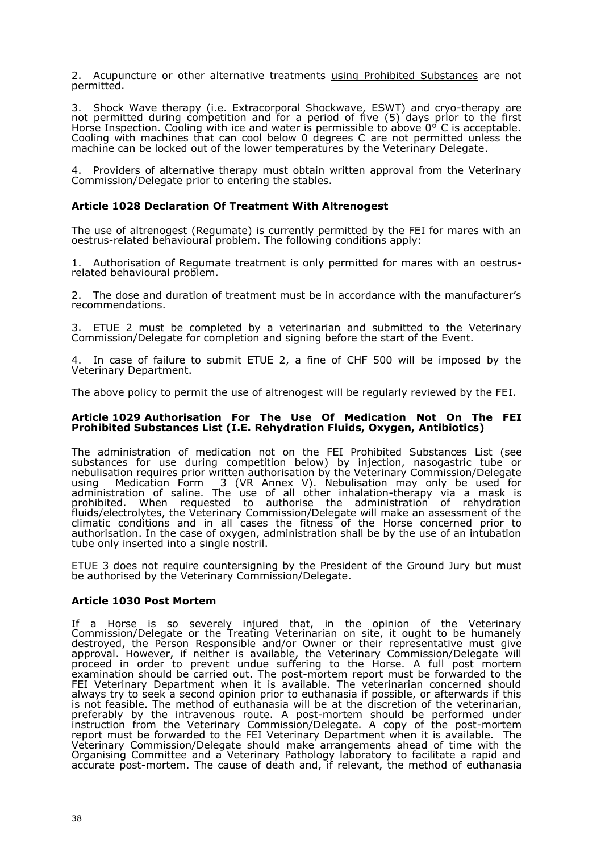2. Acupuncture or other alternative treatments using Prohibited Substances are not permitted.

3. Shock Wave therapy (i.e. Extracorporal Shockwave, ESWT) and cryo-therapy are not permitted during competition and for a period of five (5) days prior to the first Horse Inspection. Cooling with ice and water is permissible to above  $0^{\circ}$  C is acceptable. Cooling with machines that can cool below 0 degrees C are not permitted unless the machine can be locked out of the lower temperatures by the Veterinary Delegate.

4. Providers of alternative therapy must obtain written approval from the Veterinary Commission/Delegate prior to entering the stables.

### **Article 1028 Declaration Of Treatment With Altrenogest**

The use of altrenogest (Regumate) is currently permitted by the FEI for mares with an oestrus-related behavioural problem. The following conditions apply:

1. Authorisation of Regumate treatment is only permitted for mares with an oestrusrelated behavioural problem.

2. The dose and duration of treatment must be in accordance with the manufacturer's recommendations.

3. ETUE 2 must be completed by a veterinarian and submitted to the Veterinary Commission/Delegate for completion and signing before the start of the Event.

4. In case of failure to submit ETUE 2, a fine of CHF 500 will be imposed by the Veterinary Department.

The above policy to permit the use of altrenogest will be regularly reviewed by the FEI.

#### **Article 1029 Authorisation For The Use Of Medication Not On The FEI Prohibited Substances List (I.E. Rehydration Fluids, Oxygen, Antibiotics)**

The administration of medication not on the FEI Prohibited Substances List (see substances for use during competition below) by injection, nasogastric tube or nebulisation requires prior written authorisation by the Veterinary Commission/Delegate using Medication Form 3 (VR Annex V). Nebulisation may only be used for administration of saline. The use of all other inhalation-therapy via a mask is prohibited. When requested to authorise the administration of rehydration fluids/electrolytes, the Veterinary Commission/Delegate will make an assessment of the climatic conditions and in all cases the fitness of the Horse concerned prior to authorisation. In the case of oxygen, administration shall be by the use of an intubation tube only inserted into a single nostril.

ETUE 3 does not require countersigning by the President of the Ground Jury but must be authorised by the Veterinary Commission/Delegate.

#### **Article 1030 Post Mortem**

If a Horse is so severely injured that, in the opinion of the Veterinary Commission/Delegate or the Treating Veterinarian on site, it ought to be humanely destroyed, the Person Responsible and/or Owner or their representative must give approval. However, if neither is available, the Veterinary Commission/Delegate will proceed in order to prevent undue suffering to the Horse. A full post mortem examination should be carried out. The post-mortem report must be forwarded to the FEI Veterinary Department when it is available. The veterinarian concerned should always try to seek a second opinion prior to euthanasia if possible, or afterwards if this is not feasible. The method of euthanasia will be at the discretion of the veterinarian, preferably by the intravenous route. A post-mortem should be performed under instruction from the Veterinary Commission/Delegate. A copy of the post-mortem report must be forwarded to the FEI Veterinary Department when it is available. The Veterinary Commission/Delegate should make arrangements ahead of time with the Organising Committee and a Veterinary Pathology laboratory to facilitate a rapid and accurate post-mortem. The cause of death and, if relevant, the method of euthanasia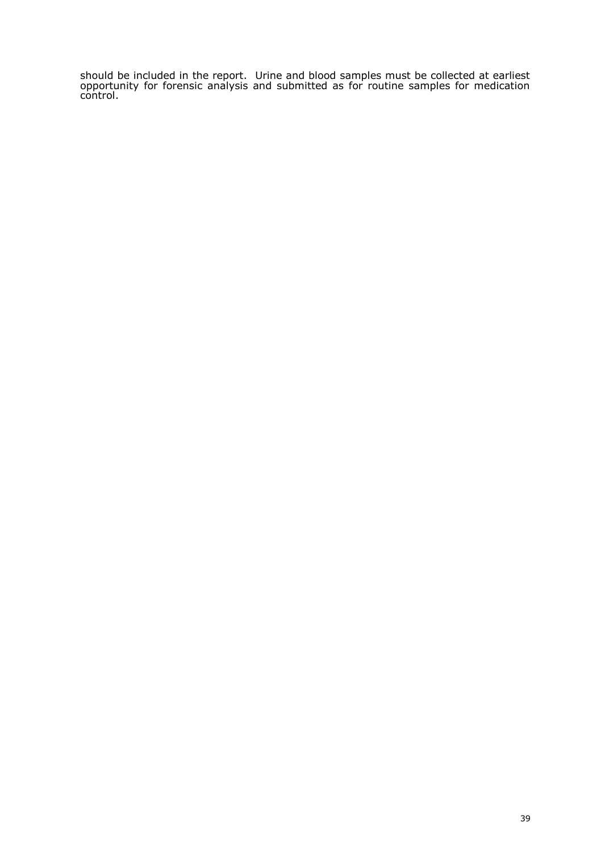should be included in the report. Urine and blood samples must be collected at earliest opportunity for forensic analysis and submitted as for routine samples for medication control.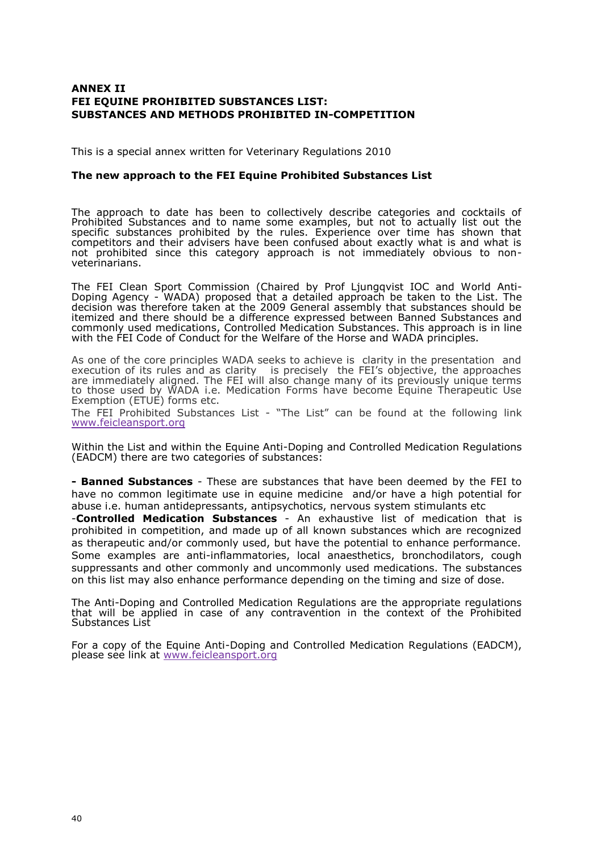## ANNEX II FEIEQUINER OHIBITESDUBS TANCESS T SUBSTMCES AND METHODS PROHIBIC DIMPIETITION

This is a special want the four Veterinary Regulations 2010

The new approach to the FEI Equine Prohibited LS substance

The approach to date has been to collectively describe categories and Prohibited Substances and to name some examples, but not to actually specific substances prohibited by the rules. Experience over time has competitors and their advisers have been confused about exactly what is not probhited since this category approach is not immediately obvious veterinarians.

The FEI Clean Sport Commission (Chaired by Prof Ljounloglq Ainsti IOC and Doping AgenoWADA proposed that a detailed baeppa a canto the hest. T decision sw therefore taken at the 2009 General assembly that substances itemized and tshheoreeld be a difference express.BeadnberShoulden ances and com monly used medicaCtoionninsolled MediScuanbiscutanceTshis approceschin line with the FEddeC of Conduct for the Welfare of the Horse and WADA principle

As one of the core principles WADA seeks to achieve is clarity in the pr execution of its rules and as clarity is precisely the FEI s objective, are immedeiby alignēble FEI will cahlasnoge many of its previously unique term to those used by WADA i.e. Menhiscantaion become Equine Therapeutic Use Exemption (ETUE) forms etc. The FEIP rohibited bs SS ances List he List can be found at ithe link ow [www.feicleanspo](www.feicleansport.org)rt.org

Withinhe List and with Eloqutime A.Dibiping and Controlled Meedgioralation on R (EADCM) there are two categories of substances:

- BannedSubstancesThese are substahnate have been deemed by the FEI to have noommonlegitimate use in equine medicine and/or have a high pote abuse i.e. human antidepressants, antipsychotics, nervous system stimula -Controlled MedicatSobstances An exhaustive flist adication that is prohibited in competition, and made up of all known substances which a as therapeutic and/or commonly used, but have the potential to enhance Some examples ant-inflammatories, do a asthetic baronchibadtors, cough suppressants and other commonly and uncommonly **Tises ou broad dincants** ons. on this list may also enhance performance depending on the timing and si

The AnDioping and Controlled Medication Regulations areutabioanpspropriate applied in case of any contravention in the context of th $\,$ that will be ap<br>Substances List

For a copy of the EquDroepiAngtiand Controlled Mediquatation  $nR$  DCM), please see link atfeicleansport.org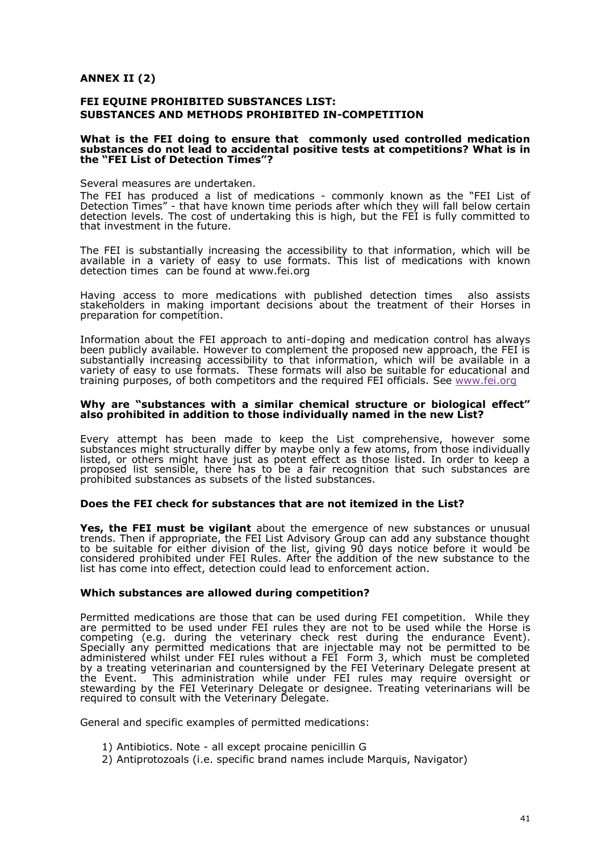$ANDEXII(2)$ 

FEI EQUINE PROHIBITED SUBSTANCES LIST: SUBSTANCES AND METHODS PROHIEUT MEENTION

What is the FEI doing to ensure that commonly used controlled medic substances do not lead to accidental posaitive mipetetris? What is in the  $F E1$  List  $e$  the D tion Times

Several measures are undertaken. The FEI has produced a list of -moeddrimotatiloyn sknown as the FEI List of Detection Times at have known time periods after which othe eye will infall bel detection levels. The cost of undertaking this is high, but the FEI is fu that investment in the future.

The FEI is substantially increasing the accessibility to that informatio available in a variety of use as fyortmo ats. This list of mediclention whis with detection times be founwhwaw.fei.org

Having access to more medications with published detection times stakeholders in making important decisions about the Horresset minent of th preparation for competition.

Information about the FEI approdacchintop  $a$ amddi medication control has alwa been publicly available. However to complement the proposed new appro substantially increasing accessibility ton, thwanticihnfovnihiable available in a variety of easy to use formats. These formats will also be suitable for training purposes, of both competitors and the reSque enverydant FEEI of fricials.

Why are subances with a similar chemical structure or biological effections. also prohibited in addition to those individually named in the new List?

Every attempt has been made to keep the List comprehensive, how substances might structurally diffeen I by a meaw bætoms, from those individual listed, or others might have just as potent effect as those listed. In o proposed list sensible, there has to be a fair recognition that such  $\overline{\texttt{p}}$ ro<code>hibited</code> substances as sub $\texttt{s}$ e $\texttt{s}$ t $\texttt{s}$  sub $\overline{\texttt{q}}$  substances.

Does the FEI check for substances that are not itemized in the List?

Yes, the FEI must be vi**gi**bloauntt the emergence of new substances or unu trends. Then if appropriate, the FEI List Advisory Group can add any su tobe suitable for either division of the list, giving 90 days notice befo considered prohibited under FEI Rules. After the addition of the new so list has come into effect, detection could lead to enforcement action.

Which subant ces are allowed during competition?

Permitted medications are those that can be used during FEI competition. are permitted to be used under FEI rules they are not Hoonbseesused whil competing (e.g. during the veterinary duchine gkthestendur haven of Specially any permitted medications that are injectable may not be pe administered whilst under FEI rules without a FEI Form 3, which must by a treating veterinarian and countersignteed ibaryhe e-TE-be and enessent at the Event This administration while under FEI rules may require ov stewarding by the FEI Veterinary Delegate or designee. Treating vetering required to consult with the Veterinary Delegate.

General aspobcific examples of permitted medications:

- 1) Antibiotics. Naoltleexcept procaine penicillin G
- 2) Antiprotozoals (i.e. specific brand names include Marquis, Navigato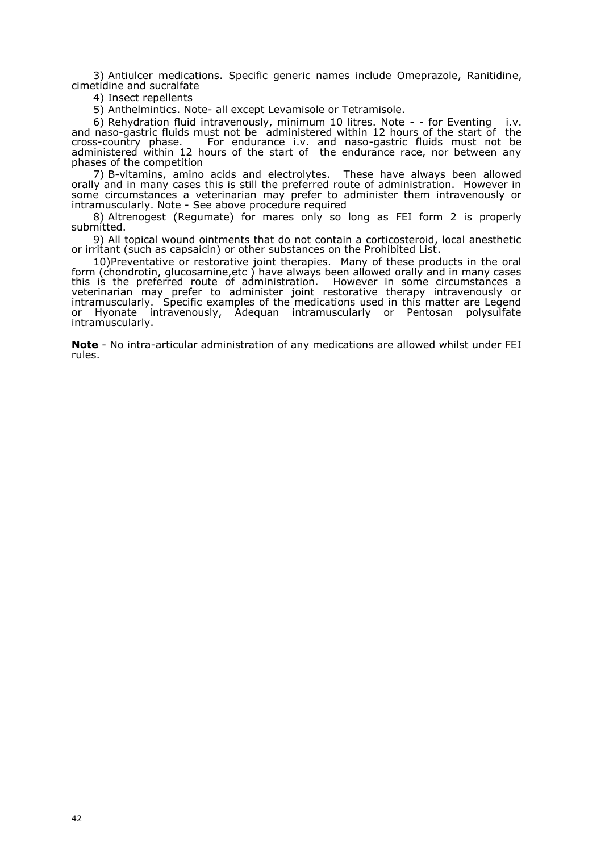3) Antiulcer medications. Specific generic names include Omeprazole, Ranitidine, cimetidine and sucralfate

4) Insect repellents

5) Anthelmintics. Note- all except Levamisole or Tetramisole.

6) Rehydration fluid intravenously, minimum 10 litres. Note - - for Eventing i.v. and naso-gastric fluids must not be administered within 12 hours of the start of the cross-country phase. For endurance i.v. and naso-gastric fluids must not be administered within 12 hours of the start of the endurance race, nor between any phases of the competition

7) B-vitamins, amino acids and electrolytes. These have always been allowed orally and in many cases this is still the preferred route of administration. However in some circumstances a veterinarian may prefer to administer them intravenously or intramuscularly. Note - See above procedure required

8) Altrenogest (Regumate) for mares only so long as FEI form 2 is properly submitted.

9) All topical wound ointments that do not contain a corticosteroid, local anesthetic or irritant (such as capsaicin) or other substances on the Prohibited List.

10)Preventative or restorative joint therapies. Many of these products in the oral form (chondrotin, glucosamine,etc ) have always been allowed orally and in many cases this is the preferred route of administration. However in some circumstances a veterinarian may prefer to administer joint restorative therapy intravenously or intramuscularly. Specific examples of the medications used in this matter are Legend or Hyonate intravenously, Adequan intramuscularly or Pentosan polysulfate intramuscularly.

**Note** - No intra-articular administration of any medications are allowed whilst under FEI rules.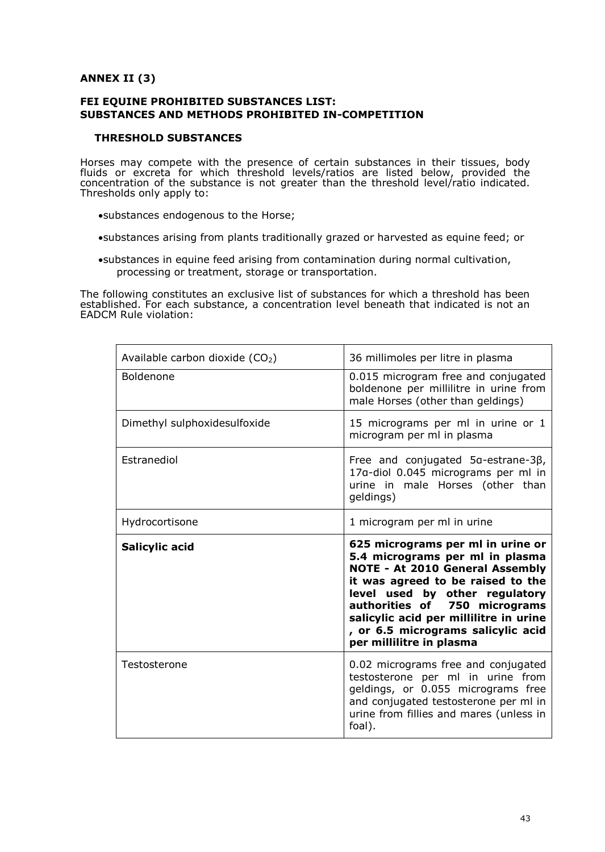## **ANNEX II (3)**

## **FEI EQUINE PROHIBITED SUBSTANCES LIST: SUBSTANCES AND METHODS PROHIBITED IN-COMPETITION**

## **THRESHOLD SUBSTANCES**

Horses may compete with the presence of certain substances in their tissues, body fluids or excreta for which threshold levels/ratios are listed below, provided the concentration of the substance is not greater than the threshold level/ratio indicated. Thresholds only apply to:

- substances endogenous to the Horse;
- substances arising from plants traditionally grazed or harvested as equine feed; or
- substances in equine feed arising from contamination during normal cultivation, processing or treatment, storage or transportation.

The following constitutes an exclusive list of substances for which a threshold has been established. For each substance, a concentration level beneath that indicated is not an EADCM Rule violation:

| Available carbon dioxide $(CO2)$ | 36 millimoles per litre in plasma                                                                                                                                                                                                                                                                                                  |
|----------------------------------|------------------------------------------------------------------------------------------------------------------------------------------------------------------------------------------------------------------------------------------------------------------------------------------------------------------------------------|
| Boldenone                        | 0.015 microgram free and conjugated<br>boldenone per millilitre in urine from<br>male Horses (other than geldings)                                                                                                                                                                                                                 |
| Dimethyl sulphoxidesulfoxide     | 15 micrograms per ml in urine or 1<br>microgram per ml in plasma                                                                                                                                                                                                                                                                   |
| Estranediol                      | Free and conjugated 5α-estrane-3β,<br>17a-diol 0.045 micrograms per ml in<br>urine in male Horses (other than<br>geldings)                                                                                                                                                                                                         |
| Hydrocortisone                   | 1 microgram per ml in urine                                                                                                                                                                                                                                                                                                        |
|                                  |                                                                                                                                                                                                                                                                                                                                    |
| Salicylic acid                   | 625 micrograms per ml in urine or<br>5.4 micrograms per ml in plasma<br><b>NOTE - At 2010 General Assembly</b><br>it was agreed to be raised to the<br>level used by other regulatory<br>authorities of 750 micrograms<br>salicylic acid per millilitre in urine<br>, or 6.5 micrograms salicylic acid<br>per millilitre in plasma |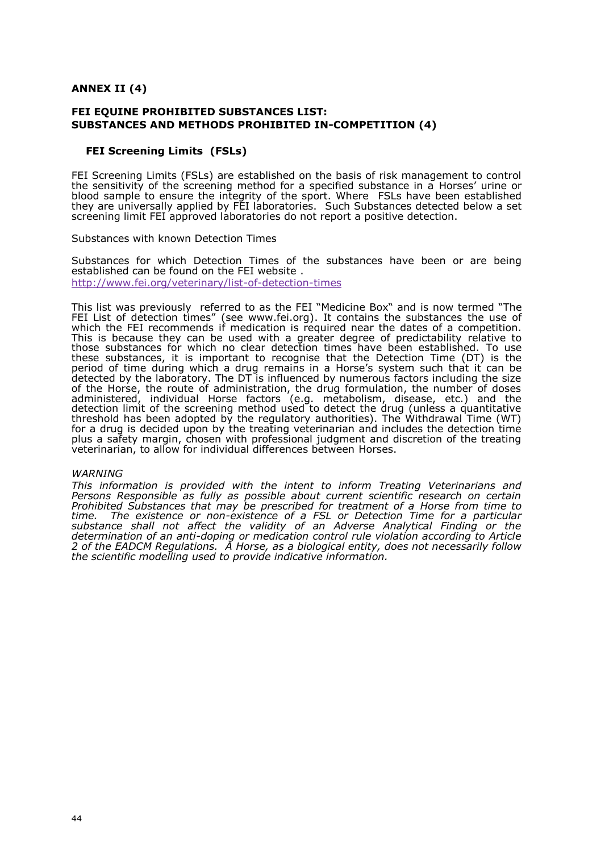$ANDEXII(4)$ 

FEI EQUINE PROHIBITED SUBSTANCES LIST: SUBSTANCES AND METHODS PROHI-ECIOTEPLE TINTION (4)

FEIScreening LimifSL&

FEIS creening LimFi&S backs established on the basis of risk management to  $\alpha$ the sensitivity of the screening method for a spec**Hoedesubnseamc**e in a blood sample to ensure theofinttheegrsipyort. WhFSLeshave been established they are universally applied by FEISluadoh Suchtsotrances detenet to whole set screening limit FEI approved laboratories do not report a positive detecti

Substances with known Detection Times

Substances for which Detection thiemessubstanhoaevse been or are being established can be found on the FEI website http://www.fei.org/veteringthethingthing in  $l$ 

This liws as previous e fyerred to the SEI Medicine Bands now termed The FEI List of detection(steinews ww.fei.ortog) . Intains the subs**tane**cerse of which the FEI recominfierm edstication is required near the dates of a compe This ibsecause they can be used with a greater degreee battipure edictability those submesces for which no clear detection times have been sestablished these substances, inteportant to recognise that the Detection Time (DT) period of tiohoueing which a drug remaHossesn saystem such that it can be detected by the laboratory. The DT is influenced by numerous factors inc of the lorse the route of administration, the drug formulation, the number administereid, dividual lorsefactors (e.g. metabolism, disease, etc.) and detection limit of the screening method used to detect the drug (unless threshold has been adopted by the regulatory authorities). The Withdraw for a drug is edde ouipdon by the treating veterinarian and includes the detec plus a safety margin, chosen with professional judgment and discretion o veterinarian, to allow for individual differences between

#### WARNING

This information ideorowith the intent to inform Treating Veterinarians Persons Responsible as fully as possible about current scientific resea Prohibited Substances that may be prescribed flotor streatment and the oft can time. The existence-ecoinst neeming of FSaL or Detection Time for a particular substance shall not affect the validity of an Adverse Analytical Fin determination of adopaintig or medication control rule violation according to 2 of the EAD C Malley ulation  $\mathcal A$  Hose, as a biological entity, does not necessarily for the scientific modelling used to provide indicative information.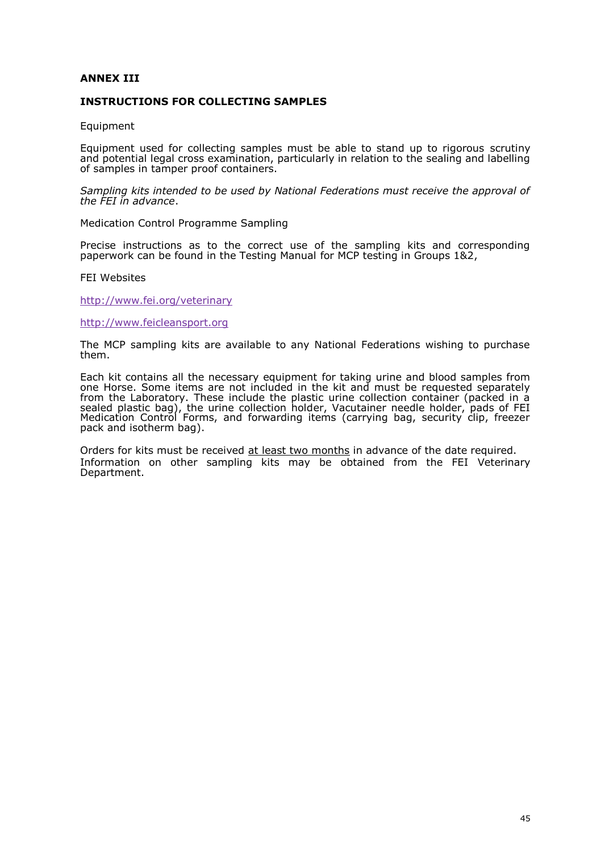### ANNEX III

#### INSTRUCTIONS FOR COLLECTING SAMPLES

Equipment

Equipment used for collecting samples must be able to secteuntdinup to rig and potential legal cross examination, particularly in relation to the sea of samples in tamper proof containers.

Sampling kits intended to be used by National Federations must receive the FEI in advance .

Medica n Control Programme Sampling

Precise instructions as to the correct use of the sampling kits and paperwork can be found in the Tefsdin**id CMP**ane sating in Groups 1&2

**FEWebsites** 

http:/www.fei.org/veterinary

[http://www.feicleans](http://www.feicleansport.org)port.org

The MCP sampling kits are available to any National Federations wishi them.

Each kit contains all the necessafroy retopulkilipmoneuntine and blood samples from oneHorseSome items are not included in the kit and must be requested from the Laboratory. These include the plastic urine collection contain sealed plastic bag), the urine collection and this inder needle holder, pads of F Medication Control Forms, and forwarding items (carrying bag, securit pack and isotherm bag).

Orders for kits must bearte besing the months of the date required. Information onerotshampling kits may be obtained froVmetethi**e**anFyEI Department .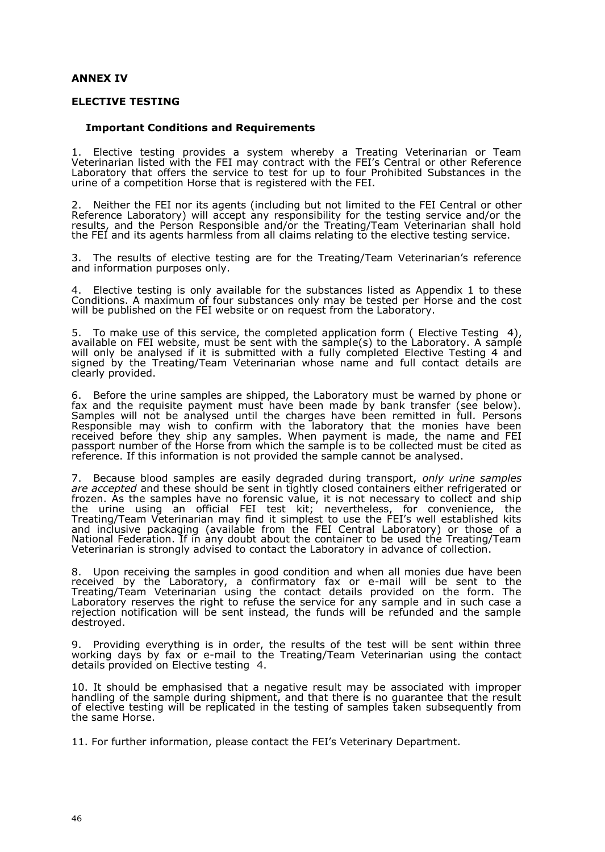## **ANNEX IV**

#### **ELECTIVE TESTING**

### **Important Conditions and Requirements**

1. Elective testing provides a system whereby a Treating Veterinarian or Team Veterinarian listed with the FEI may contract with the FEI's Central or other Reference Laboratory that offers the service to test for up to four Prohibited Substances in the urine of a competition Horse that is registered with the FEI.

2. Neither the FEI nor its agents (including but not limited to the FEI Central or other Reference Laboratory) will accept any responsibility for the testing service and/or the results, and the Person Responsible and/or the Treating/Team Veterinarian shall hold the FEI and its agents harmless from all claims relating to the elective testing service.

3. The results of elective testing are for the Treating/Team Veterinarian's reference and information purposes only.

4. Elective testing is only available for the substances listed as Appendix 1 to these Conditions. A maximum of four substances only may be tested per Horse and the cost will be published on the FEI website or on request from the Laboratory.

5. To make use of this service, the completed application form ( Elective Testing 4), available on FEI website, must be sent with the sample(s) to the Laboratory. A sample will only be analysed if it is submitted with a fully completed Elective Testing 4 and signed by the Treating/Team Veterinarian whose name and full contact details are clearly provided.

6. Before the urine samples are shipped, the Laboratory must be warned by phone or fax and the requisite payment must have been made by bank transfer (see below). Samples will not be analysed until the charges have been remitted in full*.* Persons Responsible may wish to confirm with the laboratory that the monies have been received before they ship any samples. When payment is made, the name and FEI passport number of the Horse from which the sample is to be collected must be cited as reference. If this information is not provided the sample cannot be analysed.

7. Because blood samples are easily degraded during transport, *only urine samples are accepted* and these should be sent in tightly closed containers either refrigerated or frozen. As the samples have no forensic value, it is not necessary to collect and ship the urine using an official FEI test kit; nevertheless, for convenience, the Treating/Team Veterinarian may find it simplest to use the FEI's well established kits and inclusive packaging (available from the FEI Central Laboratory) or those of a National Federation. If in any doubt about the container to be used the Treating/Team Veterinarian is strongly advised to contact the Laboratory in advance of collection.

8. Upon receiving the samples in good condition and when all monies due have been received by the Laboratory, a confirmatory fax or e-mail will be sent to the Treating/Team Veterinarian using the contact details provided on the form. The Laboratory reserves the right to refuse the service for any sample and in such case a rejection notification will be sent instead, the funds will be refunded and the sample destroyed.

9. Providing everything is in order, the results of the test will be sent within three working days by fax or e-mail to the Treating/Team Veterinarian using the contact details provided on Elective testing 4.

10. It should be emphasised that a negative result may be associated with improper handling of the sample during shipment, and that there is no guarantee that the result of elective testing will be replicated in the testing of samples taken subsequently from the same Horse.

11. For further information, please contact the FEI's Veterinary Department.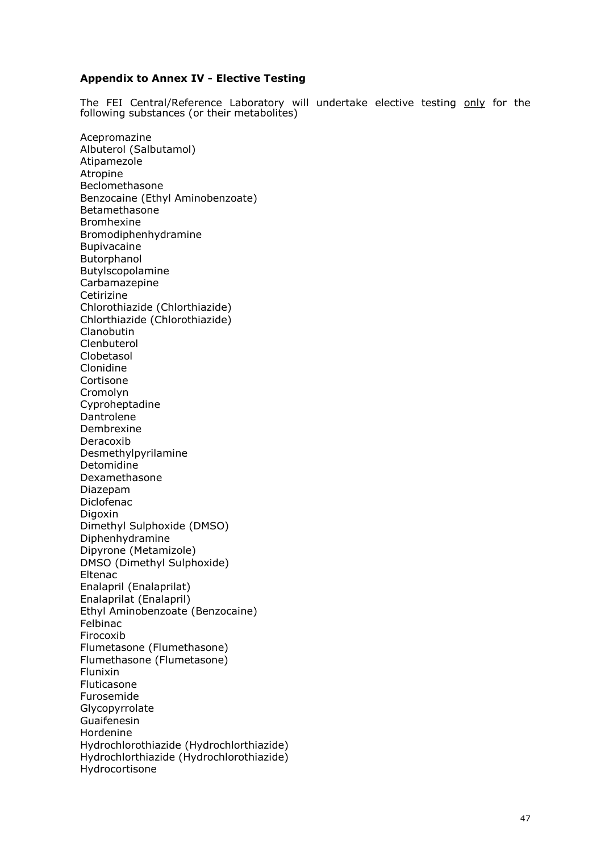## **Appendix to Annex IV - Elective Testing**

The FEI Central/Reference Laboratory will undertake elective testing only for the following substances (or their metabolites)

Acepromazine Albuterol (Salbutamol) Atipamezole Atropine Beclomethasone Benzocaine (Ethyl Aminobenzoate) Betamethasone Bromhexine Bromodiphenhydramine Bupivacaine Butorphanol Butylscopolamine Carbamazepine Cetirizine Chlorothiazide (Chlorthiazide) Chlorthiazide (Chlorothiazide) **Clanobutin** Clenbuterol Clobetasol Clonidine Cortisone Cromolyn Cyproheptadine Dantrolene Dembrexine Deracoxib Desmethylpyrilamine Detomidine Dexamethasone Diazepam Diclofenac Digoxin Dimethyl Sulphoxide (DMSO) Diphenhydramine Dipyrone (Metamizole) DMSO (Dimethyl Sulphoxide) Eltenac Enalapril (Enalaprilat) Enalaprilat (Enalapril) Ethyl Aminobenzoate (Benzocaine) Felbinac Firocoxib Flumetasone (Flumethasone) Flumethasone (Flumetasone) Flunixin Fluticasone Furosemide Glycopyrrolate Guaifenesin Hordenine Hydrochlorothiazide (Hydrochlorthiazide) Hydrochlorthiazide (Hydrochlorothiazide) Hydrocortisone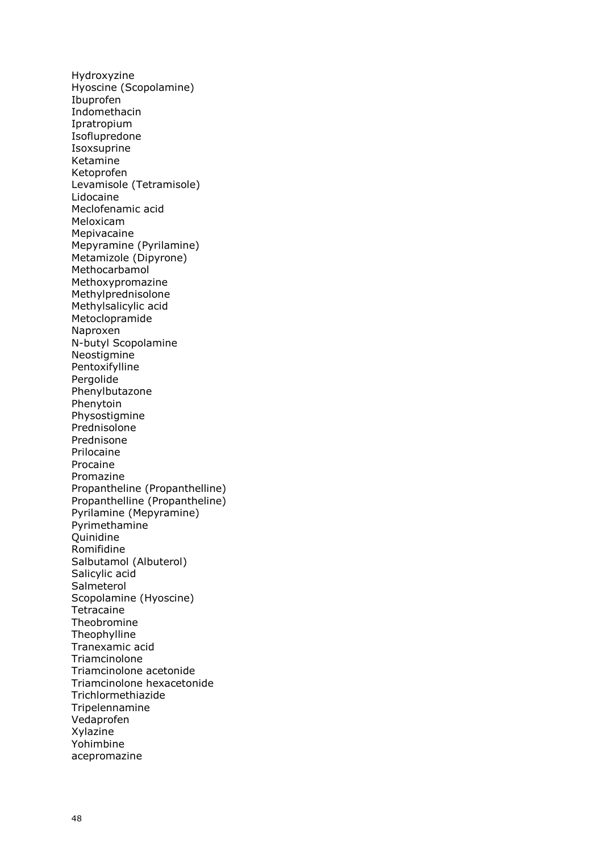Hydroxyzine Hyoscine (Scopolamine) Ibuprofen Indomethacin Ipratropium Isoflupredone Isoxsuprine Ketamine Ketoprofen Levamisole (Tetramisole) Lidocaine Meclofenamic acid Meloxicam Mepivacaine Mepyramine (Pyrilamine) Metamizole (Dipyrone) Methocarbamol Methoxypromazine Methylprednisolone Methylsalicylic acid Metoclopramide Naproxen N-butyl Scopolamine **Neostigmine** Pentoxifylline Pergolide Phenylbutazone Phenytoin Physostigmine Prednisolone Prednisone Prilocaine Procaine Promazine Propantheline (Propanthelline) Propanthelline (Propantheline) Pyrilamine (Mepyramine) Pyrimethamine **Ouinidine** Romifidine Salbutamol (Albuterol) Salicylic acid Salmeterol Scopolamine (Hyoscine) Tetracaine Theobromine Theophylline Tranexamic acid Triamcinolone Triamcinolone acetonide Triamcinolone hexacetonide Trichlormethiazide Tripelennamine Vedaprofen Xylazine Yohimbine acepromazine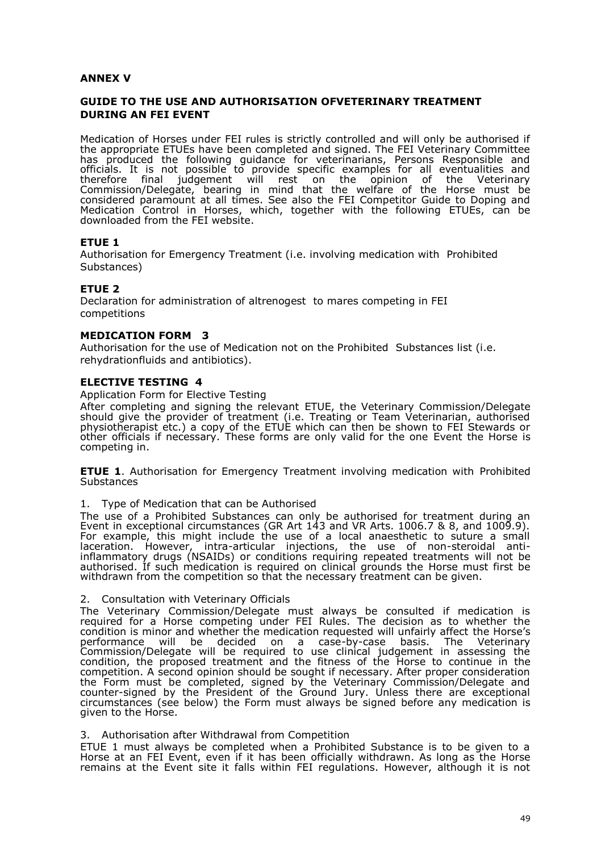## **ANNEX V**

# **GUIDE TO THE USE AND AUTHORISATION OFVETERINARY TREATMENT DURING AN FEI EVENT**

Medication of Horses under FEI rules is strictly controlled and will only be authorised if the appropriate ETUEs have been completed and signed. The FEI Veterinary Committee has produced the following guidance for veterinarians, Persons Responsible and officials. It is not possible to provide specific examples for all eventualities and therefore final judgement will rest on the opinion of the Veterinary Commission/Delegate, bearing in mind that the welfare of the Horse must be considered paramount at all times. See also the FEI Competitor Guide to Doping and Medication Control in Horses, which, together with the following ETUEs, can be downloaded from the FEI website.

## **ETUE 1**

Authorisation for Emergency Treatment (i.e. involving medication with Prohibited Substances)

## **ETUE 2**

Declaration for administration of altrenogest to mares competing in FEI competitions

## **MEDICATION FORM 3**

Authorisation for the use of Medication not on the Prohibited Substances list (i.e. rehydrationfluids and antibiotics).

### **ELECTIVE TESTING 4**

Application Form for Elective Testing

After completing and signing the relevant ETUE, the Veterinary Commission/Delegate should give the provider of treatment (i.e. Treating or Team Veterinarian, authorised physiotherapist etc.) a copy of the ETUE which can then be shown to FEI Stewards or other officials if necessary. These forms are only valid for the one Event the Horse is competing in.

**ETUE 1**. Authorisation for Emergency Treatment involving medication with Prohibited **Substances** 

#### 1. Type of Medication that can be Authorised

The use of a Prohibited Substances can only be authorised for treatment during an Event in exceptional circumstances (GR Art 143 and VR Arts. 1006.7 & 8, and 1009.9). For example, this might include the use of a local anaesthetic to suture a small laceration. However, intra-articular injections, the use of non-steroidal antiinflammatory drugs (NSAIDs) or conditions requiring repeated treatments will not be authorised. If such medication is required on clinical grounds the Horse must first be withdrawn from the competition so that the necessary treatment can be given.

2. Consultation with Veterinary Officials

The Veterinary Commission/Delegate must always be consulted if medication is required for a Horse competing under FEI Rules. The decision as to whether the condition is minor and whether the medication requested will unfairly affect the Horse's performance will be decided on a case-by-case basis. The Veterinary Commission/Delegate will be required to use clinical judgement in assessing the condition, the proposed treatment and the fitness of the Horse to continue in the competition. A second opinion should be sought if necessary. After proper consideration the Form must be completed, signed by the Veterinary Commission/Delegate and counter-signed by the President of the Ground Jury. Unless there are exceptional circumstances (see below) the Form must always be signed before any medication is given to the Horse.

#### 3. Authorisation after Withdrawal from Competition

ETUE 1 must always be completed when a Prohibited Substance is to be given to a Horse at an FEI Event, even if it has been officially withdrawn. As long as the Horse remains at the Event site it falls within FEI regulations. However, although it is not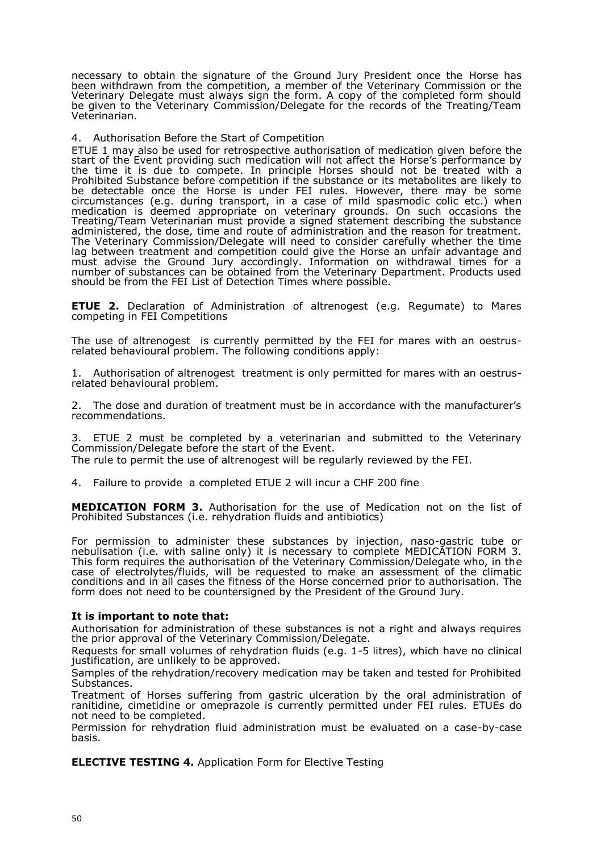necessary to obtain the signature of the Ground Jury President once the Horse has been withdrawn from the competition, a member of the Veterinary Commission or the Veterinary Delegate must always sign the form. A copy of the completed form should be given to the Veterinary Commission/Delegate for the records of the Treating/Team Veterinarian.

### 4. Authorisation Before the Start of Competition

ETUE 1 may also be used for retrospective authorisation of medication given before the start of the Event providing such medication will not affect the Horse's performance by the time it is due to compete. In principle Horses should not be treated with a Prohibited Substance before competition if the substance or its metabolites are likely to be detectable once the Horse is under FEI rules. However, there may be some circumstances (e.g. during transport, in a case of mild spasmodic colic etc.) when medication is deemed appropriate on veterinary grounds. On such occasions the Treating/Team Veterinarian must provide a signed statement describing the substance administered, the dose, time and route of administration and the reason for treatment. The Veterinary Commission/Delegate will need to consider carefully whether the time lag between treatment and competition could give the Horse an unfair advantage and must advise the Ground Jury accordingly. Information on withdrawal times for a number of substances can be obtained from the Veterinary Department. Products used should be from the FEI List of Detection Times where possible.

**ETUE 2.** Declaration of Administration of altrenogest (e.g. Regumate) to Mares competing in FEI Competitions

The use of altrenogest is currently permitted by the FEI for mares with an oestrusrelated behavioural problem. The following conditions apply:

1. Authorisation of altrenogest treatment is only permitted for mares with an oestrusrelated behavioural problem.

2. The dose and duration of treatment must be in accordance with the manufacturer's recommendations.

3. ETUE 2 must be completed by a veterinarian and submitted to the Veterinary Commission/Delegate before the start of the Event.

The rule to permit the use of altrenogest will be regularly reviewed by the FEI.

4. Failure to provide a completed ETUE 2 will incur a CHF 200 fine

**MEDICATION FORM 3.** Authorisation for the use of Medication not on the list of Prohibited Substances (i.e. rehydration fluids and antibiotics)

For permission to administer these substances by injection, naso-gastric tube or nebulisation (i.e. with saline only) it is necessary to complete MEDICATION FORM 3. This form requires the authorisation of the Veterinary Commission/Delegate who, in the case of electrolytes/fluids, will be requested to make an assessment of the climatic conditions and in all cases the fitness of the Horse concerned prior to authorisation. The form does not need to be countersigned by the President of the Ground Jury.

#### **It is important to note that:**

Authorisation for administration of these substances is not a right and always requires the prior approval of the Veterinary Commission/Delegate.

Requests for small volumes of rehydration fluids (e.g. 1-5 litres), which have no clinical justification, are unlikely to be approved.

Samples of the rehydration/recovery medication may be taken and tested for Prohibited Substances.

Treatment of Horses suffering from gastric ulceration by the oral administration of ranitidine, cimetidine or omeprazole is currently permitted under FEI rules. ETUEs do not need to be completed.

Permission for rehydration fluid administration must be evaluated on a case-by-case basis.

**ELECTIVE TESTING 4.** Application Form for Elective Testing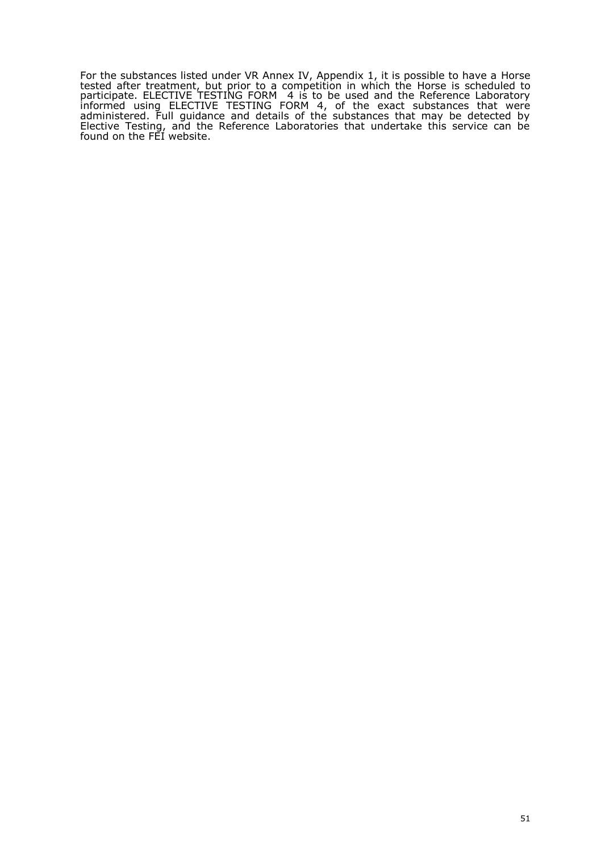For the substances listed under VR Annex IV, Appendix 1, it is possible to have a Horse tested after treatment, but prior to a competition in which the Horse is scheduled to participate. ELECTIVE TESTING FORM 4 is to be used and the Reference Laboratory informed using ELECTIVE TESTING FORM 4, of the exact substances that were administered. Full guidance and details of the substances that may be detected by Elective Testing, and the Reference Laboratories that undertake this service can be found on the FEI website.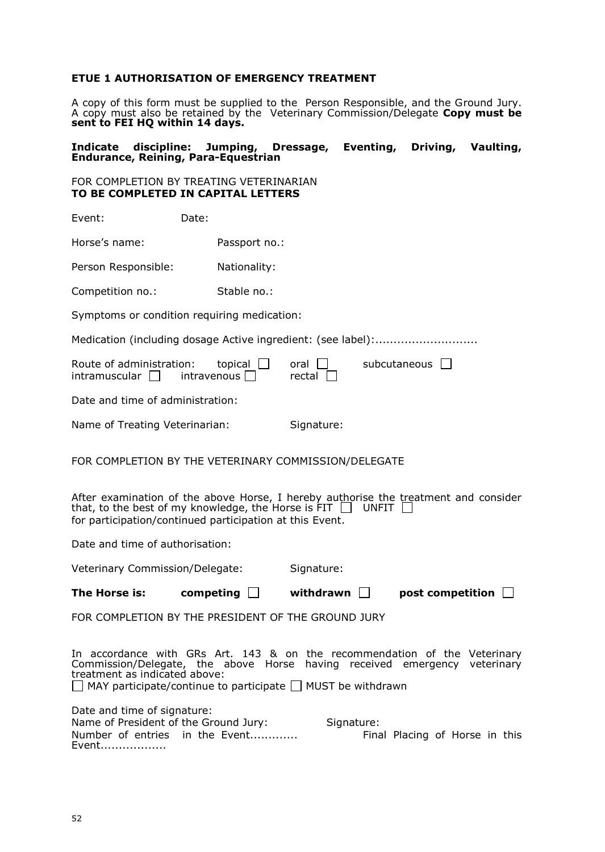# **ETUE 1 AUTHORISATION OF EMERGENCY TREATMENT**

A copy of this form must be supplied to the Person Responsible, and the Ground Jury. A copy must also be retained by the Veterinary Commission/Delegate **Copy must be sent to FEI HQ within 14 days.**

### **Indicate discipline: Jumping, Dressage, Eventing, Driving, Vaulting, Endurance, Reining, Para-Equestrian**

## FOR COMPLETION BY TREATING VETERINARIAN **TO BE COMPLETED IN CAPITAL LETTERS**

| Event:                                                                                                                                                                                                                                                             | Date: |                             |                  |                                |  |
|--------------------------------------------------------------------------------------------------------------------------------------------------------------------------------------------------------------------------------------------------------------------|-------|-----------------------------|------------------|--------------------------------|--|
| Horse's name:                                                                                                                                                                                                                                                      |       | Passport no.:               |                  |                                |  |
| Person Responsible:                                                                                                                                                                                                                                                |       | Nationality:                |                  |                                |  |
| Competition no.:                                                                                                                                                                                                                                                   |       | Stable no.:                 |                  |                                |  |
| Symptoms or condition requiring medication:                                                                                                                                                                                                                        |       |                             |                  |                                |  |
| Medication (including dosage Active ingredient: (see label):                                                                                                                                                                                                       |       |                             |                  |                                |  |
| Route of administration:<br>intramuscular                                                                                                                                                                                                                          |       | topical  <br>$intr$ avenous | oral l<br>rectal | subcutaneous                   |  |
| Date and time of administration:                                                                                                                                                                                                                                   |       |                             |                  |                                |  |
| Name of Treating Veterinarian:                                                                                                                                                                                                                                     |       |                             | Signature:       |                                |  |
| FOR COMPLETION BY THE VETERINARY COMMISSION/DELEGATE                                                                                                                                                                                                               |       |                             |                  |                                |  |
| After examination of the above Horse, I hereby authorise the treatment and consider<br>that, to the best of my knowledge, the Horse is FIT $\Box$ UNFIT $\Box$<br>for participation/continued participation at this Event.                                         |       |                             |                  |                                |  |
| Date and time of authorisation:                                                                                                                                                                                                                                    |       |                             |                  |                                |  |
| Veterinary Commission/Delegate:                                                                                                                                                                                                                                    |       |                             | Signature:       |                                |  |
| The Horse is:                                                                                                                                                                                                                                                      |       | competing $\Box$            | withdrawn $\Box$ | post competition $\Box$        |  |
| FOR COMPLETION BY THE PRESIDENT OF THE GROUND JURY                                                                                                                                                                                                                 |       |                             |                  |                                |  |
| In accordance with GRs Art. 143 & on the recommendation of the Veterinary<br>Commission/Delegate, the above Horse having received emergency veterinary<br>treatment as indicated above:<br>$\Box$ MAY participate/continue to participate $\Box$ MUST be withdrawn |       |                             |                  |                                |  |
| Date and time of signature:<br>Name of President of the Ground Jury:<br>Number of entries in the Event<br>Event                                                                                                                                                    |       |                             | Signature:       | Final Placing of Horse in this |  |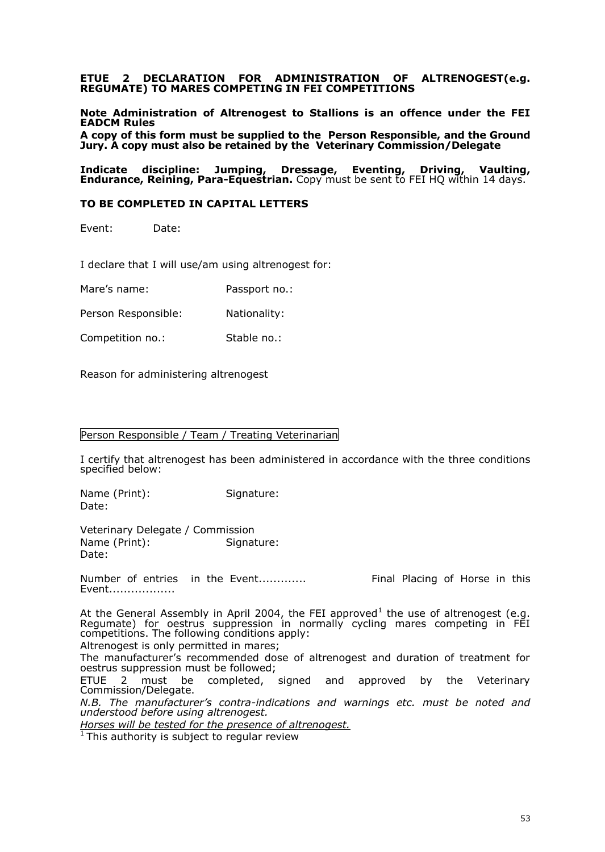### **ETUE 2 DECLARATION FOR ADMINISTRATION OF ALTRENOGEST(e.g. REGUMATE) TO MARES COMPETING IN FEI COMPETITIONS**

**Note Administration of Altrenogest to Stallions is an offence under the FEI EADCM Rules**

**A copy of this form must be supplied to the Person Responsible, and the Ground Jury. A copy must also be retained by the Veterinary Commission/Delegate**

**Indicate discipline: Jumping, Dressage, Eventing, Driving, Vaulting, Endurance, Reining, Para-Equestrian.** Copy must be sent to FEI HQ within 14 days.

#### **TO BE COMPLETED IN CAPITAL LETTERS**

Event: Date:

I declare that I will use/am using altrenogest for:

Mare's name: Passport no.:

Person Responsible: Nationality:

Competition no.: Stable no.:

Reason for administering altrenogest

#### Person Responsible / Team / Treating Veterinarian

I certify that altrenogest has been administered in accordance with the three conditions specified below:

Name (Print): Signature: Date:

Veterinary Delegate / Commission Name (Print): Signature: Date:

Number of entries in the Event............. Final Placing of Horse in this Event..................

At the General Assembly in April 2004, the FEI approved $^1$  the use of altrenogest (e.g. Regumate) for oestrus suppression in normally cycling mares competing in FEI competitions. The following conditions apply:

Altrenogest is only permitted in mares;

The manufacturer's recommended dose of altrenogest and duration of treatment for oestrus suppression must be followed;<br>ETUE 2 must be completed, signed

and approved by the Veterinary Commission/Delegate.

*N.B. The manufacturer's contra-indications and warnings etc. must be noted and understood before using altrenogest.*

*Horses will be tested for the presence of altrenogest.*

 $1$  This authority is subject to regular review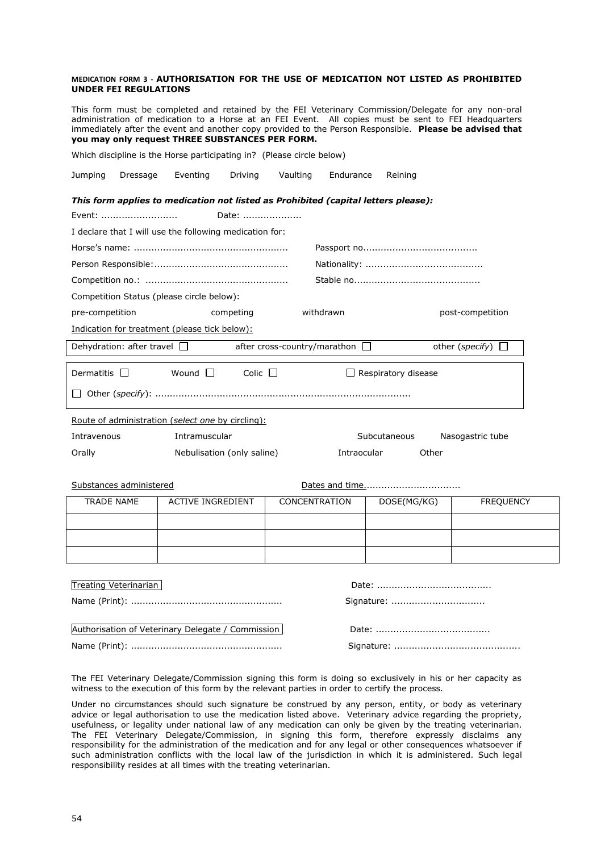| <b>UNDER FEI REGULATIONS</b>              | MEDICATION FORM 3 - AUTHORISATION FOR THE USE OF MEDICATION NOT LISTED AS PROHIBITED                                                                                                                                                                                                                                                                                      |                                     |                            |                        |
|-------------------------------------------|---------------------------------------------------------------------------------------------------------------------------------------------------------------------------------------------------------------------------------------------------------------------------------------------------------------------------------------------------------------------------|-------------------------------------|----------------------------|------------------------|
|                                           | This form must be completed and retained by the FEI Veterinary Commission/Delegate for any non-oral<br>administration of medication to a Horse at an FEI Event. All copies must be sent to FEI Headquarters<br>immediately after the event and another copy provided to the Person Responsible. Please be advised that<br>you may only request THREE SUBSTANCES PER FORM. |                                     |                            |                        |
|                                           | Which discipline is the Horse participating in? (Please circle below)                                                                                                                                                                                                                                                                                                     |                                     |                            |                        |
| Jumping<br>Dressage                       | Eventing<br>Driving                                                                                                                                                                                                                                                                                                                                                       | Vaulting<br>Endurance               | Reining                    |                        |
|                                           | This form applies to medication not listed as Prohibited (capital letters please):                                                                                                                                                                                                                                                                                        |                                     |                            |                        |
| Event:                                    | Date:                                                                                                                                                                                                                                                                                                                                                                     |                                     |                            |                        |
|                                           | I declare that I will use the following medication for:                                                                                                                                                                                                                                                                                                                   |                                     |                            |                        |
|                                           |                                                                                                                                                                                                                                                                                                                                                                           |                                     |                            |                        |
|                                           |                                                                                                                                                                                                                                                                                                                                                                           |                                     |                            |                        |
|                                           |                                                                                                                                                                                                                                                                                                                                                                           |                                     |                            |                        |
| Competition Status (please circle below): |                                                                                                                                                                                                                                                                                                                                                                           |                                     |                            |                        |
| pre-competition                           | competing                                                                                                                                                                                                                                                                                                                                                                 | withdrawn                           |                            | post-competition       |
|                                           | Indication for treatment (please tick below):                                                                                                                                                                                                                                                                                                                             |                                     |                            |                        |
| Dehydration: after travel $\Box$          |                                                                                                                                                                                                                                                                                                                                                                           | after cross-country/marathon $\Box$ |                            | other (specify) $\Box$ |
| Dermatitis                                | Wound I<br>$Colic$ $\Box$                                                                                                                                                                                                                                                                                                                                                 |                                     | $\Box$ Respiratory disease |                        |
|                                           |                                                                                                                                                                                                                                                                                                                                                                           |                                     |                            |                        |
|                                           | Route of administration (select one by circling):                                                                                                                                                                                                                                                                                                                         |                                     |                            |                        |
| Intravenous                               | Intramuscular                                                                                                                                                                                                                                                                                                                                                             |                                     | Subcutaneous               | Nasogastric tube       |
| Orally                                    | Nebulisation (only saline)                                                                                                                                                                                                                                                                                                                                                | Intraocular                         | Other                      |                        |
|                                           |                                                                                                                                                                                                                                                                                                                                                                           |                                     |                            |                        |
| Substances administered                   |                                                                                                                                                                                                                                                                                                                                                                           |                                     |                            |                        |
| <b>TRADE NAME</b>                         | <b>ACTIVE INGREDIENT</b>                                                                                                                                                                                                                                                                                                                                                  | <b>CONCENTRATION</b>                | DOSE(MG/KG)                | <b>FREQUENCY</b>       |
|                                           |                                                                                                                                                                                                                                                                                                                                                                           |                                     |                            |                        |
|                                           |                                                                                                                                                                                                                                                                                                                                                                           |                                     |                            |                        |
|                                           |                                                                                                                                                                                                                                                                                                                                                                           |                                     |                            |                        |
|                                           |                                                                                                                                                                                                                                                                                                                                                                           |                                     |                            |                        |
| <b>Treating Veterinarian</b>              |                                                                                                                                                                                                                                                                                                                                                                           |                                     |                            |                        |
|                                           |                                                                                                                                                                                                                                                                                                                                                                           |                                     | Signature:                 |                        |
|                                           |                                                                                                                                                                                                                                                                                                                                                                           |                                     |                            |                        |
|                                           | Authorisation of Veterinary Delegate / Commission                                                                                                                                                                                                                                                                                                                         |                                     |                            |                        |

Name (Print): .................................................... Signature: ...........................................

| $DdE, , , , , , , , , , ,$ |
|----------------------------|
|                            |
|                            |

The FEI Veterinary Delegate/Commission signing this form is doing so exclusively in his or her capacity as witness to the execution of this form by the relevant parties in order to certify the process.

Under no circumstances should such signature be construed by any person, entity, or body as veterinary advice or legal authorisation to use the medication listed above. Veterinary advice regarding the propriety, usefulness, or legality under national law of any medication can only be given by the treating veterinarian. The FEI Veterinary Delegate/Commission, in signing this form, therefore expressly disclaims any responsibility for the administration of the medication and for any legal or other consequences whatsoever if such administration conflicts with the local law of the jurisdiction in which it is administered. Such legal responsibility resides at all times with the treating veterinarian.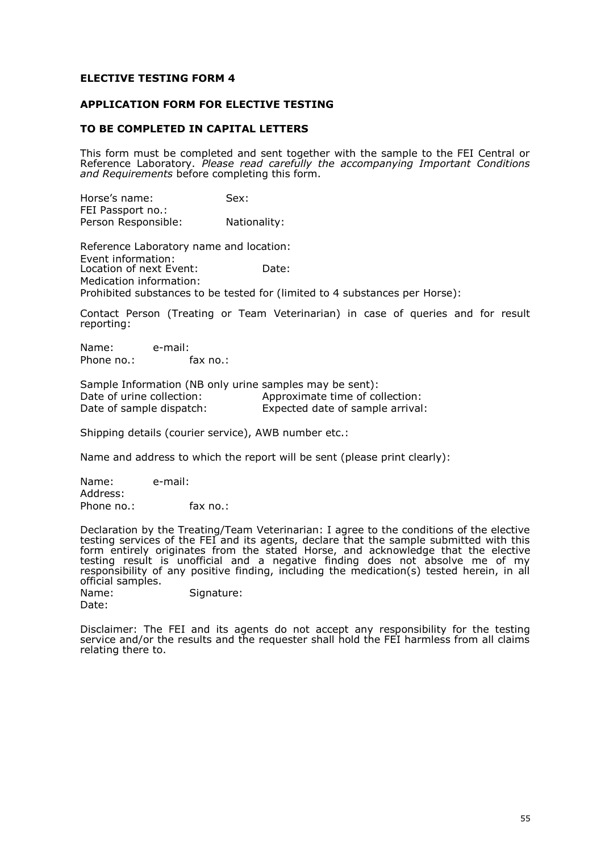## **ELECTIVE TESTING FORM 4**

## **APPLICATION FORM FOR ELECTIVE TESTING**

### **TO BE COMPLETED IN CAPITAL LETTERS**

This form must be completed and sent together with the sample to the FEI Central or Reference Laboratory. *Please read carefully the accompanying Important Conditions and Requirements* before completing this form.

Horse's name: Sex: FEI Passport no.: Person Responsible: Nationality:

Reference Laboratory name and location: Event information: Location of next Event: Date: Medication information: Prohibited substances to be tested for (limited to 4 substances per Horse):

Contact Person (Treating or Team Veterinarian) in case of queries and for result reporting:

Name: e-mail: Phone no.: fax no.:

Sample Information (NB only urine samples may be sent): Date of urine collection:<br>
Date of sample dispatch:<br>
Expected date of sample arrival Expected date of sample arrival:

Shipping details (courier service), AWB number etc.:

Name and address to which the report will be sent (please print clearly):

Name: e-mail: Address: Phone no.: fax no.:

Declaration by the Treating/Team Veterinarian: I agree to the conditions of the elective testing services of the FEI and its agents, declare that the sample submitted with this form entirely originates from the stated Horse, and acknowledge that the elective testing result is unofficial and a negative finding does not absolve me of my responsibility of any positive finding, including the medication(s) tested herein, in all official samples.

Name: Signature: Date:

Disclaimer: The FEI and its agents do not accept any responsibility for the testing service and/or the results and the requester shall hold the FEI harmless from all claims relating there to.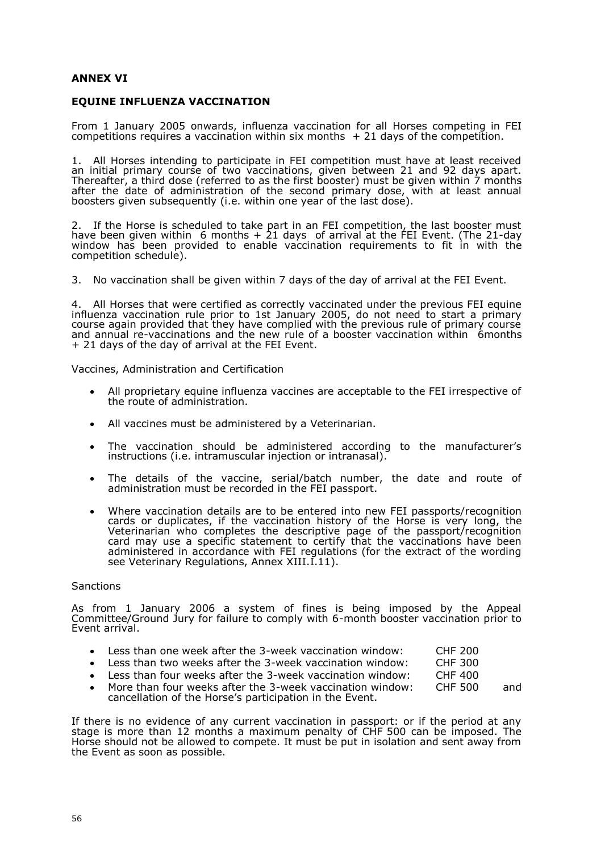## **ANNEX VI**

## **EQUINE INFLUENZA VACCINATION**

From 1 January 2005 onwards, influenza vaccination for all Horses competing in FEI competitions requires a vaccination within six months  $+21$  days of the competition.

1. All Horses intending to participate in FEI competition must have at least received an initial primary course of two vaccinations, given between 21 and 92 days apart. Thereafter, a third dose (referred to as the first booster) must be given within 7 months after the date of administration of the second primary dose, with at least annual boosters given subsequently (i.e. within one year of the last dose).

2. If the Horse is scheduled to take part in an FEI competition, the last booster must have been given within 6 months + 21 days of arrival at the FEI Event. (The 21-day window has been provided to enable vaccination requirements to fit in with the competition schedule).

3. No vaccination shall be given within 7 days of the day of arrival at the FEI Event.

4. All Horses that were certified as correctly vaccinated under the previous FEI equine influenza vaccination rule prior to 1st January 2005, do not need to start a primary course again provided that they have complied with the previous rule of primary course and annual re-vaccinations and the new rule of a booster vaccination within 6months + 21 days of the day of arrival at the FEI Event.

Vaccines, Administration and Certification

- All proprietary equine influenza vaccines are acceptable to the FEI irrespective of the route of administration.
- All vaccines must be administered by a Veterinarian.
- The vaccination should be administered according to the manufacturer's instructions (i.e. intramuscular injection or intranasal).
- The details of the vaccine, serial/batch number, the date and route of administration must be recorded in the FEI passport.
- Where vaccination details are to be entered into new FEI passports/recognition cards or duplicates, if the vaccination history of the Horse is very long, the Veterinarian who completes the descriptive page of the passport/recognition card may use a specific statement to certify that the vaccinations have been administered in accordance with FEI regulations (for the extract of the wording see Veterinary Regulations, Annex XIII.I.11).

#### **Sanctions**

As from 1 January 2006 a system of fines is being imposed by the Appeal Committee/Ground Jury for failure to comply with 6-month booster vaccination prior to Event arrival.

- Less than one week after the 3-week vaccination window: CHF 200
- Less than two weeks after the 3-week vaccination window: CHF 300
- Less than four weeks after the 3-week vaccination window: CHF 400
- More than four weeks after the 3-week vaccination window: CHF 500 and cancellation of the Horse's participation in the Event.

If there is no evidence of any current vaccination in passport: or if the period at any stage is more than 12 months a maximum penalty of CHF 500 can be imposed. The Horse should not be allowed to compete. It must be put in isolation and sent away from the Event as soon as possible.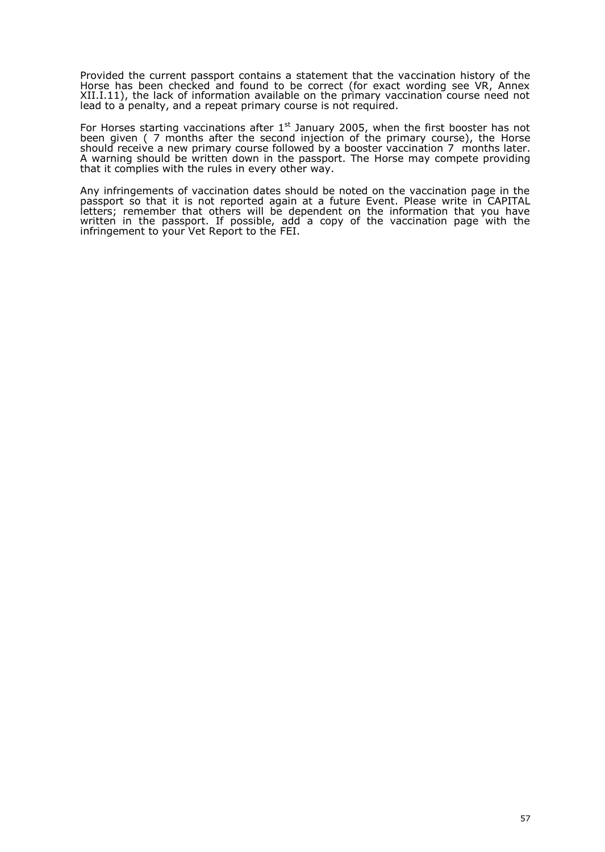Provided the current passport contains a statement that the vaccination history of the Horse has been checked and found to be correct (for exact wording see VR, Annex XII.I.11), the lack of information available on the primary vaccination course need not lead to a penalty, and a repeat primary course is not required.

For Horses starting vaccinations after  $1^{st}$  January 2005, when the first booster has not been given ( 7 months after the second injection of the primary course), the Horse should receive a new primary course followed by a booster vaccination 7 months later. A warning should be written down in the passport. The Horse may compete providing that it complies with the rules in every other way.

Any infringements of vaccination dates should be noted on the vaccination page in the passport so that it is not reported again at a future Event. Please write in CAPITAL letters; remember that others will be dependent on the information that you have written in the passport. If possible, add a copy of the vaccination page with the infringement to your Vet Report to the FEI.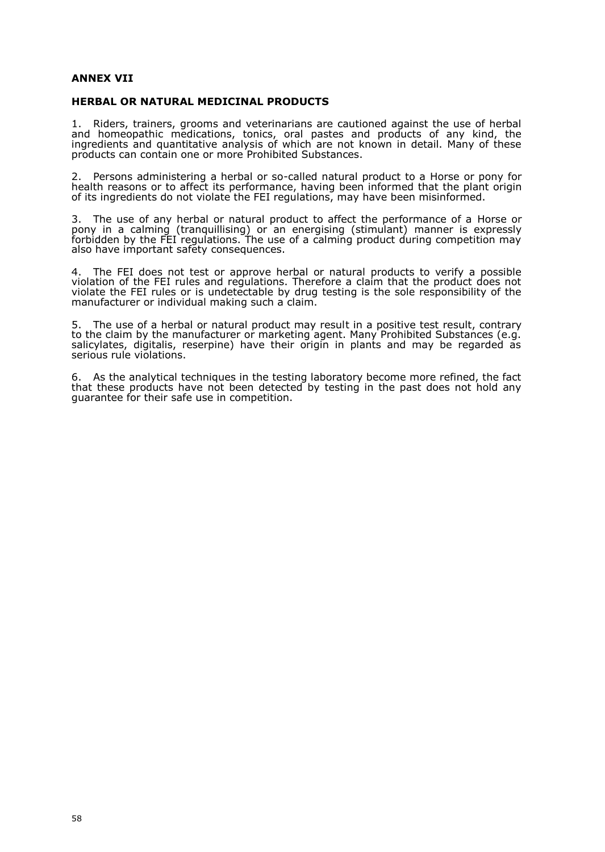### **ANNEX VII**

### **HERBAL OR NATURAL MEDICINAL PRODUCTS**

1. Riders, trainers, grooms and veterinarians are cautioned against the use of herbal and homeopathic medications, tonics, oral pastes and products of any kind, the ingredients and quantitative analysis of which are not known in detail. Many of these products can contain one or more Prohibited Substances.

2. Persons administering a herbal or so-called natural product to a Horse or pony for health reasons or to affect its performance, having been informed that the plant origin of its ingredients do not violate the FEI regulations, may have been misinformed.

3. The use of any herbal or natural product to affect the performance of a Horse or pony in a calming (tranquillising) or an energising (stimulant) manner is expressly forbidden by the FEI regulations. The use of a calming product during competition may also have important safety consequences.

4. The FEI does not test or approve herbal or natural products to verify a possible violation of the FEI rules and regulations. Therefore a claim that the product does not violate the FEI rules or is undetectable by drug testing is the sole responsibility of the manufacturer or individual making such a claim.

5. The use of a herbal or natural product may result in a positive test result, contrary to the claim by the manufacturer or marketing agent. Many Prohibited Substances (e.g. salicylates, digitalis, reserpine) have their origin in plants and may be regarded as serious rule violations.

6. As the analytical techniques in the testing laboratory become more refined, the fact that these products have not been detected by testing in the past does not hold any guarantee for their safe use in competition.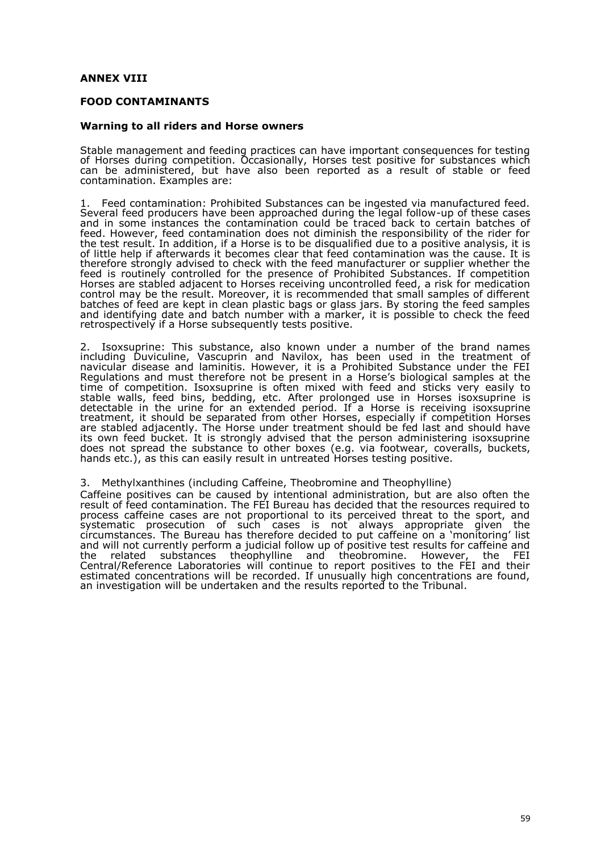## **ANNEX VIII**

### **FOOD CONTAMINANTS**

#### **Warning to all riders and Horse owners**

Stable management and feeding practices can have important consequences for testing of Horses during competition. Occasionally, Horses test positive for substances which can be administered, but have also been reported as a result of stable or feed contamination. Examples are:

1. Feed contamination: Prohibited Substances can be ingested via manufactured feed. Several feed producers have been approached during the legal follow-up of these cases and in some instances the contamination could be traced back to certain batches of feed. However, feed contamination does not diminish the responsibility of the rider for the test result. In addition, if a Horse is to be disqualified due to a positive analysis, it is of little help if afterwards it becomes clear that feed contamination was the cause. It is therefore strongly advised to check with the feed manufacturer or supplier whether the feed is routinely controlled for the presence of Prohibited Substances. If competition Horses are stabled adjacent to Horses receiving uncontrolled feed, a risk for medication control may be the result. Moreover, it is recommended that small samples of different batches of feed are kept in clean plastic bags or glass jars. By storing the feed samples and identifying date and batch number with a marker, it is possible to check the feed retrospectively if a Horse subsequently tests positive.

2. Isoxsuprine: This substance, also known under a number of the brand names including Duviculine, Vascuprin and Navilox, has been used in the treatment of navicular disease and laminitis. However, it is a Prohibited Substance under the FEI Regulations and must therefore not be present in a Horse's biological samples at the time of competition. Isoxsuprine is often mixed with feed and sticks very easily to stable walls, feed bins, bedding, etc. After prolonged use in Horses isoxsuprine is detectable in the urine for an extended period. If a Horse is receiving isoxsuprine treatment, it should be separated from other Horses, especially if competition Horses are stabled adjacently. The Horse under treatment should be fed last and should have its own feed bucket. It is strongly advised that the person administering isoxsuprine does not spread the substance to other boxes (e.g. via footwear, coveralls, buckets, hands etc.), as this can easily result in untreated Horses testing positive.

### 3. Methylxanthines (including Caffeine, Theobromine and Theophylline)

Caffeine positives can be caused by intentional administration, but are also often the result of feed contamination. The FEI Bureau has decided that the resources required to process caffeine cases are not proportional to its perceived threat to the sport, and systematic prosecution of such cases is not always appropriate given the circumstances. The Bureau has therefore decided to put caffeine on a 'monitoring' list and will not currently perform a judicial follow up of positive test results for caffeine and the related substances theophylline and theobromine. However, the FEI Central/Reference Laboratories will continue to report positives to the FEI and their estimated concentrations will be recorded. If unusually high concentrations are found, an investigation will be undertaken and the results reported to the Tribunal.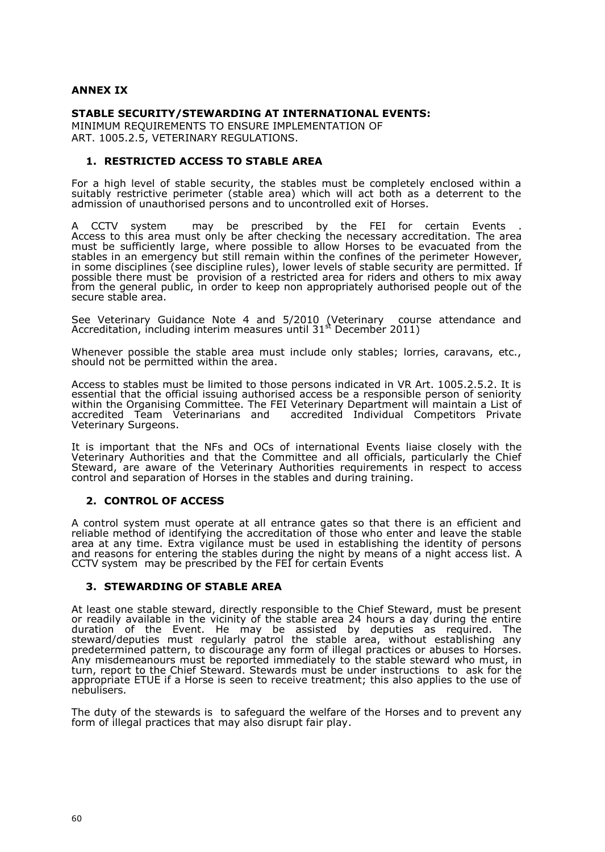## **ANNEX IX**

## **STABLE SECURITY/STEWARDING AT INTERNATIONAL EVENTS:**

MINIMUM REQUIREMENTS TO ENSURE IMPLEMENTATION OF ART. 1005.2.5, VETERINARY REGULATIONS.

### **1. RESTRICTED ACCESS TO STABLE AREA**

For a high level of stable security, the stables must be completely enclosed within a suitably restrictive perimeter (stable area) which will act both as a deterrent to the admission of unauthorised persons and to uncontrolled exit of Horses.

A CCTV system may be prescribed by the FEI for certain Events . Access to this area must only be after checking the necessary accreditation. The area must be sufficiently large, where possible to allow Horses to be evacuated from the stables in an emergency but still remain within the confines of the perimeter However, in some disciplines (see discipline rules), lower levels of stable security are permitted. If possible there must be provision of a restricted area for riders and others to mix away from the general public, in order to keep non appropriately authorised people out of the secure stable area.

See Veterinary Guidance Note 4 and 5/2010 (Veterinary course attendance and Accreditation, including interim measures until 31 $^{\text{st}}$  December 2011)

Whenever possible the stable area must include only stables; lorries, caravans, etc., should not be permitted within the area.

Access to stables must be limited to those persons indicated in VR Art. 1005.2.5.2. It is essential that the official issuing authorised access be a responsible person of seniority within the Organising Committee. The FEI Veterinary Department will maintain a List of accredited Team Veterinarians and accredited Individual Competitors Private accredited Team Veterinarians and<br>Veterinary Surgeons.

It is important that the NFs and OCs of international Events liaise closely with the Veterinary Authorities and that the Committee and all officials, particularly the Chief Steward, are aware of the Veterinary Authorities requirements in respect to access control and separation of Horses in the stables and during training.

#### **2. CONTROL OF ACCESS**

A control system must operate at all entrance gates so that there is an efficient and reliable method of identifying the accreditation of those who enter and leave the stable area at any time. Extra vigilance must be used in establishing the identity of persons and reasons for entering the stables during the night by means of a night access list. A CCTV system may be prescribed by the FEI for certain Events

#### **3. STEWARDING OF STABLE AREA**

At least one stable steward, directly responsible to the Chief Steward, must be present or readily available in the vicinity of the stable area 24 hours a day during the entire duration of the Event. He may be assisted by deputies as required. The steward/deputies must regularly patrol the stable area, without establishing any predetermined pattern, to discourage any form of illegal practices or abuses to Horses. Any misdemeanours must be reported immediately to the stable steward who must, in turn, report to the Chief Steward. Stewards must be under instructions to ask for the appropriate ETUE if a Horse is seen to receive treatment; this also applies to the use of nebulisers.

The duty of the stewards is to safeguard the welfare of the Horses and to prevent any form of illegal practices that may also disrupt fair play.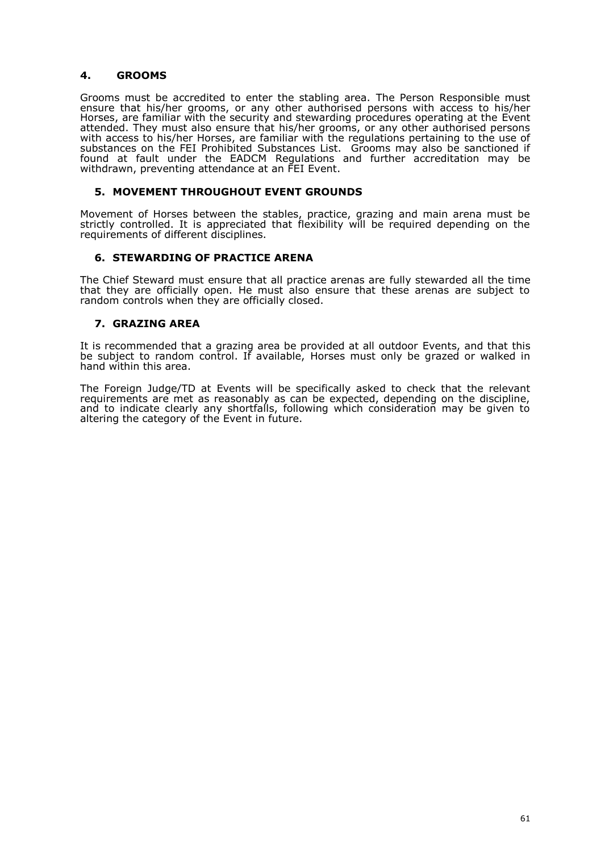## **4. GROOMS**

Grooms must be accredited to enter the stabling area. The Person Responsible must ensure that his/her grooms, or any other authorised persons with access to his/her Horses, are familiar with the security and stewarding procedures operating at the Event attended. They must also ensure that his/her grooms, or any other authorised persons with access to his/her Horses, are familiar with the regulations pertaining to the use of substances on the FEI Prohibited Substances List. Grooms may also be sanctioned if found at fault under the EADCM Regulations and further accreditation may be withdrawn, preventing attendance at an FEI Event.

## **5. MOVEMENT THROUGHOUT EVENT GROUNDS**

Movement of Horses between the stables, practice, grazing and main arena must be strictly controlled. It is appreciated that flexibility will be required depending on the requirements of different disciplines.

## **6. STEWARDING OF PRACTICE ARENA**

The Chief Steward must ensure that all practice arenas are fully stewarded all the time that they are officially open. He must also ensure that these arenas are subject to random controls when they are officially closed.

## **7. GRAZING AREA**

It is recommended that a grazing area be provided at all outdoor Events, and that this be subject to random control. If available, Horses must only be grazed or walked in hand within this area.

The Foreign Judge/TD at Events will be specifically asked to check that the relevant requirements are met as reasonably as can be expected, depending on the discipline, and to indicate clearly any shortfalls, following which consideration may be given to altering the category of the Event in future.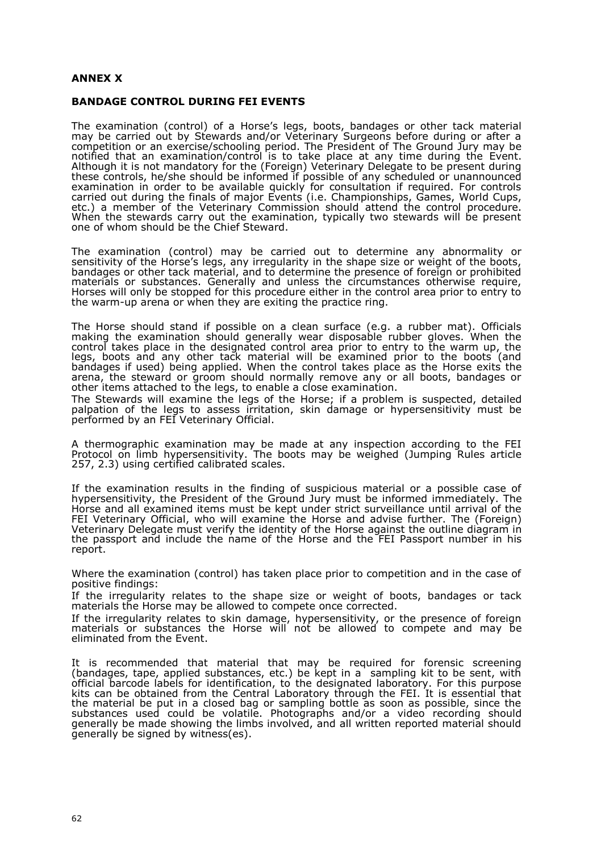## **ANNEX X**

### **BANDAGE CONTROL DURING FEI EVENTS**

The examination (control) of a Horse's legs, boots, bandages or other tack material may be carried out by Stewards and/or Veterinary Surgeons before during or after a competition or an exercise/schooling period. The President of The Ground Jury may be notified that an examination/control is to take place at any time during the Event. Although it is not mandatory for the (Foreign) Veterinary Delegate to be present during these controls, he/she should be informed if possible of any scheduled or unannounced examination in order to be available quickly for consultation if required. For controls carried out during the finals of major Events (i.e. Championships, Games, World Cups, etc.) a member of the Veterinary Commission should attend the control procedure. When the stewards carry out the examination, typically two stewards will be present one of whom should be the Chief Steward.

The examination (control) may be carried out to determine any abnormality or sensitivity of the Horse's legs, any irregularity in the shape size or weight of the boots, bandages or other tack material, and to determine the presence of foreign or prohibited materials or substances. Generally and unless the circumstances otherwise require, Horses will only be stopped for this procedure either in the control area prior to entry to the warm-up arena or when they are exiting the practice ring.

The Horse should stand if possible on a clean surface (e.g. a rubber mat). Officials making the examination should generally wear disposable rubber gloves. When the control takes place in the designated control area prior to entry to the warm up, the legs, boots and any other tack material will be examined prior to the boots (and bandages if used) being applied. When the control takes place as the Horse exits the arena, the steward or groom should normally remove any or all boots, bandages or other items attached to the legs, to enable a close examination.

The Stewards will examine the legs of the Horse; if a problem is suspected, detailed palpation of the legs to assess irritation, skin damage or hypersensitivity must be performed by an FEI Veterinary Official.

A thermographic examination may be made at any inspection according to the FEI Protocol on limb hypersensitivity. The boots may be weighed (Jumping Rules article 257, 2.3) using certified calibrated scales.

If the examination results in the finding of suspicious material or a possible case of hypersensitivity, the President of the Ground Jury must be informed immediately. The Horse and all examined items must be kept under strict surveillance until arrival of the FEI Veterinary Official, who will examine the Horse and advise further. The (Foreign) Veterinary Delegate must verify the identity of the Horse against the outline diagram in the passport and include the name of the Horse and the FEI Passport number in his report.

Where the examination (control) has taken place prior to competition and in the case of positive findings:

If the irregularity relates to the shape size or weight of boots, bandages or tack materials the Horse may be allowed to compete once corrected.

If the irregularity relates to skin damage, hypersensitivity, or the presence of foreign materials or substances the Horse will not be allowed to compete and may be eliminated from the Event.

It is recommended that material that may be required for forensic screening (bandages, tape, applied substances, etc.) be kept in a sampling kit to be sent, with official barcode labels for identification, to the designated laboratory. For this purpose kits can be obtained from the Central Laboratory through the FEI. It is essential that the material be put in a closed bag or sampling bottle as soon as possible, since the substances used could be volatile. Photographs and/or a video recording should generally be made showing the limbs involved, and all written reported material should generally be signed by witness(es).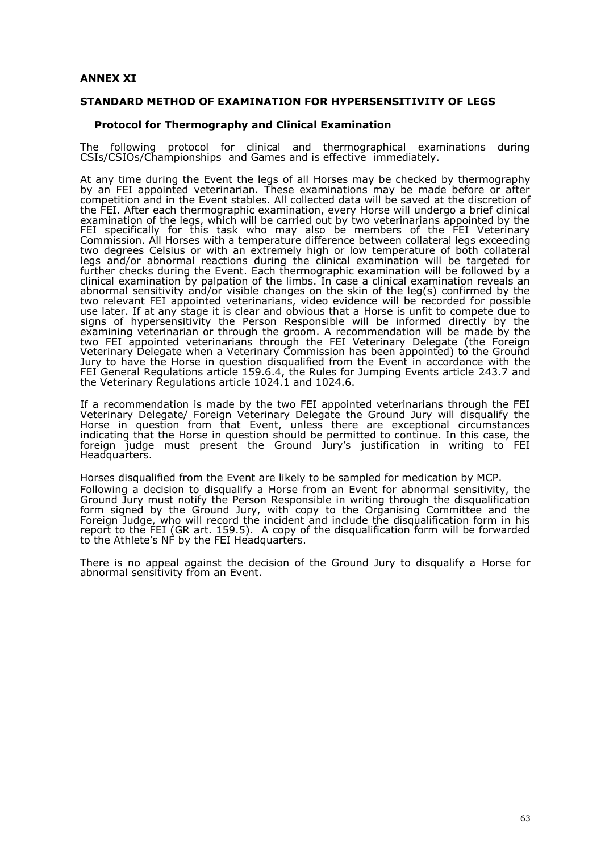## **ANNEX XI**

#### **STANDARD METHOD OF EXAMINATION FOR HYPERSENSITIVITY OF LEGS**

#### **Protocol for Thermography and Clinical Examination**

The following protocol for clinical and thermographical examinations during CSIs/CSIOs/Championships and Games and is effective immediately.

At any time during the Event the legs of all Horses may be checked by thermography by an FEI appointed veterinarian. These examinations may be made before or after competition and in the Event stables. All collected data will be saved at the discretion of the FEI. After each thermographic examination, every Horse will undergo a brief clinical examination of the legs, which will be carried out by two veterinarians appointed by the FEI specifically for this task who may also be members of the FEI Veterinary Commission. All Horses with a temperature difference between collateral legs exceeding two degrees Celsius or with an extremely high or low temperature of both collateral legs and/or abnormal reactions during the clinical examination will be targeted for further checks during the Event. Each thermographic examination will be followed by a clinical examination by palpation of the limbs. In case a clinical examination reveals an abnormal sensitivity and/or visible changes on the skin of the leg(s) confirmed by the two relevant FEI appointed veterinarians, video evidence will be recorded for possible use later. If at any stage it is clear and obvious that a Horse is unfit to compete due to signs of hypersensitivity the Person Responsible will be informed directly by the examining veterinarian or through the groom. A recommendation will be made by the two FEI appointed veterinarians through the FEI Veterinary Delegate (the Foreign Veterinary Delegate when a Veterinary Commission has been appointed) to the Ground Jury to have the Horse in question disqualified from the Event in accordance with the FEI General Regulations article 159.6.4, the Rules for Jumping Events article 243.7 and the Veterinary Regulations article 1024.1 and 1024.6.

If a recommendation is made by the two FEI appointed veterinarians through the FEI Veterinary Delegate/ Foreign Veterinary Delegate the Ground Jury will disqualify the Horse in question from that Event, unless there are exceptional circumstances indicating that the Horse in question should be permitted to continue. In this case, the foreign judge must present the Ground Jury's justification in writing to FEI Headquarters.

Horses disqualified from the Event are likely to be sampled for medication by MCP. Following a decision to disqualify a Horse from an Event for abnormal sensitivity, the Ground Jury must notify the Person Responsible in writing through the disqualification form signed by the Ground Jury, with copy to the Organising Committee and the Foreign Judge, who will record the incident and include the disqualification form in his report to the FEI (GR art. 159.5). A copy of the disqualification form will be forwarded to the Athlete's NF by the FEI Headquarters.

There is no appeal against the decision of the Ground Jury to disqualify a Horse for abnormal sensitivity from an Event.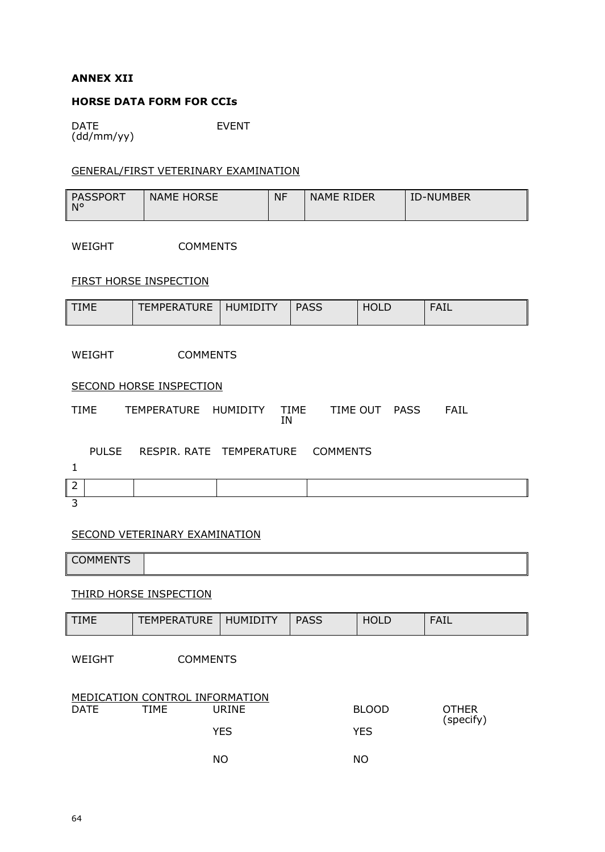# **ANNEX XII**

# **HORSE DATA FORM FOR CCIs**

DATE (dd/mm/yy) EVENT

## GENERAL/FIRST VETERINARY EXAMINATION

| <b>PASSPORT</b><br>$N^{\circ}$ | <b>NAME HORSE</b> | <b>NF</b> | NAME RIDER | <b>ID-NUMBER</b> |
|--------------------------------|-------------------|-----------|------------|------------------|
|                                |                   |           |            |                  |

WEIGHT COMMENTS

# FIRST HORSE INSPECTION

| <b>TIME</b> | <b>TEMPERATURE</b> | <b>HUMIDITY</b> | <b>PASS</b> | ULL | F∆⊺I<br>┒⊥∟ |
|-------------|--------------------|-----------------|-------------|-----|-------------|
|             |                    |                 |             |     |             |

WEIGHT COMMENTS

## **SECOND HORSE INSPECTION**

TIME TEMPERATURE HUMIDITY TIME IN TIME OUT PASS FAIL

|   | PULSE | RESPIR. RATE TEMPERATURE COMMENTS |  |
|---|-------|-----------------------------------|--|
|   |       |                                   |  |
| ∽ |       |                                   |  |

3

## SECOND VETERINARY EXAMINATION

**COMMENTS** 

## THIRD HORSE INSPECTION

| <b>TIME</b>                                                                                                  | <b>TEMPERATURE</b> | <b>HUMIDITY</b> | <b>PASS</b> | <b>HOLD</b> | <b>FAIL</b> |
|--------------------------------------------------------------------------------------------------------------|--------------------|-----------------|-------------|-------------|-------------|
| WEIGHT                                                                                                       | <b>COMMENTS</b>    |                 |             |             |             |
| MEDICATION CONTROL INFORMATION<br><b>DATE</b><br><b>TIME</b><br><b>URINE</b><br><b>BLOOD</b><br><b>OTHER</b> |                    |                 |             |             |             |
|                                                                                                              |                    | <b>YES</b>      |             | <b>YES</b>  | (specify)   |
|                                                                                                              |                    | <b>NO</b>       |             | NO.         |             |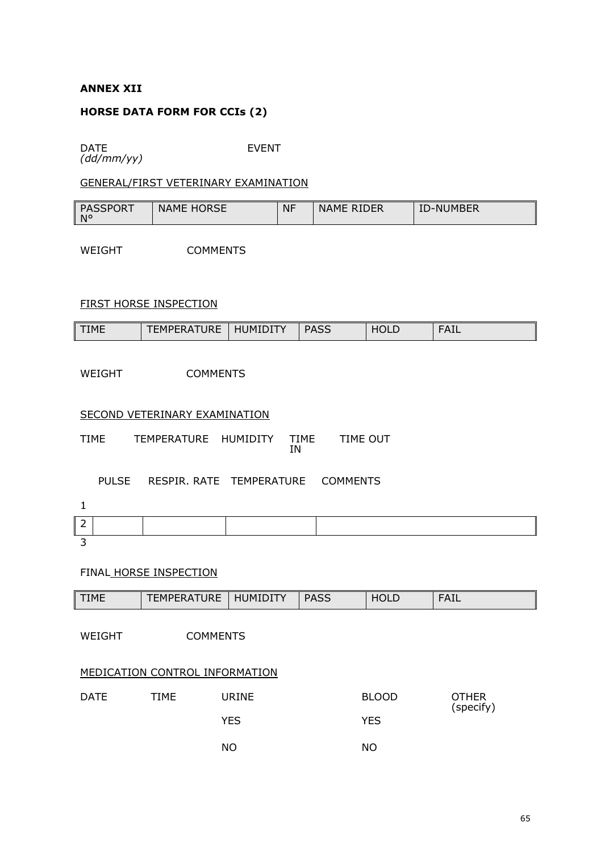## **ANNEX XII**

## **HORSE DATA FORM FOR CCIs (2)**

DATE *(dd/mm/yy)* EVENT

## GENERAL/FIRST VETERINARY EXAMINATION

| <b>PASSPORT</b><br>N۰ | <b>HORSE</b><br><b>NAME</b> | <b>NF</b> | <b>RIDER</b><br><b>NAME</b> | ΙC<br><b>JMBER</b><br>)-NI |
|-----------------------|-----------------------------|-----------|-----------------------------|----------------------------|
|-----------------------|-----------------------------|-----------|-----------------------------|----------------------------|

WEIGHT COMMENTS

## FIRST HORSE INSPECTION

| TIME | URE<br>$-MDFI'$<br>RДI | JMIDI<br>πь. | <b>DACC</b><br>- הכר | HOLL | $F \subset F$<br>┄ |
|------|------------------------|--------------|----------------------|------|--------------------|
|------|------------------------|--------------|----------------------|------|--------------------|

WEIGHT COMMENTS

SECOND VETERINARY EXAMINATION

TIME TEMPERATURE HUMIDITY TIME IN TIME OUT

PULSE RESPIR. RATE TEMPERATURE COMMENTS

# FINAL HORSE INSPECTION

| <b>TIME</b>               | <b>TEMPERATURE</b>                    | <b>HUMIDITY</b> | <b>PASS</b> | <b>HOLD</b>  | <b>FAIL</b>               |  |
|---------------------------|---------------------------------------|-----------------|-------------|--------------|---------------------------|--|
| WEIGHT<br><b>COMMENTS</b> |                                       |                 |             |              |                           |  |
|                           | <b>MEDICATION CONTROL INFORMATION</b> |                 |             |              |                           |  |
| <b>DATE</b>               | TIME                                  | URINE           |             | <b>BLOOD</b> | <b>OTHER</b><br>(specify) |  |
|                           |                                       | <b>YES</b>      |             | <b>YES</b>   |                           |  |
|                           |                                       | <b>NO</b>       |             | <b>NO</b>    |                           |  |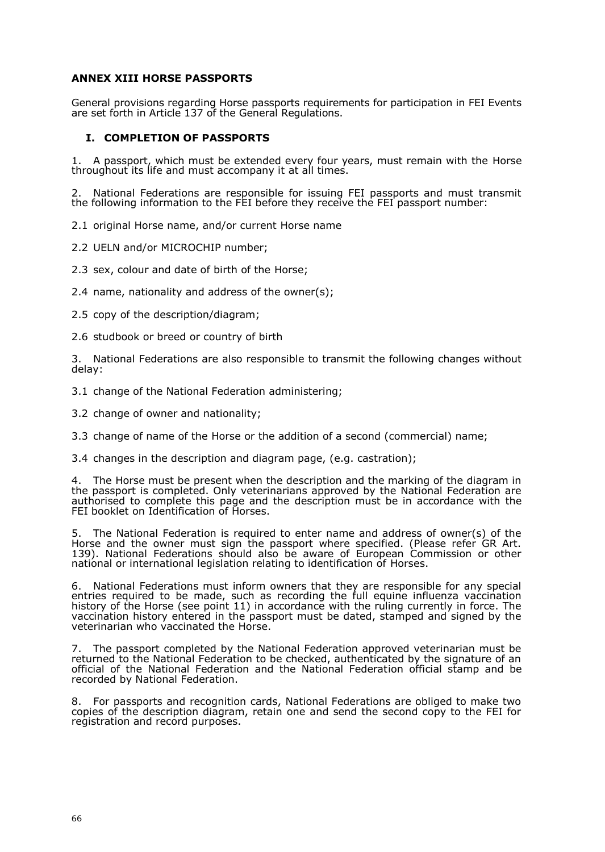## **ANNEX XIII HORSE PASSPORTS**

General provisions regarding Horse passports requirements for participation in FEI Events are set forth in Article 137 of the General Regulations.

## **I. COMPLETION OF PASSPORTS**

1. A passport, which must be extended every four years, must remain with the Horse throughout its life and must accompany it at all times.

2. National Federations are responsible for issuing FEI passports and must transmit the following information to the FEI before they receive the FEI passport number:

2.1 original Horse name, and/or current Horse name

2.2 UELN and/or MICROCHIP number;

2.3 sex, colour and date of birth of the Horse;

2.4 name, nationality and address of the owner(s);

2.5 copy of the description/diagram;

2.6 studbook or breed or country of birth

3. National Federations are also responsible to transmit the following changes without delay:

3.1 change of the National Federation administering;

3.2 change of owner and nationality;

3.3 change of name of the Horse or the addition of a second (commercial) name;

3.4 changes in the description and diagram page, (e.g. castration);

4. The Horse must be present when the description and the marking of the diagram in the passport is completed. Only veterinarians approved by the National Federation are authorised to complete this page and the description must be in accordance with the FEI booklet on Identification of Horses.

5. The National Federation is required to enter name and address of owner(s) of the Horse and the owner must sign the passport where specified. (Please refer GR Art. 139). National Federations should also be aware of European Commission or other national or international legislation relating to identification of Horses.

6. National Federations must inform owners that they are responsible for any special entries required to be made, such as recording the full equine influenza vaccination history of the Horse (see point 11) in accordance with the ruling currently in force. The vaccination history entered in the passport must be dated, stamped and signed by the veterinarian who vaccinated the Horse.

7. The passport completed by the National Federation approved veterinarian must be returned to the National Federation to be checked, authenticated by the signature of an official of the National Federation and the National Federation official stamp and be recorded by National Federation.

8. For passports and recognition cards, National Federations are obliged to make two copies of the description diagram, retain one and send the second copy to the FEI for registration and record purposes.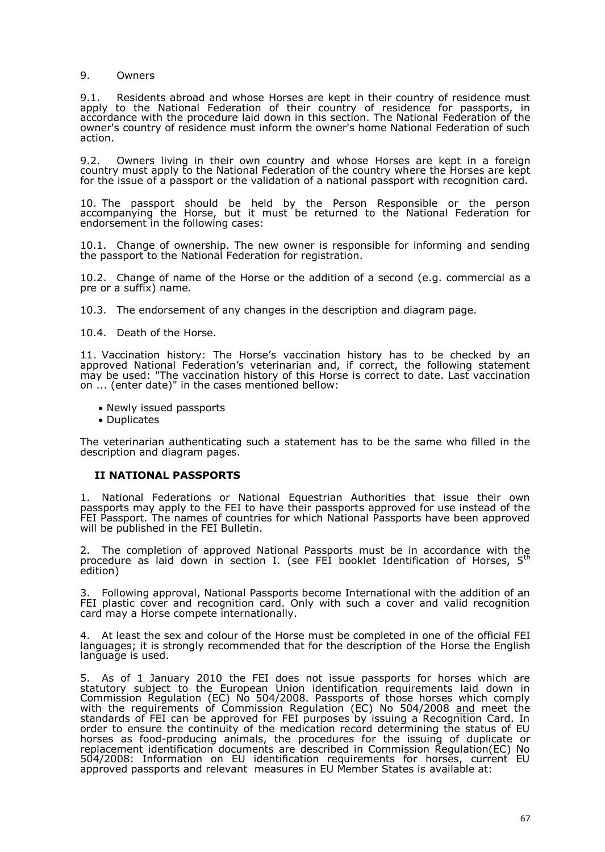### 9. Owners

9.1. Residents abroad and whose Horses are kept in their country of residence must apply to the National Federation of their country of residence for passports, in accordance with the procedure laid down in this section. The National Federation of the owner's country of residence must inform the owner's home National Federation of such action.

9.2. Owners living in their own country and whose Horses are kept in a foreign country must apply to the National Federation of the country where the Horses are kept for the issue of a passport or the validation of a national passport with recognition card.

10. The passport should be held by the Person Responsible or the person accompanying the Horse, but it must be returned to the National Federation for endorsement in the following cases:

10.1. Change of ownership. The new owner is responsible for informing and sending the passport to the National Federation for registration.

10.2. Change of name of the Horse or the addition of a second (e.g. commercial as a pre or a suffix) name.

10.3. The endorsement of any changes in the description and diagram page.

10.4. Death of the Horse.

11. Vaccination history: The Horse's vaccination history has to be checked by an approved National Federation's veterinarian and, if correct, the following statement may be used: "The vaccination history of this Horse is correct to date. Last vaccination on ... (enter date)" in the cases mentioned bellow:

- Newly issued passports
- Duplicates

The veterinarian authenticating such a statement has to be the same who filled in the description and diagram pages.

## **II NATIONAL PASSPORTS**

1. National Federations or National Equestrian Authorities that issue their own passports may apply to the FEI to have their passports approved for use instead of the FEI Passport. The names of countries for which National Passports have been approved will be published in the FEI Bulletin.

2. The completion of approved National Passports must be in accordance with the procedure as laid down in section I. (see FEI booklet Identification of Horses, 5<sup>th</sup> edition)

3. Following approval, National Passports become International with the addition of an FEI plastic cover and recognition card. Only with such a cover and valid recognition card may a Horse compete internationally.

4. At least the sex and colour of the Horse must be completed in one of the official FEI languages; it is strongly recommended that for the description of the Horse the English language is used.

5. As of 1 January 2010 the FEI does not issue passports for horses which are statutory subject to the European Union identification requirements laid down in Commission Regulation (EC) No 504/2008. Passports of those horses which comply with the requirements of Commission Regulation (EC) No 504/2008 <u>and</u> meet the standards of FEI can be approved for FEI purposes by issuing a Recognition Card. In order to ensure the continuity of the medication record determining the status of EU horses as food-producing animals, the procedures for the issuing of duplicate or replacement identification documents are described in Commission Regulation(EC) No 504/2008: Information on EU identification requirements for horses, current EU approved passports and relevant measures in EU Member States is available at: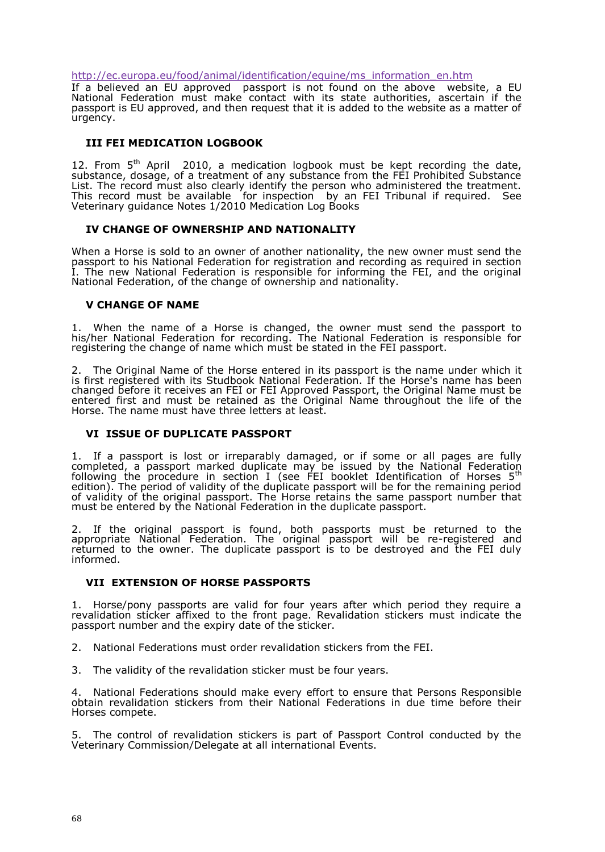[http://ec.europa.eu/food/animal/identification/equine/ms](http://ec.europa.eu/food/animal/identification/equine/ms_information_en.htm)\_information\_en.html

If a believed an EU approved passport is not found on  $at$ h $E$ Uabove  $w$ e National Federation must make contact with its state authorities, asc passport is EU approved, and then request that it is added to the website urgency.

#### III FEI MEDICATION LOGBOOK

12. From <sup>th</sup> SApril 2010, a medic**gabioconk loon ust be kept recording the date**, substance, dosage, of a treatment of any substance from the FEI Prohibi List. The record must also clearly identify the person who administered This record must be available forbyinaspene EilonTribunal if required. See Veterinary guidance Notes 1/2010 Medication Log Books

IVCHANGE OF OWNERSHIP AND NATIONALITY

When borses sold to an owner of another nationality, the new owner must passport to his National Foerdereagtisctmaftion and recording as required in sec I. The new National Federation is responsible for informing the FEI, an National Federation, of the change of ownership and nationality.

#### VCHANGE OF NAME

1. When the name belioraseis cahnged, the owner must send the passport t his/her National Federation for recording. The National Federation is responsible for registering the change of name which must be stated in the FEI passport.

2. The Original Name Hodfrst mentered in its ppents is the name under which it is first registered with its Studbook National HFoeros'losarme. hifasthbeeen changed before it receives an FEI or FEI Approved Passport, the Original entered first and must be retained as Nathee Orhing ingentiout the life of the HorseThe name must have three letters at least.

#### VI ISSUE OF DUPLICATE PASSPORT

1. If a passport is lost or irreparably damaged, or if some or all pag completed, a passport marked duplicate may he en assioneal by ederation following the procedure in (seection Fig. 1 the Internation of the Horses 5 edition) The period of validity of the duplicate passport will be for the rem of validity of the original palsport. The same passport number that must be entered by the National Federation in the duplicate passport.

2. If the original passport is found, both passports must be returne appropriate National Federation. The original parsesgpiorterewdidlarbe re returned to the owner. The duplicate passport is to be destroyed and informed.

#### VII EXTENSION OF HORSE PASSPORTS

1. Horse/pony passports are valid for four years after which period the revalidation sticker affixed to aglee Rreownallipolation stickers must indicate th passport number and the expiry date of the sticker.

2. National Federations must order revalidation stickers from the FEI.

3. The validity of the revalidation sticker must be four years.

4. National Fedensatsibould make every effort to ensure that Persons Resp obtain revalidation stickers from their National Federations in due time Horse compete.

5. The control of revalidation stickers is part of Passport Control cond Vetenary Commission/Delegate at all Enterthational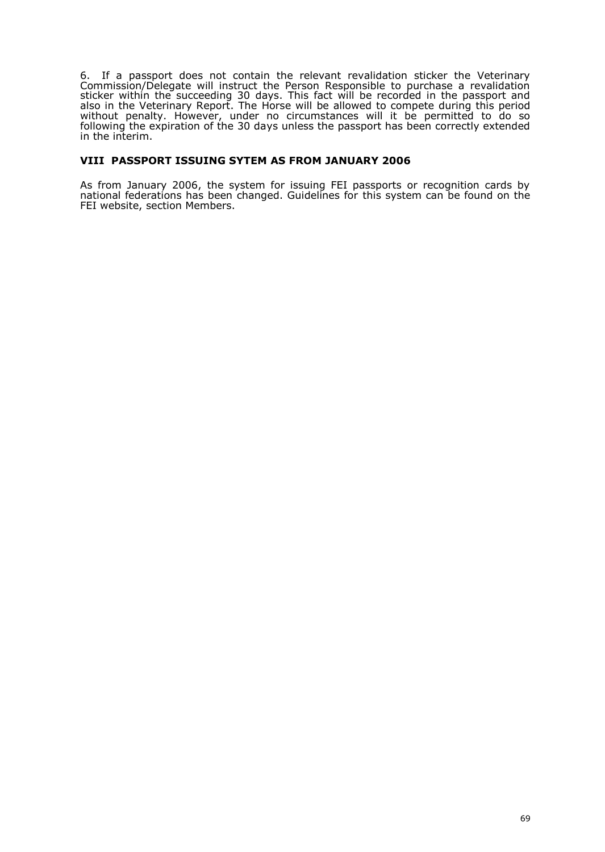6. If a passport does not contain the relevant revalidation sticker the Veterinary Commission/Delegate will instruct the Person Responsible to purchase a revalidation sticker within the succeeding 30 days. This fact will be recorded in the passport and also in the Veterinary Report. The Horse will be allowed to compete during this period without penalty. However, under no circumstances will it be permitted to do so following the expiration of the 30 days unless the passport has been correctly extended in the interim.

### **VIII PASSPORT ISSUING SYTEM AS FROM JANUARY 2006**

As from January 2006, the system for issuing FEI passports or recognition cards by national federations has been changed. Guidelines for this system can be found on the FEI website, section Members.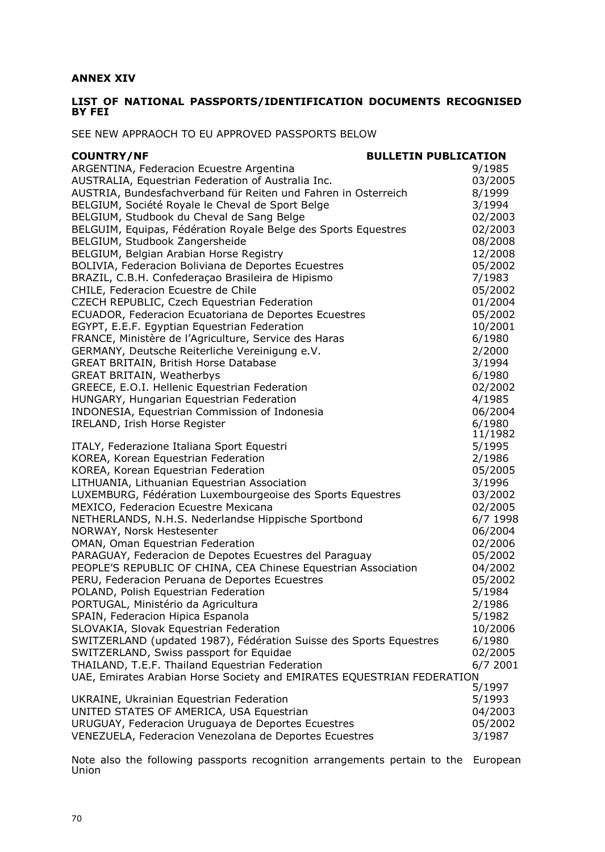# **ANNEX XIV**

## **LIST OF NATIONAL PASSPORTS/IDENTIFICATION DOCUMENTS RECOGNISED BY FEI**

SEE NEW APPRAOCH TO EU APPROVED PASSPORTS BELOW

| <b>COUNTRY/NF</b>                                                      | <b>BULLETIN PUBLICATION</b> |          |
|------------------------------------------------------------------------|-----------------------------|----------|
| ARGENTINA, Federacion Ecuestre Argentina                               |                             | 9/1985   |
| AUSTRALIA, Equestrian Federation of Australia Inc.                     |                             | 03/2005  |
| AUSTRIA, Bundesfachverband für Reiten und Fahren in Osterreich         |                             | 8/1999   |
| BELGIUM, Société Royale le Cheval de Sport Belge                       |                             | 3/1994   |
| BELGIUM, Studbook du Cheval de Sang Belge                              |                             | 02/2003  |
| BELGUIM, Equipas, Fédération Royale Belge des Sports Equestres         |                             | 02/2003  |
| BELGIUM, Studbook Zangersheide                                         |                             | 08/2008  |
| BELGIUM, Belgian Arabian Horse Registry                                |                             | 12/2008  |
| BOLIVIA, Federacion Boliviana de Deportes Ecuestres                    |                             | 05/2002  |
| BRAZIL, C.B.H. Confederaçao Brasileira de Hipismo                      |                             | 7/1983   |
| CHILE, Federacion Ecuestre de Chile                                    |                             | 05/2002  |
| CZECH REPUBLIC, Czech Equestrian Federation                            |                             | 01/2004  |
| ECUADOR, Federacion Ecuatoriana de Deportes Ecuestres                  |                             | 05/2002  |
| EGYPT, E.E.F. Egyptian Equestrian Federation                           |                             | 10/2001  |
| FRANCE, Ministère de l'Agriculture, Service des Haras                  |                             | 6/1980   |
| GERMANY, Deutsche Reiterliche Vereinigung e.V.                         |                             | 2/2000   |
| <b>GREAT BRITAIN, British Horse Database</b>                           |                             | 3/1994   |
| <b>GREAT BRITAIN, Weatherbys</b>                                       |                             | 6/1980   |
| GREECE, E.O.I. Hellenic Equestrian Federation                          |                             | 02/2002  |
| HUNGARY, Hungarian Equestrian Federation                               |                             | 4/1985   |
| INDONESIA, Equestrian Commission of Indonesia                          |                             | 06/2004  |
| IRELAND, Irish Horse Register                                          |                             | 6/1980   |
|                                                                        |                             | 11/1982  |
| ITALY, Federazione Italiana Sport Equestri                             |                             | 5/1995   |
| KOREA, Korean Equestrian Federation                                    |                             | 2/1986   |
| KOREA, Korean Equestrian Federation                                    |                             | 05/2005  |
| LITHUANIA, Lithuanian Equestrian Association                           |                             | 3/1996   |
| LUXEMBURG, Fédération Luxembourgeoise des Sports Equestres             |                             | 03/2002  |
| MEXICO, Federacion Ecuestre Mexicana                                   |                             | 02/2005  |
| NETHERLANDS, N.H.S. Nederlandse Hippische Sportbond                    |                             | 6/7 1998 |
| NORWAY, Norsk Hestesenter                                              |                             | 06/2004  |
| OMAN, Oman Equestrian Federation                                       |                             | 02/2006  |
| PARAGUAY, Federacion de Depotes Ecuestres del Paraguay                 |                             | 05/2002  |
| PEOPLE'S REPUBLIC OF CHINA, CEA Chinese Equestrian Association         |                             | 04/2002  |
| PERU, Federacion Peruana de Deportes Ecuestres                         |                             | 05/2002  |
| POLAND, Polish Equestrian Federation                                   |                             | 5/1984   |
| PORTUGAL, Ministério da Agricultura                                    |                             | 2/1986   |
| SPAIN, Federacion Hipica Espanola                                      |                             | 5/1982   |
| SLOVAKIA, Slovak Equestrian Federation                                 |                             | 10/2006  |
| SWITZERLAND (updated 1987), Fédération Suisse des Sports Equestres     |                             | 6/1980   |
| SWITZERLAND, Swiss passport for Equidae                                |                             | 02/2005  |
| THAILAND, T.E.F. Thailand Equestrian Federation                        |                             | 6/7 2001 |
| UAE, Emirates Arabian Horse Society and EMIRATES EQUESTRIAN FEDERATION |                             |          |
|                                                                        |                             | 5/1997   |
| UKRAINE, Ukrainian Equestrian Federation                               |                             | 5/1993   |
| UNITED STATES OF AMERICA, USA Equestrian                               |                             | 04/2003  |
| URUGUAY, Federacion Uruguaya de Deportes Ecuestres                     |                             | 05/2002  |
| VENEZUELA, Federacion Venezolana de Deportes Ecuestres                 |                             | 3/1987   |

Note also the following passports recognition arrangements pertain to the European Union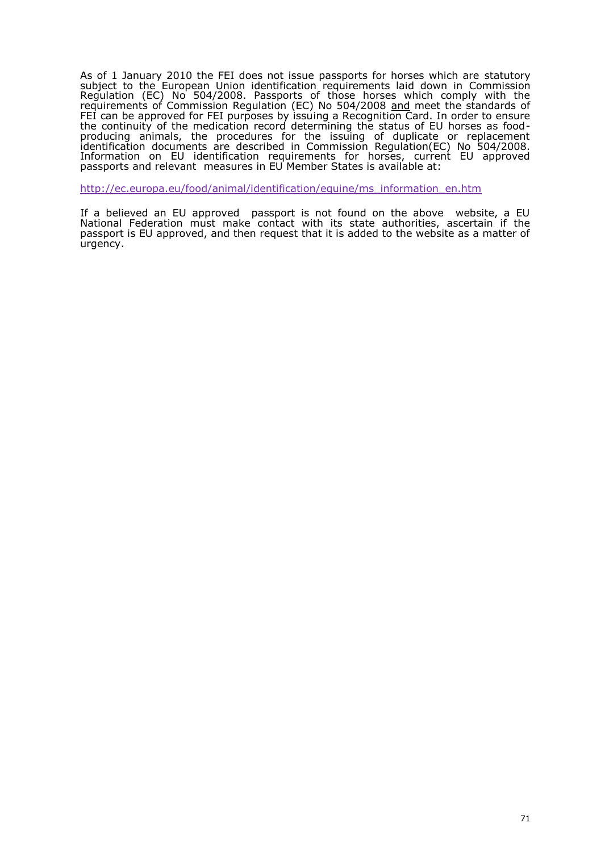As of 1 January 2010 the FEI does not issue passportssfatuhoryses whic subject to the EuropemanidkeIntification requirements laCl**oi**m choiws **s**ioi**n** Regulation (EC) No 504/2008. Passports of those horses which com requirements of Commission Regulation (E<u>Can</u>dNhoee5t04!hl2e0\$0t&andards of FEI can be approved for FEI purprogseas Roeycosganuition Card. In order to ensu the continuity of the medication record determining the status of EU h producing animals, the procedures for the issuing of duplicate or identification documents are describedh i $\Re$ e $\mathcal G$ uolmatmi $\mathbf{b}$ sasi $\mathbf{ECC}$ ) No 504/2008. Information on EU ideontificaquirements for horses, current EU appr passports and relme eansures in EU Member States is available at:

[http://ec.europa.eu/food/animal/identification/equine/ms](http://ec.europa.eu/food/animal/identification/equine/ms_information_en.htm)\_information\_en.

If a believed an EU approved passport is not found on the above v National Federation must make contact with its state authorities, as pasport is EU approved, and then request that it is added to the website urgency.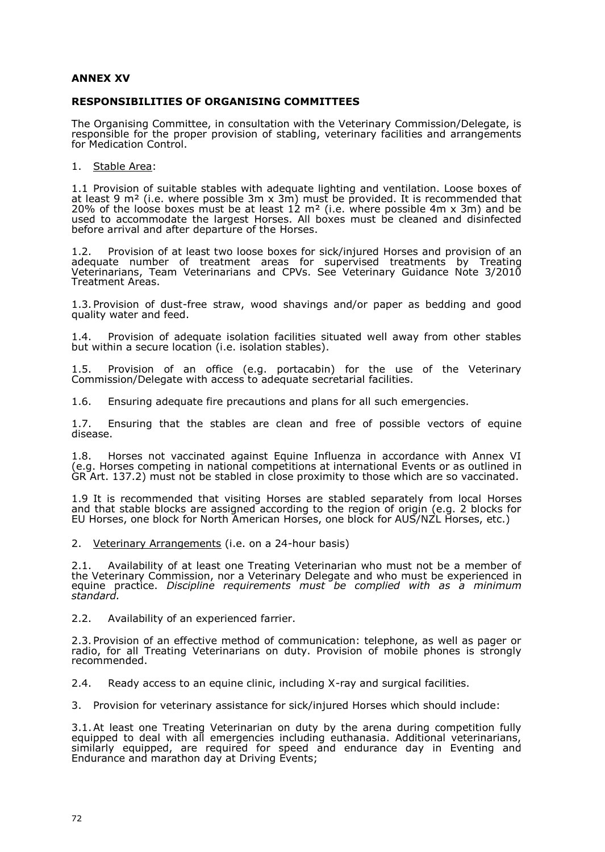## **ANNEX XV**

## **RESPONSIBILITIES OF ORGANISING COMMITTEES**

The Organising Committee, in consultation with the Veterinary Commission/Delegate, is responsible for the proper provision of stabling, veterinary facilities and arrangements for Medication Control.

1. Stable Area:

1.1 Provision of suitable stables with adequate lighting and ventilation. Loose boxes of at least 9 m² (i.e. where possible 3m x 3m) must be provided. It is recommended that 20% of the loose boxes must be at least 12  $m<sup>2</sup>$  (i.e. where possible 4m x 3m) and be used to accommodate the largest Horses. All boxes must be cleaned and disinfected before arrival and after departure of the Horses.

1.2. Provision of at least two loose boxes for sick/injured Horses and provision of an adequate number of treatment areas for supervised treatments by Treating Veterinarians, Team Veterinarians and CPVs. See Veterinary Guidance Note 3/2010 Treatment Areas.

1.3.Provision of dust-free straw, wood shavings and/or paper as bedding and good quality water and feed.

1.4. Provision of adequate isolation facilities situated well away from other stables but within a secure location (i.e. isolation stables).

1.5. Provision of an office (e.g. portacabin) for the use of the Veterinary Commission/Delegate with access to adequate secretarial facilities.

1.6. Ensuring adequate fire precautions and plans for all such emergencies.

1.7. Ensuring that the stables are clean and free of possible vectors of equine disease.

1.8. Horses not vaccinated against Equine Influenza in accordance with Annex VI (e.g. Horses competing in national competitions at international Events or as outlined in GR Art. 137.2) must not be stabled in close proximity to those which are so vaccinated.

1.9 It is recommended that visiting Horses are stabled separately from local Horses and that stable blocks are assigned according to the region of origin (e.g. 2 blocks for EU Horses, one block for North American Horses, one block for AUS/NZL Horses, etc.)

2. Veterinary Arrangements (i.e. on a 24-hour basis)

Availability of at least one Treating Veterinarian who must not be a member of the Veterinary Commission, nor a Veterinary Delegate and who must be experienced in equine practice. *Discipline requirements must be complied with as a minimum standard.*

2.2. Availability of an experienced farrier.

2.3.Provision of an effective method of communication: telephone, as well as pager or radio, for all Treating Veterinarians on duty. Provision of mobile phones is strongly recommended.

2.4. Ready access to an equine clinic, including X-ray and surgical facilities.

3. Provision for veterinary assistance for sick/injured Horses which should include:

3.1.At least one Treating Veterinarian on duty by the arena during competition fully equipped to deal with all emergencies including euthanasia. Additional veterinarians, similarly equipped, are required for speed and endurance day in Eventing and Endurance and marathon day at Driving Events;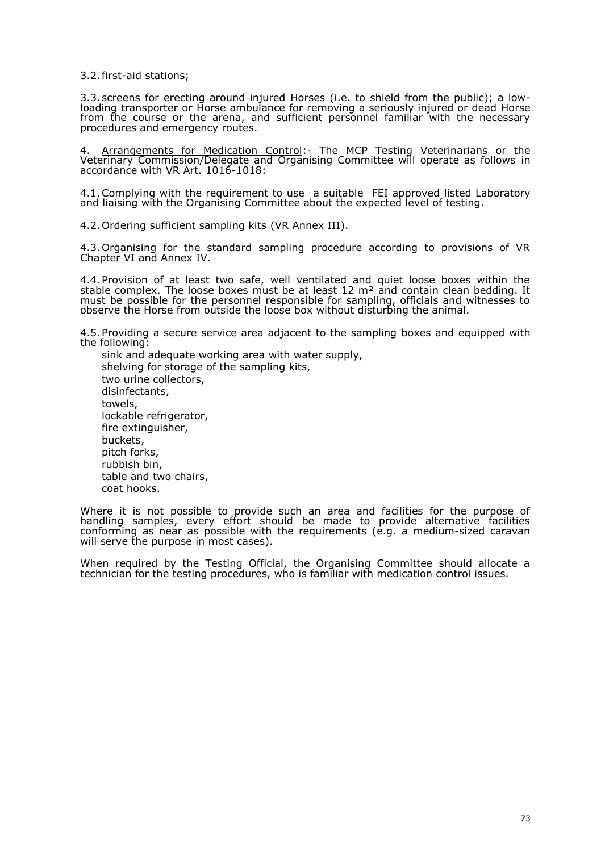3.2.first-aid stations;

3.3. screens for erecting around injured Horses (i.e. to shield from the public); a lowloading transporter or Horse ambulance for removing a seriously injured or dead Horse from the course or the arena, and sufficient personnel familiar with the necessary procedures and emergency routes.

4. <u>Arrangements for Medication Control</u>:- The MCP Testing Veterinarians or the Veterinary Commission/Delegate and Organising Committee will operate as follows in accordance with VR Art. 1016-1018:

4.1.Complying with the requirement to use a suitable FEI approved listed Laboratory and liaising with the Organising Committee about the expected level of testing.

4.2.Ordering sufficient sampling kits (VR Annex III).

4.3.Organising for the standard sampling procedure according to provisions of VR Chapter VI and Annex IV.

4.4.Provision of at least two safe, well ventilated and quiet loose boxes within the stable complex. The loose boxes must be at least 12  $m<sup>2</sup>$  and contain clean bedding. It must be possible for the personnel responsible for sampling, officials and witnesses to observe the Horse from outside the loose box without disturbing the animal.

4.5.Providing a secure service area adjacent to the sampling boxes and equipped with the following:

sink and adequate working area with water supply, shelving for storage of the sampling kits, two urine collectors, disinfectants, towels, lockable refrigerator, fire extinguisher, buckets, pitch forks, rubbish bin, table and two chairs, coat hooks.

Where it is not possible to provide such an area and facilities for the purpose of handling samples, every effort should be made to provide alternative facilities conforming as near as possible with the requirements (e.g. a medium-sized caravan will serve the purpose in most cases).

When required by the Testing Official, the Organising Committee should allocate a technician for the testing procedures, who is familiar with medication control issues.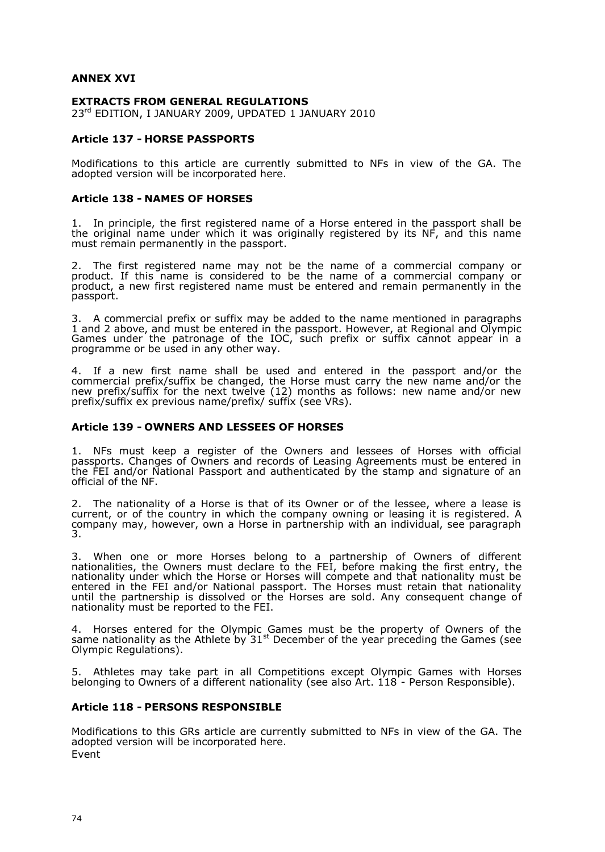## **ANNEX XVI**

#### **EXTRACTS FROM GENERAL REGULATIONS**

23rd EDITION, I JANUARY 2009, UPDATED 1 JANUARY 2010

### **Article 137 - HORSE PASSPORTS**

Modifications to this article are currently submitted to NFs in view of the GA. The adopted version will be incorporated here.

#### **Article 138 - NAMES OF HORSES**

1. In principle, the first registered name of a Horse entered in the passport shall be the original name under which it was originally registered by its NF, and this name must remain permanently in the passport.

2. The first registered name may not be the name of a commercial company or product. If this name is considered to be the name of a commercial company or product, a new first registered name must be entered and remain permanently in the passport.

3. A commercial prefix or suffix may be added to the name mentioned in paragraphs 1 and 2 above, and must be entered in the passport. However, at Regional and Olympic Games under the patronage of the IOC, such prefix or suffix cannot appear in a programme or be used in any other way.

4. If a new first name shall be used and entered in the passport and/or the commercial prefix/suffix be changed, the Horse must carry the new name and/or the new prefix/suffix for the next twelve (12) months as follows: new name and/or new prefix/suffix ex previous name/prefix/ suffix (see VRs).

#### **Article 139 - OWNERS AND LESSEES OF HORSES**

1. NFs must keep a register of the Owners and lessees of Horses with official passports. Changes of Owners and records of Leasing Agreements must be entered in the FEI and/or National Passport and authenticated by the stamp and signature of an official of the NF.

2. The nationality of a Horse is that of its Owner or of the lessee, where a lease is current, or of the country in which the company owning or leasing it is registered. A company may, however, own a Horse in partnership with an individual, see paragraph 3.

3. When one or more Horses belong to a partnership of Owners of different nationalities, the Owners must declare to the FEI, before making the first entry, the nationality under which the Horse or Horses will compete and that nationality must be entered in the FEI and/or National passport. The Horses must retain that nationality until the partnership is dissolved or the Horses are sold. Any consequent change of nationality must be reported to the FEI.

4. Horses entered for the Olympic Games must be the property of Owners of the same nationality as the Athlete by 31<sup>st</sup> December of the year preceding the Games (see Olympic Regulations).

5. Athletes may take part in all Competitions except Olympic Games with Horses belonging to Owners of a different nationality (see also Art. 118 - Person Responsible).

#### **Article 118 - PERSONS RESPONSIBLE**

Modifications to this GRs article are currently submitted to NFs in view of the GA. The adopted version will be incorporated here. Event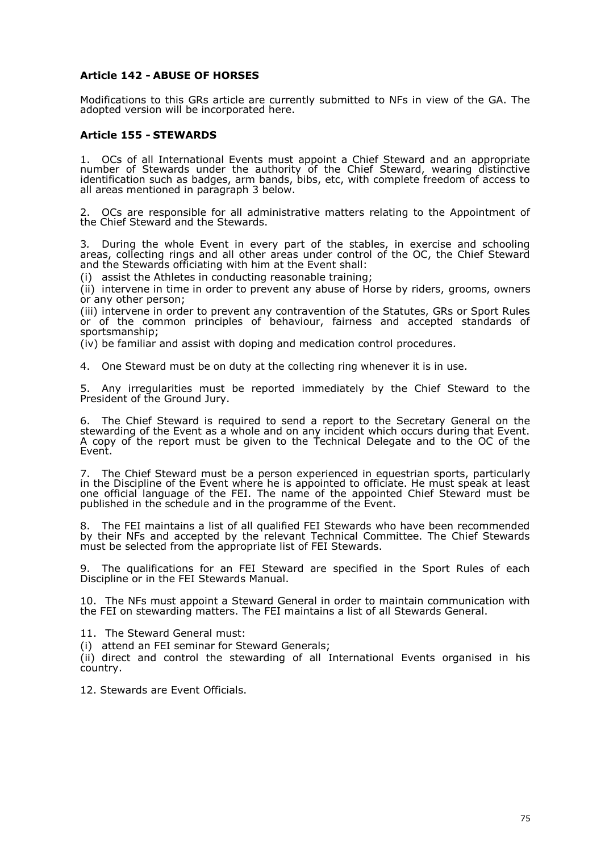## **Article 142 - ABUSE OF HORSES**

Modifications to this GRs article are currently submitted to NFs in view of the GA. The adopted version will be incorporated here.

## **Article 155 - STEWARDS**

1. OCs of all International Events must appoint a Chief Steward and an appropriate number of Stewards under the authority of the Chief Steward, wearing distinctive identification such as badges, arm bands, bibs, etc, with complete freedom of access to all areas mentioned in paragraph 3 below.

2. OCs are responsible for all administrative matters relating to the Appointment of the Chief Steward and the Stewards.

3*.* During the whole Event in every part of the stables, in exercise and schooling areas, collecting rings and all other areas under control of the OC, the Chief Steward and the Stewards officiating with him at the Event shall:

(i) assist the Athletes in conducting reasonable training;

(ii) intervene in time in order to prevent any abuse of Horse by riders, grooms, owners or any other person;

(iii) intervene in order to prevent any contravention of the Statutes, GRs or Sport Rules or of the common principles of behaviour, fairness and accepted standards of sportsmanship;

(iv) be familiar and assist with doping and medication control procedures*.*

4. One Steward must be on duty at the collecting ring whenever it is in use*.*

5. Any irregularities must be reported immediately by the Chief Steward to the President of the Ground Jury.

6. The Chief Steward is required to send a report to the Secretary General on the stewarding of the Event as a whole and on any incident which occurs during that Event. A copy of the report must be given to the Technical Delegate and to the OC of the Event.

7. The Chief Steward must be a person experienced in equestrian sports, particularly in the Discipline of the Event where he is appointed to officiate. He must speak at least one official language of the FEI. The name of the appointed Chief Steward must be published in the schedule and in the programme of the Event.

8. The FEI maintains a list of all qualified FEI Stewards who have been recommended by their NFs and accepted by the relevant Technical Committee. The Chief Stewards must be selected from the appropriate list of FEI Stewards.

9. The qualifications for an FEI Steward are specified in the Sport Rules of each Discipline or in the FEI Stewards Manual.

10. The NFs must appoint a Steward General in order to maintain communication with the FEI on stewarding matters. The FEI maintains a list of all Stewards General.

11. The Steward General must:

(i) attend an FEI seminar for Steward Generals;

(ii) direct and control the stewarding of all International Events organised in his country.

12. Stewards are Event Officials.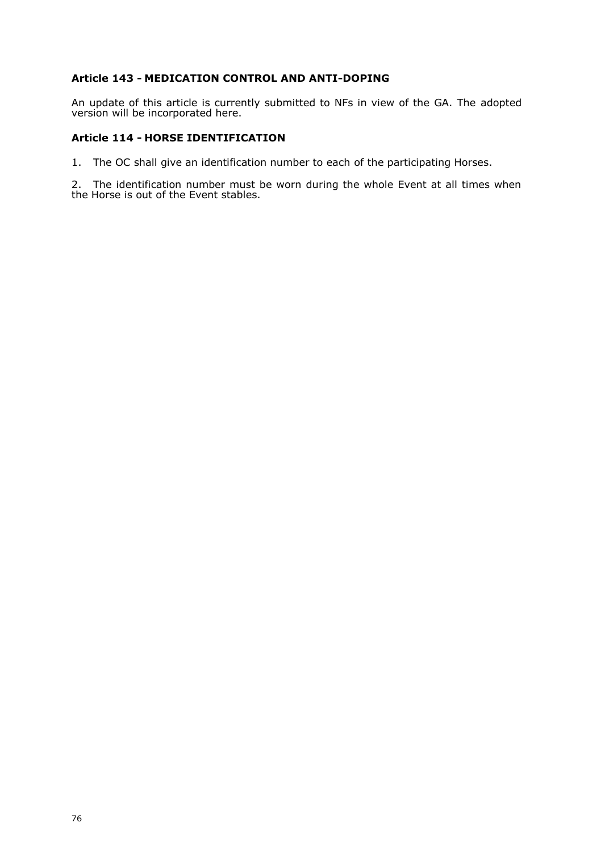## **Article 143 - MEDICATION CONTROL AND ANTI-DOPING**

An update of this article is currently submitted to NFs in view of the GA. The adopted version will be incorporated here.

## **Article 114 - HORSE IDENTIFICATION**

1. The OC shall give an identification number to each of the participating Horses.

2. The identification number must be worn during the whole Event at all times when the Horse is out of the Event stables.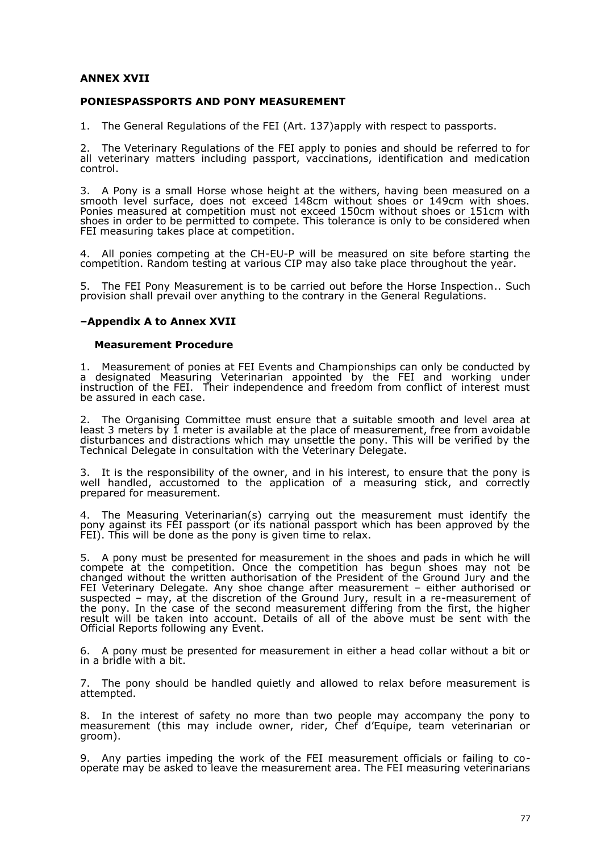## **ANNEX XVII**

## **PONIESPASSPORTS AND PONY MEASUREMENT**

1. The General Regulations of the FEI (Art. 137)apply with respect to passports.

2. The Veterinary Regulations of the FEI apply to ponies and should be referred to for all veterinary matters including passport, vaccinations, identification and medication control.

3. A Pony is a small Horse whose height at the withers, having been measured on a smooth level surface, does not exceed 148cm without shoes or 149cm with shoes. Ponies measured at competition must not exceed 150cm without shoes or 151cm with shoes in order to be permitted to compete. This tolerance is only to be considered when FEI measuring takes place at competition.

4. All ponies competing at the CH-EU-P will be measured on site before starting the competition. Random testing at various CIP may also take place throughout the year.

5. The FEI Pony Measurement is to be carried out before the Horse Inspection.. Such provision shall prevail over anything to the contrary in the General Regulations.

#### **–Appendix A to Annex XVII**

#### **Measurement Procedure**

1. Measurement of ponies at FEI Events and Championships can only be conducted by a designated Measuring Veterinarian appointed by the FEI and working under instruction of the FEI. Their independence and freedom from conflict of interest must be assured in each case.

The Organising Committee must ensure that a suitable smooth and level area at least 3 meters by 1 meter is available at the place of measurement, free from avoidable disturbances and distractions which may unsettle the pony. This will be verified by the Technical Delegate in consultation with the Veterinary Delegate.

3. It is the responsibility of the owner, and in his interest, to ensure that the pony is well handled, accustomed to the application of a measuring stick, and correctly prepared for measurement.

4. The Measuring Veterinarian(s) carrying out the measurement must identify the pony against its FEI passport (or its national passport which has been approved by the FEI). This will be done as the pony is given time to relax.

5. A pony must be presented for measurement in the shoes and pads in which he will compete at the competition. Once the competition has begun shoes may not be changed without the written authorisation of the President of the Ground Jury and the FEI Veterinary Delegate. Any shoe change after measurement – either authorised or suspected – may, at the discretion of the Ground Jury, result in a re-measurement of the pony. In the case of the second measurement differing from the first, the higher result will be taken into account. Details of all of the above must be sent with the Official Reports following any Event.

6. A pony must be presented for measurement in either a head collar without a bit or in a bridle with a bit.

7. The pony should be handled quietly and allowed to relax before measurement is attempted.

8. In the interest of safety no more than two people may accompany the pony to measurement (this may include owner, rider, Chef d'Equipe, team veterinarian or groom).

9. Any parties impeding the work of the FEI measurement officials or failing to cooperate may be asked to leave the measurement area. The FEI measuring veterinarians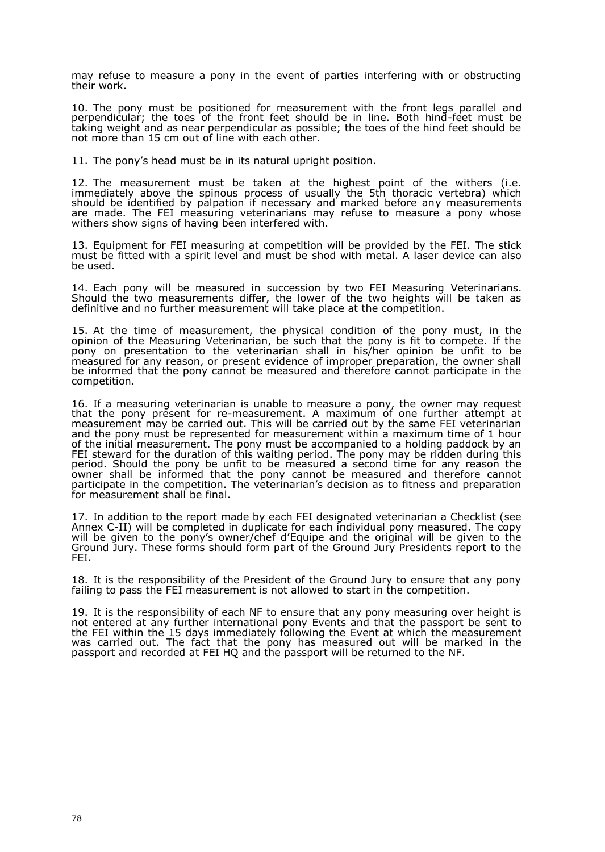may refuse to measure a pony in the event of parties interfering with or obstructing their work.

10. The pony must be positioned for measurement with the front legs parallel and perpendicular; the toes of the front feet should be in line. Both hind-feet must be taking weight and as near perpendicular as possible; the toes of the hind feet should be not more than 15 cm out of line with each other.

11. The pony's head must be in its natural upright position.

12. The measurement must be taken at the highest point of the withers (i.e. immediately above the spinous process of usually the 5th thoracic vertebra) which should be identified by palpation if necessary and marked before any measurements are made. The FEI measuring veterinarians may refuse to measure a pony whose withers show signs of having been interfered with.

13. Equipment for FEI measuring at competition will be provided by the FEI. The stick must be fitted with a spirit level and must be shod with metal. A laser device can also be used.

14. Each pony will be measured in succession by two FEI Measuring Veterinarians. Should the two measurements differ, the lower of the two heights will be taken as definitive and no further measurement will take place at the competition.

15. At the time of measurement, the physical condition of the pony must, in the opinion of the Measuring Veterinarian, be such that the pony is fit to compete. If the pony on presentation to the veterinarian shall in his/her opinion be unfit to be measured for any reason, or present evidence of improper preparation, the owner shall be informed that the pony cannot be measured and therefore cannot participate in the competition.

16. If a measuring veterinarian is unable to measure a pony, the owner may request that the pony present for re-measurement. A maximum of one further attempt at measurement may be carried out. This will be carried out by the same FEI veterinarian and the pony must be represented for measurement within a maximum time of 1 hour of the initial measurement. The pony must be accompanied to a holding paddock by an FEI steward for the duration of this waiting period. The pony may be ridden during this period. Should the pony be unfit to be measured a second time for any reason the owner shall be informed that the pony cannot be measured and therefore cannot participate in the competition. The veterinarian's decision as to fitness and preparation for measurement shall be final.

17. In addition to the report made by each FEI designated veterinarian a Checklist (see Annex C-II) will be completed in duplicate for each individual pony measured. The copy will be given to the pony's owner/chef d'Equipe and the original will be given to the Ground Jury. These forms should form part of the Ground Jury Presidents report to the FEI.

18. It is the responsibility of the President of the Ground Jury to ensure that any pony failing to pass the FEI measurement is not allowed to start in the competition.

19. It is the responsibility of each NF to ensure that any pony measuring over height is not entered at any further international pony Events and that the passport be sent to the FEI within the 15 days immediately following the Event at which the measurement was carried out. The fact that the pony has measured out will be marked in the passport and recorded at FEI HQ and the passport will be returned to the NF.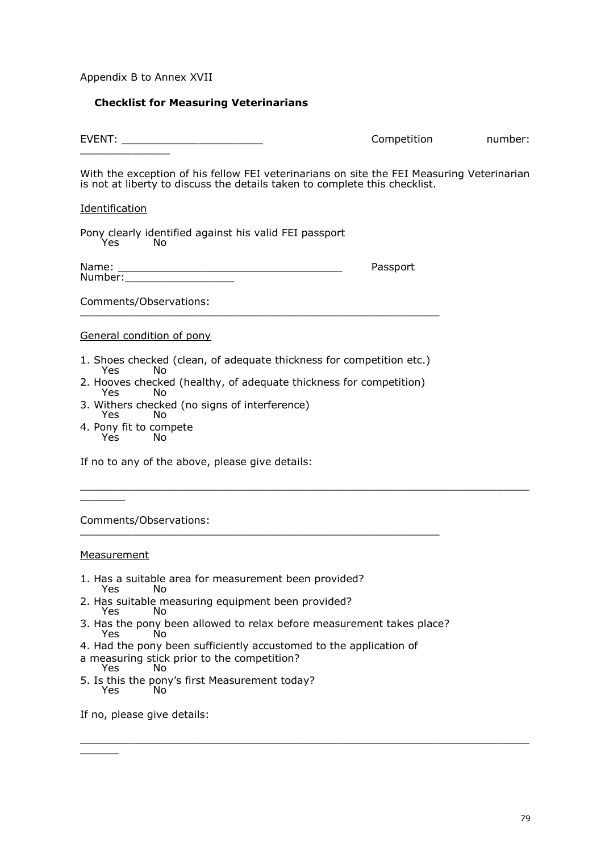Appendix B to Annex XVII

## **Checklist for Measuring Veterinarians**

EVENT: \_\_\_\_\_\_\_\_\_\_\_\_\_\_\_\_\_\_\_\_\_\_ Competition number:  $\overline{\phantom{a}}$  , where  $\overline{\phantom{a}}$ 

With the exception of his fellow FEI veterinarians on site the FEI Measuring Veterinarian is not at liberty to discuss the details taken to complete this checklist.

 $\_$  , and the set of the set of the set of the set of the set of the set of the set of the set of the set of the set of the set of the set of the set of the set of the set of the set of the set of the set of the set of th

 $\_$  , and the set of the set of the set of the set of the set of the set of the set of the set of the set of the set of the set of the set of the set of the set of the set of the set of the set of the set of the set of th

### Identification

Pony clearly identified against his valid FEI passport Yes No

| Name:   | Passport |
|---------|----------|
| Number: |          |

Comments/Observations: \_\_\_\_\_\_\_\_\_\_\_\_\_\_\_\_\_\_\_\_\_\_\_\_\_\_\_\_\_\_\_\_\_\_\_\_\_\_\_\_\_\_\_\_\_\_\_\_\_\_\_\_\_\_\_\_

## General condition of pony

- 1. Shoes checked (clean, of adequate thickness for competition etc.)<br>
Yes Mo Yes
- 2. Hooves checked (healthy, of adequate thickness for competition) **Yes**
- 3. Withers checked (no signs of interference) Yes **No**
- 4. Pony fit to compete Yes

If no to any of the above, please give details:

Comments/Observations:

#### **Measurement**

 $\overline{\phantom{a}}$ 

- 1. Has a suitable area for measurement been provided?
- Yes .

 $\overline{\phantom{a}}$ 

- 2. Has suitable measuring equipment been provided? Yes
- 3. Has the pony been allowed to relax before measurement takes place?<br>
Yes No Yes

\_\_\_\_\_\_\_\_\_\_\_\_\_\_\_\_\_\_\_\_\_\_\_\_\_\_\_\_\_\_\_\_\_\_\_\_\_\_\_\_\_\_\_\_\_\_\_\_\_\_\_\_\_\_\_\_

- 4. Had the pony been sufficiently accustomed to the application of
- a measuring stick prior to the competition?<br>
Yes No Yes
- 5. Is this the pony's first Measurement today? **Yes**

If no, please give details: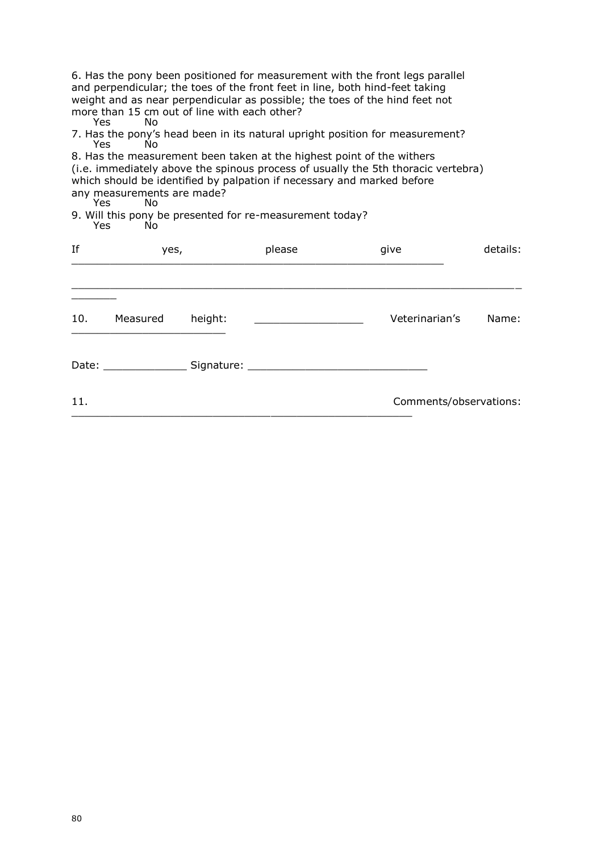6. Has the pony been positioned for measurement with the front legs parallel and perpendicular; the toes of the front feet in line, both hind-feet taking weight and as near perpendicular as possible; the toes of the hind feet not more than 15 cm out of line with each other?<br>Yes No **Yes** 

7. Has the pony's head been in its natural upright position for measurement?<br>Yes Mo Yes

8. Has the measurement been taken at the highest point of the withers (i.e. immediately above the spinous process of usually the 5th thoracic vertebra) which should be identified by palpation if necessary and marked before any measurements are made?<br>Yes No

Yes 9. Will this pony be presented for re-measurement today? Yes

| If  | yes,                                                                                                           |         | please | give           | details:               |
|-----|----------------------------------------------------------------------------------------------------------------|---------|--------|----------------|------------------------|
| 10. | Measured                                                                                                       | height: |        | Veterinarian's | Name:                  |
|     | Date: and the state of the state of the state of the state of the state of the state of the state of the state |         |        |                |                        |
| 11. |                                                                                                                |         |        |                | Comments/observations: |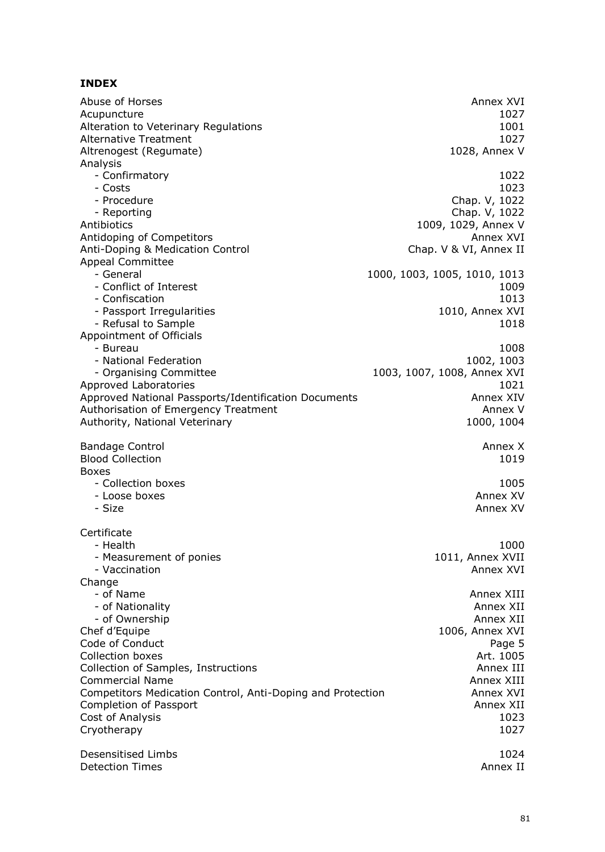# **INDEX**

| Abuse of Horses<br>Acupuncture<br>Alteration to Veterinary Regulations<br><b>Alternative Treatment</b><br>Altrenogest (Regumate)<br>Analysis                     | Annex XVI<br>1027<br>1001<br>1027<br>1028, Annex V                      |
|------------------------------------------------------------------------------------------------------------------------------------------------------------------|-------------------------------------------------------------------------|
| - Confirmatory                                                                                                                                                   | 1022                                                                    |
| - Costs                                                                                                                                                          | 1023                                                                    |
| - Procedure                                                                                                                                                      | Chap. V, 1022                                                           |
| - Reporting                                                                                                                                                      | Chap. V, 1022                                                           |
| Antibiotics                                                                                                                                                      | 1009, 1029, Annex V                                                     |
| Antidoping of Competitors                                                                                                                                        | Annex XVI                                                               |
| Anti-Doping & Medication Control                                                                                                                                 | Chap. V & VI, Annex II                                                  |
| <b>Appeal Committee</b><br>- General<br>- Conflict of Interest<br>- Confiscation<br>- Passport Irregularities<br>- Refusal to Sample<br>Appointment of Officials | 1000, 1003, 1005, 1010, 1013<br>1009<br>1013<br>1010, Annex XVI<br>1018 |
| - Bureau                                                                                                                                                         | 1008                                                                    |
| - National Federation                                                                                                                                            | 1002, 1003                                                              |
| - Organising Committee                                                                                                                                           | 1003, 1007, 1008, Annex XVI                                             |
| Approved Laboratories                                                                                                                                            | 1021                                                                    |
| Approved National Passports/Identification Documents                                                                                                             | Annex XIV                                                               |
| Authorisation of Emergency Treatment                                                                                                                             | Annex V                                                                 |
| Authority, National Veterinary                                                                                                                                   | 1000, 1004                                                              |
| <b>Bandage Control</b><br><b>Blood Collection</b><br><b>Boxes</b>                                                                                                | Annex X<br>1019                                                         |
| - Collection boxes                                                                                                                                               | 1005                                                                    |
| - Loose boxes                                                                                                                                                    | Annex XV                                                                |
| - Size                                                                                                                                                           | Annex XV                                                                |
| Certificate<br>- Health<br>- Measurement of ponies<br>- Vaccination                                                                                              | 1000<br>1011, Annex XVII<br>Annex XVI                                   |
| Change<br>- of Name<br>- of Nationality<br>- of Ownership<br>Chef d'Equipe                                                                                       | Annex XIII<br>Annex XII<br>Annex XII<br>1006, Annex XVI                 |
| Code of Conduct                                                                                                                                                  | Page 5                                                                  |
| Collection boxes                                                                                                                                                 | Art. 1005                                                               |
| Collection of Samples, Instructions                                                                                                                              | Annex III                                                               |
| <b>Commercial Name</b>                                                                                                                                           | Annex XIII                                                              |
| Competitors Medication Control, Anti-Doping and Protection                                                                                                       | Annex XVI                                                               |
| Completion of Passport                                                                                                                                           | Annex XII                                                               |
| Cost of Analysis                                                                                                                                                 | 1023                                                                    |
| Cryotherapy                                                                                                                                                      | 1027                                                                    |
| Desensitised Limbs                                                                                                                                               | 1024                                                                    |
| <b>Detection Times</b>                                                                                                                                           | Annex II                                                                |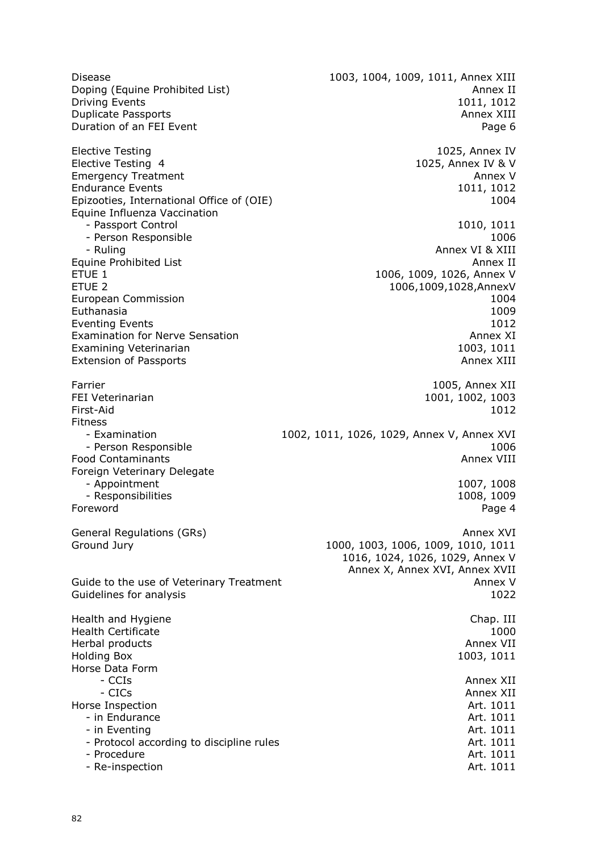Disease 1003, 1004, 1009, 1011, Annex XIII Doping (Equine Prohibited List) Annex II and the United States of the Annex II and the Annex II Driving Events 1011, 1012 **Duplicate Passports Annex XIII** and the property and the property of the property  $\alpha$  and  $\beta$  and  $\beta$  and  $\beta$  and  $\beta$  and  $\beta$  and  $\beta$  and  $\beta$  and  $\beta$  and  $\beta$  and  $\beta$  and  $\beta$  and  $\beta$  and  $\beta$  and  $\beta$  and  $\beta$ Duration of an FEI Event **Page 6** Elective Testing 1025, Annex IV<br>Elective Testing 4 1025, Annex IV 8 V 1025, Annex IV & V Emergency Treatment Annex V<br>
Endurance Events 1011, 1012 Endurance Events 1011, 1012<br>
Foizooties, International Office of (OIF) 1004 Epizooties, International Office of (OIE) Equine Influenza Vaccination - Passport Control 1010, 1011 - Person Responsible 1006 - Ruling Annex VI & XIII Equine Prohibited List<br>ETUE 1 ETUE 1 1006, 1009, 1026, Annex V<br>ETUE 2 1006.1009.1028.Annex V 1006,1009,1028,AnnexV European Commission 1004 Euthanasia 1009 Eventing Events 1012<br>Examination for Nerve Sensation 1012<br>Annex XI Examination for Nerve Sensation Examining Veterinarian 1003, 1011 Extension of Passports **Annex XIII** and the extension of Passports Annex XIII Farrier 1005, Annex XII and the set of the set of the set of the set of the set of the set of the set of the set of the set of the set of the set of the set of the set of the set of the set of the set of the set of the set 1001, 1002, 1003 First-Aid 1012 Fitness - Examination 1002, 1011, 1026, 1029, Annex V, Annex XVI external of the person Responsible and the set of the set of the set of the set of the set of the set of the s<br>Partners of Contaminants and Contaminants and the set of the set of the set of the set of the set of the set o Food Contaminants Foreign Veterinary Delegate - Appointment 1007, 1008<br>- Responsibilities 1008, 1009 - Responsibilities Foreword Page 4 General Regulations (GRs) Annex XVI Annex XVI Annex XVI Annex XVI Annex XVI Ground Jury 1000, 1000, 1003, 1006, 1009, 1010, 1011 1016, 1024, 1026, 1029, Annex V Annex X, Annex XVI, Annex XVII Guide to the use of Veterinary Treatment Annex V annex V Guidelines for analysis 1022 Health and Hygiene Chap. III and Hygiene Chap. III and Hygiene Chap. III Health Certificate 1000 Herbal products **Annex VII** and the set of the set of the set of the set of the set of the set of the set of the set of the set of the set of the set of the set of the set of the set of the set of the set of the set of the Holding Box 1003, 1011 Horse Data Form - CCIs Annex XII - CICs Annex XII Horse Inspection **Art. 1011** - in Endurance **Art.** 1011 - in Eventing **Art.** 1011 - Protocol according to discipline rules Art. 1011 - Procedure Art. 1011 - Re-inspection and article and art. 1011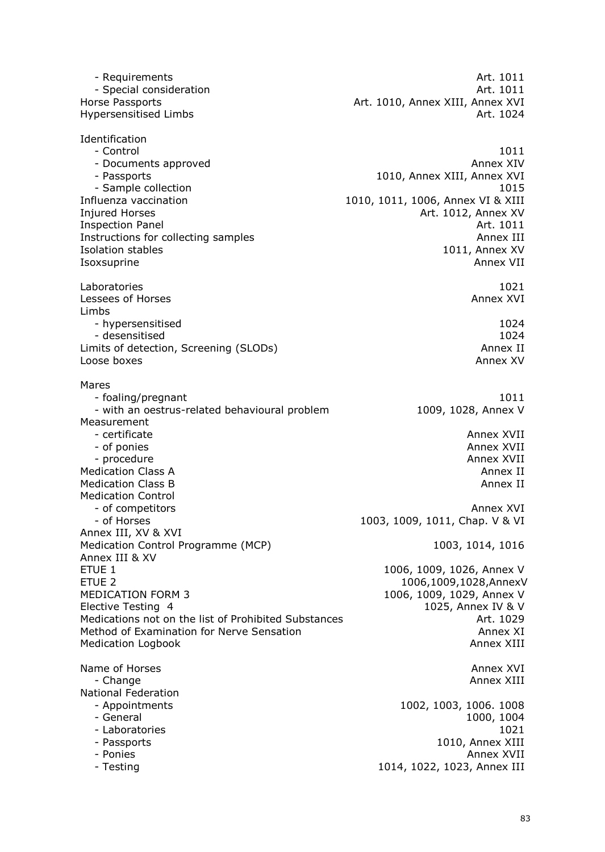- Requirements **Art.** 1011 **Art.** 1011 **Art.** 1011 - Special consideration Horse Passports Art. 1010, Annex XIII, Annex XVI Hypersensitised Limbs **Art. 1024** Identification<br>Control - Control 1011 - Documents approved Annex XIV - Passports 1010, Annex XIII, Annex XVI 1015 - Sample collection<br>1015 - Influenza vaccination 1010 - 1010, 1011, 1006, Annex VI & XIII 1010, 1011, 1006, Annex VI & XIII Injured Horses **Art. 1012, Annex XV** Inspection Panel **Art.** 1011 Instructions for collecting samples<br>
Isolation stables<br>
1011, Annex XV Isolation stables Isoxsuprine Annex VII and the Annex VII and the Annex VII and the Annex VII and the Annex VII Laboratories 1021 Lessees of Horses Limbs - hypersensitised 1024 - desensitised 1024<br>hits of detection, Screening (SLODs) and the second test of detection, Screening (SLODs) Limits of detection, Screening (SLODs) Loose boxes Annex XV Mares - foaling/pregnant 1011 - with an oestrus-related behavioural problem 1009, 1028, Annex V Measurement - certificate Annex XVII - certificate Annex XVII - certificate Annex XVII - certificate Annex XVII - certificate Annex XVII - of ponies Annex XVII and the settlement of ponies Annex XVII and the settlement of  $\sim$ - procedure Annex XVII and the Annex XVII and the Annex XVII and the Annex XVII and the Annex XVII Medication Class A Annex II and the Class A Annex II and the Class A Annex II and the Class A Annex II and the M<br>Medication Class B Annex II and the Class Annex II and the Class Annex II and the Class Annex II and the Clas Medication Class B Medication Control - of competitors Annex XVI and the set of competitors and the set of competitors and the set of competitors and the set of competitors and the set of competitors are set of competitors and the set of contract  $\sim$  2010 sub - of Horses 1003, 1009, 1011, Chap. V & VI Annex III, XV & XVI Medication Control Programme (MCP) 1003, 1014, 1016 Annex III & XV ETUE 1 1006, 1009, 1026, Annex V ETUE 2<br>1006,1009,1028,AnnexV<br>1006, 1009, 1029, Annex V 1006, 1009, 1029, Annex V Elective Testing 4 1025, Annex IV & V Medications not on the list of Prohibited Substances The Manuscriptum of the Art. 1029 Method of Examination for Nerve Sensation Annex XI Medication Logbook **Annex XIII** Annex XIII Name of Horses and The Communication of Horses Annex XVI and The Communication of Horses Annex XVI and The Communication of Horses Annex XVI and The Communication of Horses Annex XVI and The Communication of the Communicat - Change **Annex XIII** National Federation<br>- Appointments 1002, 1003, 1006. 1008 - General 1000, 1004 - Laboratories 1021 - Passports 1010, Annex XIII - Ponies Annex XVII and Annex XVII and Annex XVII and Annex XVII and Annex XVII and Annex XVII and Annex XVII - Testing 1014, 1022, 1023, Annex III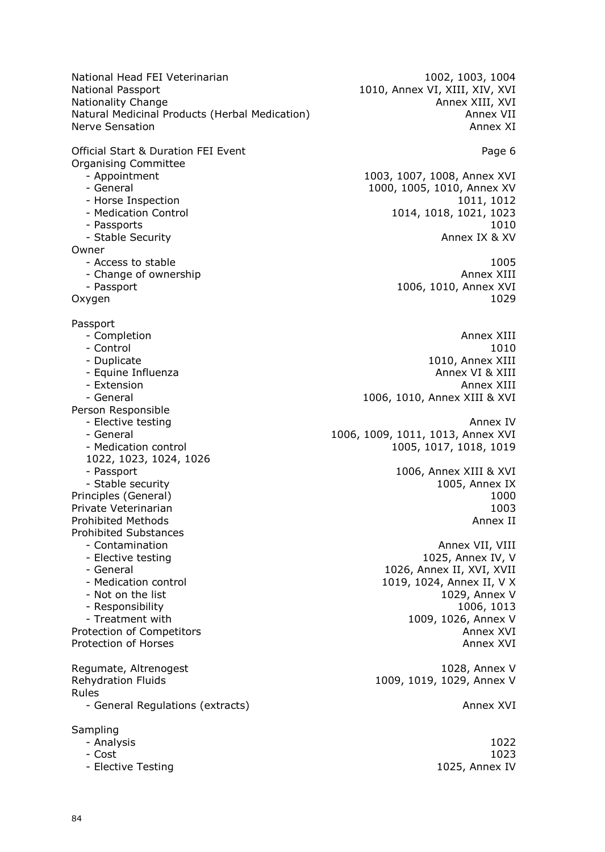National Head FEI Veterinarian 1002, 1003, 1004<br>National Passport 1010, Annex VI, XIII, XIV, XVI Nationality Change<br>Natural Medicinal Products (Herbal Medication) announced Annex VII Natural Medicinal Products (Herbal Medication) announced announced announced announced announced announced annou<br>
Annex XI Nerve Sensation

Official Start & Duration FEI Event **Page 6** and Page 6 Organising Committee

- 
- 
- 
- 
- 

Owner

- 
- Change of ownership
- 

Passport

- 
- 
- 
- 
- 
- 
- 

Person Responsible

- 
- 
- 
- 1022, 1023, 1024, 1026
- 

Private Veterinarian

Prohibited Substances

- 
- 
- 
- 
- 
- 

Regumate, Altrenogest 1028, Annex V Rehydration Fluids 1009, 1019, 1029, Annex V Rules - General Regulations (extracts) and a series are a series of the Annex XVI

Sampling

- 
- 
- 

1010, Annex VI, XIII, XIV, XVI

- Appointment 1003, 1007, 1008, Annex XVI 1000, 1005, 1010, Annex XV - Horse Inspection 1011, 1012 - Medication Control 1014, 1018, 1021, 1023 - Passports 1010 - Stable Security Annex IX & XV

- Access to stable 1005<br>
- Change of ownership 1005<br>
Annex XIII - Passport 1006, 1010, Annex XVI Oxygen 1029

ة المستخدمة المستخدمة المستخدمة المستخدمة المستخدمة المستخدمة المستخدمة المستخدمة المستخدمة المستخدمة المستخدمة<br>1010 - 1010 - Control 1010 - Duplicate 1010, Annex XIII - Equine Influenza **Annex VI & XIII** Annex VI & XIII - Extension Annex XIII and Annex XIII and Annex XIII and Annex XIII and Annex XIII - General 1006, 1010, Annex XIII & XVI

- Elective testing Annex IV and the state of the state of the state  $\sim$  Annex IV and the state of the state of the state of the state of the state of the state of the state of the state of the state of the state of the st - General 1006, 1009, 1011, 1013, Annex XVI<br>- Medication control 1005, 1005, 1017, 1018, 1019 1005, 1017, 1018, 1019

- Passport 1006, Annex XIII & XVI - Stable security 1005, Annex IX Principles (General) 1000 Prohibited Methods **Annex II** and the *Prohibited Methods* Annex II

- Contamination **Annex VII, VIII**<br>- Elective testing and announce and announce the setting and announce and announce the setting and announce the H 1025, Annex IV, V - General 1026, Annex II, XVI, XVII - Medication control 1019, 1024, Annex II, V X - Not on the list 1029, Annex V - Responsibility 1006, 1013 - Treatment with 1009, 1026, Annex V Protection of Competitors **Annex XVI Annex XVI** Protection of Horses **Annex XVI Annex XVI Annex XVI** 

- Analysis 1022 - Cost 1023 - Elective Testing 1025, Annex IV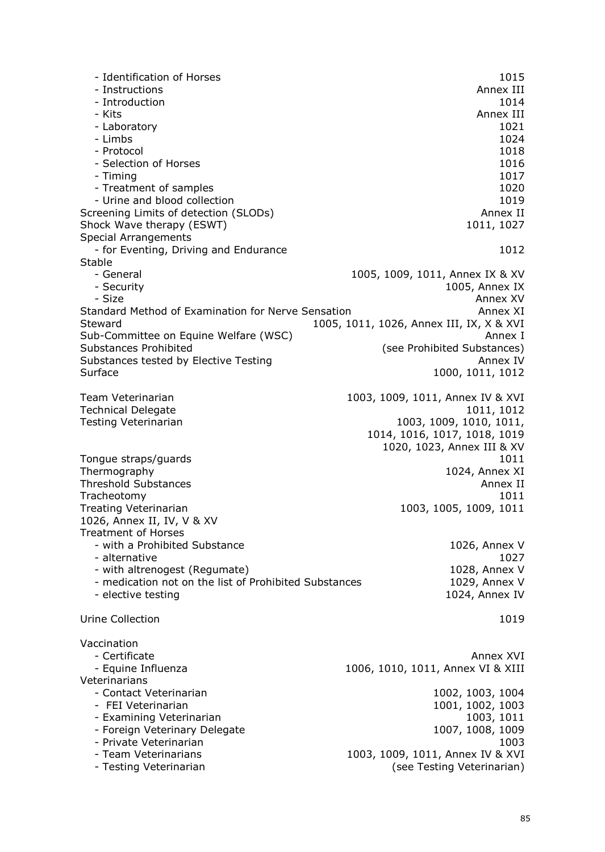- Identification of Horses 1015<br>- Instructions 2008 - Annex III - Instructions - Introduction 1014 - Kits Annex III - Annex III - Annex III - Annex III - Annex III - Annex III - Annex III - Laboratory 1021 - Limbs 1024 - Protocol 1018 - Selection of Horses 1016<br>- Timing 1017 - Timing 1017 - Treatment of samples 1020<br>- Urine and blood collection - Urine and blood collection Screening Limits of detection (SLODs) and the series of the Annex II Shock Wave therapy (ESWT) 1011, 1027 Special Arrangements - for Eventing, Driving and Endurance 1012 Stable - General 1005, 1009, 1011, Annex IX & XV 1005, Annex IX<br>Annex XV - Size Annex XV Standard Method of Examination for Nerve Sensation Announce Annex XI Steward 1005, 1011, 1026, Annex III, IX, X & XVI Sub-Committee on Equine Welfare (WSC)<br>Substances Prohibited (Substances Prohibited (Substances) (see Prohibited Substances) Substances tested by Elective Testing Annex IV and Annex IV Surface 1000, 1011, 1012 Team Veterinarian 1003, 1009, 1011, Annex IV & XVI Technical Delegate 1011, 1012 Testing Veterinarian 1003, 1009, 1010, 1011, 1014, 1016, 1017, 1018, 1019 1020, 1023, Annex III & XV Tongue straps/guards 1011 Thermography 1024, Annex XI Threshold Substances **Annex II** and the set of the set of the set of the set of the set of the set of the set of the set of the set of the set of the set of the set of the set of the set of the set of the set of the set of Tracheotomy 1011 Treating Veterinarian 1003, 1005, 1009, 1011 1026, Annex II, IV, V & XV Treatment of Horses - with a Prohibited Substance 1026, Annex V - alternative 1027 - with altrenogest (Regumate) 1028, Annex V - medication not on the list of Prohibited Substances 1029, Annex V<br>- elective testing 1024, Annex IV - elective testing Urine Collection 1019 Vaccination - Certificate Annex XVI announced a structure and the Annex XVI announced announced announced Annex XVI announced announced announced announced announced announced announced announced announced announced announced announce - Equine Influenza 1006, 1010, 1011, Annex VI & XIII Veterinarians - Contact Veterinarian 1002, 1003, 1004 - FEI Veterinarian 1001, 1002, 1003 - Examining Veterinarian 1003, 1011 - Foreign Veterinary Delegate 1007, 1008, 1009 Private Veterinarian 1003<br>Team Veterinarians 1003 (1003, 1009, 1011, Annex IV & XVI 1003, 1009, 1011, Annex IV & XVI - Testing Veterinarian and Testing Veterinarian (see Testing Veterinarian)